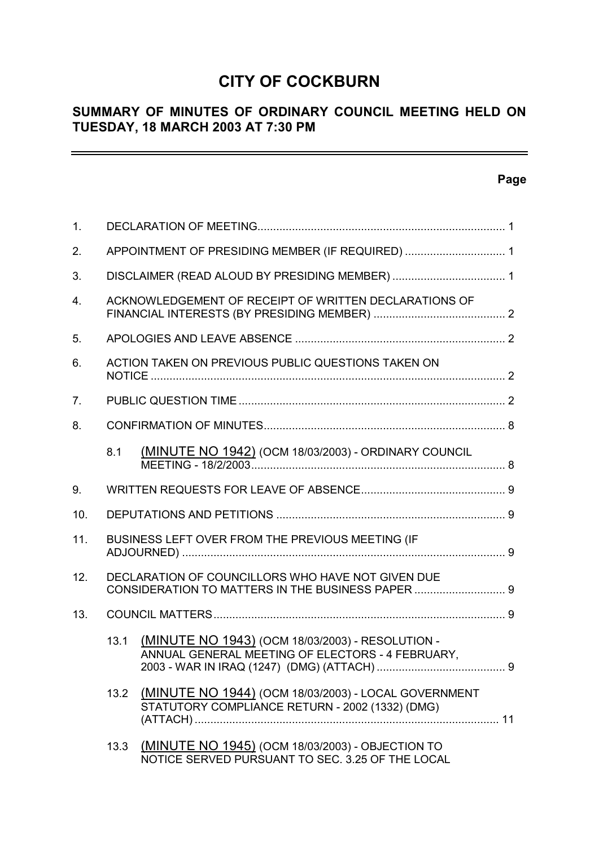# **CITY OF COCKBURN**

# **SUMMARY OF MINUTES OF ORDINARY COUNCIL MEETING HELD ON TUESDAY, 18 MARCH 2003 AT 7:30 PM**

# **Page**

 $\equiv$ 

| 1 <sub>1</sub> |                                                       |                                                                                                             |  |  |  |  |
|----------------|-------------------------------------------------------|-------------------------------------------------------------------------------------------------------------|--|--|--|--|
| 2.             |                                                       | APPOINTMENT OF PRESIDING MEMBER (IF REQUIRED)  1                                                            |  |  |  |  |
| 3.             |                                                       |                                                                                                             |  |  |  |  |
| 4.             | ACKNOWLEDGEMENT OF RECEIPT OF WRITTEN DECLARATIONS OF |                                                                                                             |  |  |  |  |
| 5.             |                                                       |                                                                                                             |  |  |  |  |
| 6.             |                                                       | ACTION TAKEN ON PREVIOUS PUBLIC QUESTIONS TAKEN ON                                                          |  |  |  |  |
| 7 <sub>1</sub> |                                                       |                                                                                                             |  |  |  |  |
| 8.             |                                                       |                                                                                                             |  |  |  |  |
|                | 8.1                                                   | <b>(MINUTE NO 1942)</b> (OCM 18/03/2003) - ORDINARY COUNCIL                                                 |  |  |  |  |
| 9.             |                                                       |                                                                                                             |  |  |  |  |
| 10.            |                                                       |                                                                                                             |  |  |  |  |
| 11.            |                                                       | BUSINESS LEFT OVER FROM THE PREVIOUS MEETING (IF                                                            |  |  |  |  |
| 12.            |                                                       | DECLARATION OF COUNCILLORS WHO HAVE NOT GIVEN DUE<br>CONSIDERATION TO MATTERS IN THE BUSINESS PAPER  9      |  |  |  |  |
| 13.            |                                                       |                                                                                                             |  |  |  |  |
|                | 13.1                                                  | (MINUTE NO 1943) (OCM 18/03/2003) - RESOLUTION -<br>ANNUAL GENERAL MEETING OF ELECTORS - 4 FEBRUARY,<br>. 9 |  |  |  |  |
|                | 13.2                                                  | (MINUTE NO 1944) (OCM 18/03/2003) - LOCAL GOVERNMENT<br>STATUTORY COMPLIANCE RETURN - 2002 (1332) (DMG)     |  |  |  |  |
|                | 13.3                                                  | (MINUTE NO 1945) (OCM 18/03/2003) - OBJECTION TO<br>NOTICE SERVED PURSUANT TO SEC. 3.25 OF THE LOCAL        |  |  |  |  |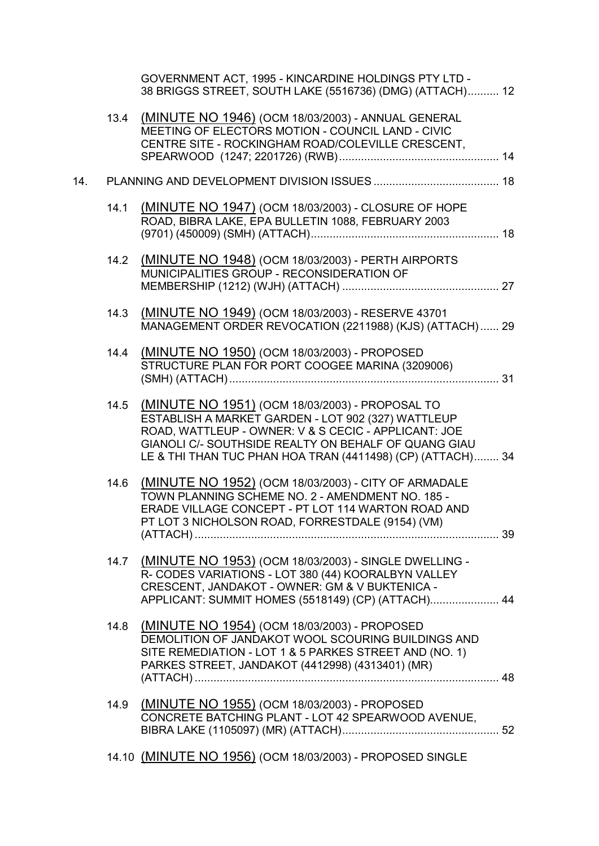|     |      | GOVERNMENT ACT, 1995 - KINCARDINE HOLDINGS PTY LTD -<br>38 BRIGGS STREET, SOUTH LAKE (5516736) (DMG) (ATTACH) 12                                                                                                                                                                    |  |
|-----|------|-------------------------------------------------------------------------------------------------------------------------------------------------------------------------------------------------------------------------------------------------------------------------------------|--|
|     | 13.4 | (MINUTE NO 1946) (OCM 18/03/2003) - ANNUAL GENERAL<br>MEETING OF ELECTORS MOTION - COUNCIL LAND - CIVIC<br>CENTRE SITE - ROCKINGHAM ROAD/COLEVILLE CRESCENT,                                                                                                                        |  |
| 14. |      |                                                                                                                                                                                                                                                                                     |  |
|     | 14.1 | (MINUTE NO 1947) (OCM 18/03/2003) - CLOSURE OF HOPE<br>ROAD, BIBRA LAKE, EPA BULLETIN 1088, FEBRUARY 2003                                                                                                                                                                           |  |
|     | 14.2 | (MINUTE NO 1948) (OCM 18/03/2003) - PERTH AIRPORTS<br>MUNICIPALITIES GROUP - RECONSIDERATION OF                                                                                                                                                                                     |  |
|     | 14.3 | (MINUTE NO 1949) (OCM 18/03/2003) - RESERVE 43701<br>MANAGEMENT ORDER REVOCATION (2211988) (KJS) (ATTACH)  29                                                                                                                                                                       |  |
|     | 14.4 | (MINUTE NO 1950) (OCM 18/03/2003) - PROPOSED<br>STRUCTURE PLAN FOR PORT COOGEE MARINA (3209006)                                                                                                                                                                                     |  |
|     | 14.5 | (MINUTE NO 1951) (OCM 18/03/2003) - PROPOSAL TO<br>ESTABLISH A MARKET GARDEN - LOT 902 (327) WATTLEUP<br>ROAD, WATTLEUP - OWNER: V & S CECIC - APPLICANT: JOE<br>GIANOLI C/- SOUTHSIDE REALTY ON BEHALF OF QUANG GIAU<br>LE & THI THAN TUC PHAN HOA TRAN (4411498) (CP) (ATTACH) 34 |  |
|     | 14.6 | (MINUTE NO 1952) (OCM 18/03/2003) - CITY OF ARMADALE<br>TOWN PLANNING SCHEME NO. 2 - AMENDMENT NO. 185 -<br>ERADE VILLAGE CONCEPT - PT LOT 114 WARTON ROAD AND<br>PT LOT 3 NICHOLSON ROAD, FORRESTDALE (9154) (VM)                                                                  |  |
|     | 14.7 | (MINUTE NO 1953) (OCM 18/03/2003) - SINGLE DWELLING -<br>R- CODES VARIATIONS - LOT 380 (44) KOORALBYN VALLEY<br>CRESCENT, JANDAKOT - OWNER: GM & V BUKTENICA -<br>APPLICANT: SUMMIT HOMES (5518149) (CP) (ATTACH) 44                                                                |  |
|     | 14.8 | (MINUTE NO 1954) (OCM 18/03/2003) - PROPOSED<br>DEMOLITION OF JANDAKOT WOOL SCOURING BUILDINGS AND<br>SITE REMEDIATION - LOT 1 & 5 PARKES STREET AND (NO. 1)<br>PARKES STREET, JANDAKOT (4412998) (4313401) (MR)                                                                    |  |
|     | 14.9 | (MINUTE NO 1955) (OCM 18/03/2003) - PROPOSED<br>CONCRETE BATCHING PLANT - LOT 42 SPEARWOOD AVENUE,                                                                                                                                                                                  |  |
|     |      | 14.10 (MINUTE NO 1956) (OCM 18/03/2003) - PROPOSED SINGLE                                                                                                                                                                                                                           |  |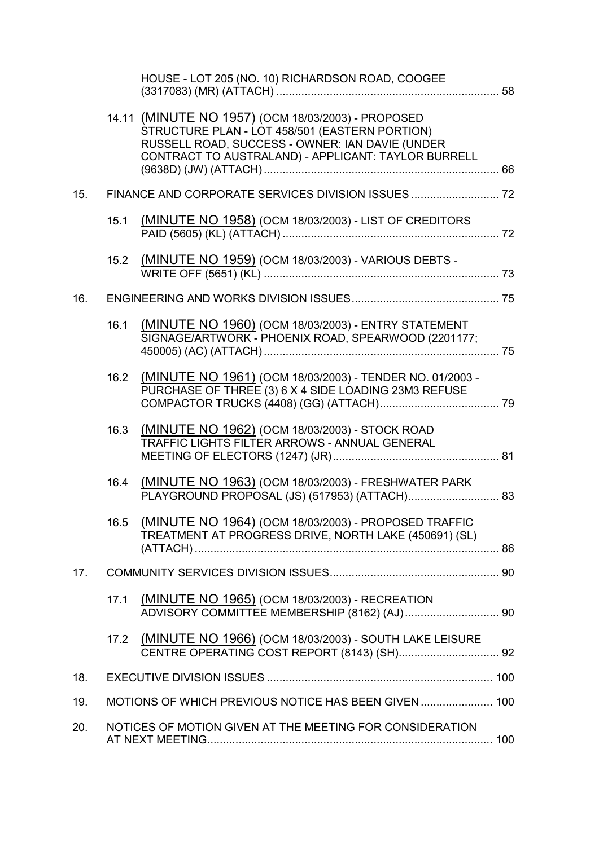|     |      | HOUSE - LOT 205 (NO. 10) RICHARDSON ROAD, COOGEE                                                                                                                                                               |  |
|-----|------|----------------------------------------------------------------------------------------------------------------------------------------------------------------------------------------------------------------|--|
|     |      | 14.11 (MINUTE NO 1957) (OCM 18/03/2003) - PROPOSED<br>STRUCTURE PLAN - LOT 458/501 (EASTERN PORTION)<br>RUSSELL ROAD, SUCCESS - OWNER: IAN DAVIE (UNDER<br>CONTRACT TO AUSTRALAND) - APPLICANT: TAYLOR BURRELL |  |
| 15. |      |                                                                                                                                                                                                                |  |
|     | 15.1 | (MINUTE NO 1958) (OCM 18/03/2003) - LIST OF CREDITORS                                                                                                                                                          |  |
|     | 15.2 | (MINUTE NO 1959) (OCM 18/03/2003) - VARIOUS DEBTS -                                                                                                                                                            |  |
| 16. |      |                                                                                                                                                                                                                |  |
|     | 16.1 | (MINUTE NO 1960) (OCM 18/03/2003) - ENTRY STATEMENT<br>SIGNAGE/ARTWORK - PHOENIX ROAD, SPEARWOOD (2201177;                                                                                                     |  |
|     | 16.2 | (MINUTE NO 1961) (OCM 18/03/2003) - TENDER NO. 01/2003 -<br>PURCHASE OF THREE (3) 6 X 4 SIDE LOADING 23M3 REFUSE                                                                                               |  |
|     | 16.3 | (MINUTE NO 1962) (OCM 18/03/2003) - STOCK ROAD<br>TRAFFIC LIGHTS FILTER ARROWS - ANNUAL GENERAL                                                                                                                |  |
|     | 16.4 | (MINUTE NO 1963) (OCM 18/03/2003) - FRESHWATER PARK                                                                                                                                                            |  |
|     |      | 16.5 (MINUTE NO 1964) (OCM 18/03/2003) - PROPOSED TRAFFIC<br>TREATMENT AT PROGRESS DRIVE, NORTH LAKE (450691) (SL)                                                                                             |  |
| 17. |      |                                                                                                                                                                                                                |  |
|     | 17.1 | (MINUTE NO 1965) (OCM 18/03/2003) - RECREATION                                                                                                                                                                 |  |
|     | 17.2 | (MINUTE NO 1966) (OCM 18/03/2003) - SOUTH LAKE LEISURE                                                                                                                                                         |  |
| 18. |      |                                                                                                                                                                                                                |  |
| 19. |      | MOTIONS OF WHICH PREVIOUS NOTICE HAS BEEN GIVEN  100                                                                                                                                                           |  |
| 20. |      | NOTICES OF MOTION GIVEN AT THE MEETING FOR CONSIDERATION                                                                                                                                                       |  |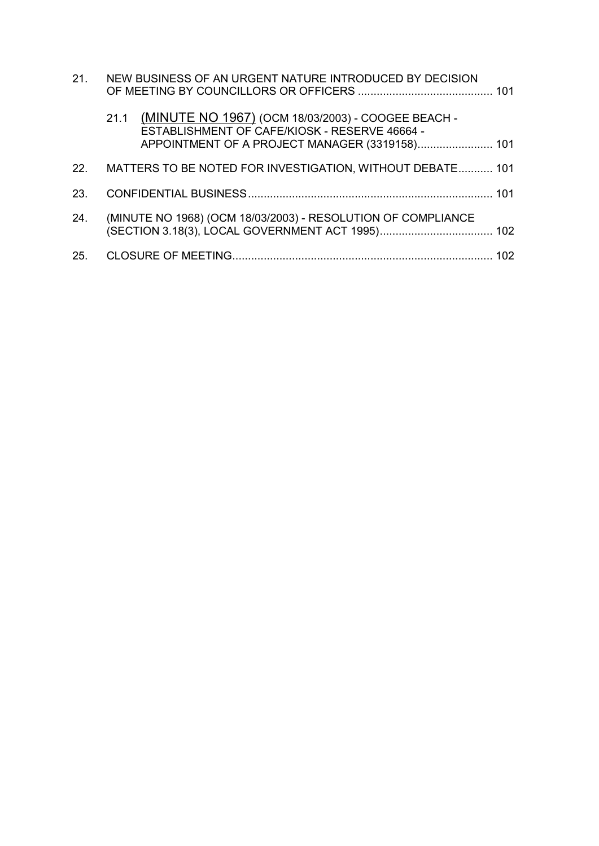| 21. | NEW BUSINESS OF AN URGENT NATURE INTRODUCED BY DECISION                                                                                                    |     |
|-----|------------------------------------------------------------------------------------------------------------------------------------------------------------|-----|
|     | 21.1 (MINUTE NO 1967) (OCM 18/03/2003) - COOGEE BEACH -<br>ESTABLISHMENT OF CAFE/KIOSK - RESERVE 46664 -<br>APPOINTMENT OF A PROJECT MANAGER (3319158) 101 |     |
| 22. | MATTERS TO BE NOTED FOR INVESTIGATION, WITHOUT DEBATE 101                                                                                                  |     |
| 23. |                                                                                                                                                            |     |
| 24. | (MINUTE NO 1968) (OCM 18/03/2003) - RESOLUTION OF COMPLIANCE                                                                                               |     |
|     |                                                                                                                                                            | 102 |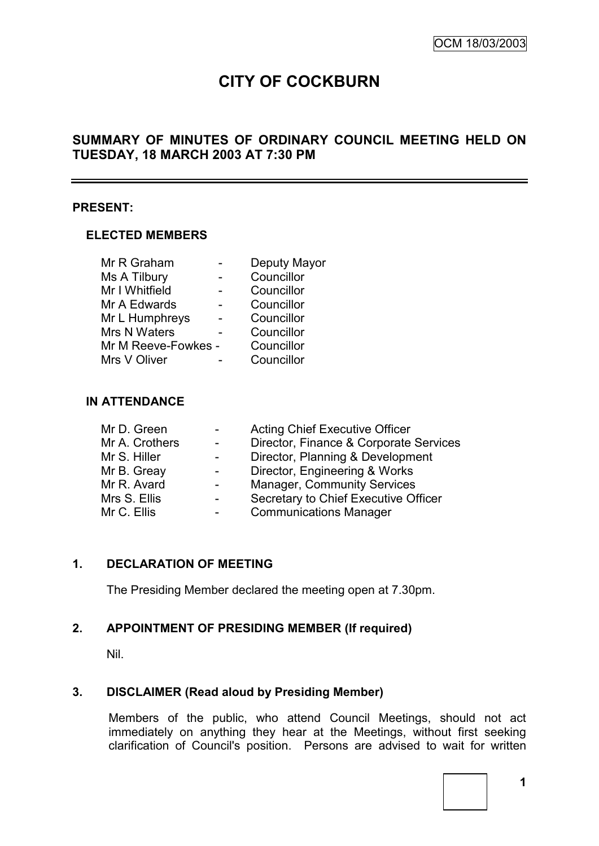# **CITY OF COCKBURN**

# **SUMMARY OF MINUTES OF ORDINARY COUNCIL MEETING HELD ON TUESDAY, 18 MARCH 2003 AT 7:30 PM**

#### **PRESENT:**

#### **ELECTED MEMBERS**

| Mr R Graham         | Deputy Mayor |
|---------------------|--------------|
| Ms A Tilbury        | Councillor   |
| Mr I Whitfield      | Councillor   |
| Mr A Edwards        | Councillor   |
| Mr L Humphreys      | Councillor   |
| Mrs N Waters        | Councillor   |
| Mr M Reeve-Fowkes - | Councillor   |
| Mrs V Oliver        | Councillor   |

## **IN ATTENDANCE**

| <b>Acting Chief Executive Officer</b>  |
|----------------------------------------|
| Director, Finance & Corporate Services |
| Director, Planning & Development       |
| Director, Engineering & Works          |
| <b>Manager, Community Services</b>     |
| Secretary to Chief Executive Officer   |
| <b>Communications Manager</b>          |
|                                        |

# **1. DECLARATION OF MEETING**

The Presiding Member declared the meeting open at 7.30pm.

## **2. APPOINTMENT OF PRESIDING MEMBER (If required)**

Nil.

## **3. DISCLAIMER (Read aloud by Presiding Member)**

Members of the public, who attend Council Meetings, should not act immediately on anything they hear at the Meetings, without first seeking clarification of Council's position. Persons are advised to wait for written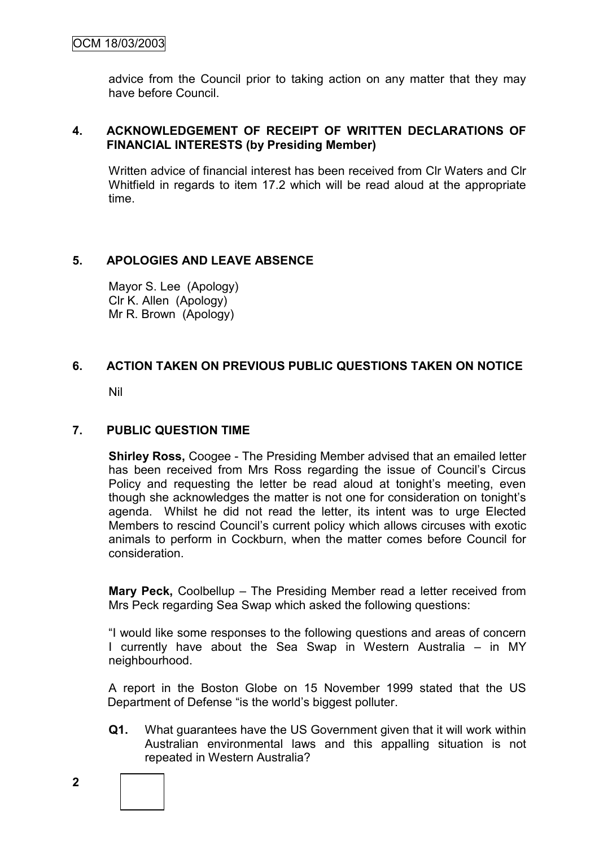advice from the Council prior to taking action on any matter that they may have before Council.

## **4. ACKNOWLEDGEMENT OF RECEIPT OF WRITTEN DECLARATIONS OF FINANCIAL INTERESTS (by Presiding Member)**

Written advice of financial interest has been received from Clr Waters and Clr Whitfield in regards to item 17.2 which will be read aloud at the appropriate time.

# **5. APOLOGIES AND LEAVE ABSENCE**

Mayor S. Lee (Apology) Clr K. Allen (Apology) Mr R. Brown (Apology)

# **6. ACTION TAKEN ON PREVIOUS PUBLIC QUESTIONS TAKEN ON NOTICE**

Nil

# **7. PUBLIC QUESTION TIME**

**Shirley Ross,** Coogee - The Presiding Member advised that an emailed letter has been received from Mrs Ross regarding the issue of Council"s Circus Policy and requesting the letter be read aloud at tonight's meeting, even though she acknowledges the matter is not one for consideration on tonight"s agenda. Whilst he did not read the letter, its intent was to urge Elected Members to rescind Council"s current policy which allows circuses with exotic animals to perform in Cockburn, when the matter comes before Council for consideration.

**Mary Peck,** Coolbellup – The Presiding Member read a letter received from Mrs Peck regarding Sea Swap which asked the following questions:

"I would like some responses to the following questions and areas of concern I currently have about the Sea Swap in Western Australia – in MY neighbourhood.

A report in the Boston Globe on 15 November 1999 stated that the US Department of Defense "is the world"s biggest polluter.

- **Q1.** What guarantees have the US Government given that it will work within Australian environmental laws and this appalling situation is not repeated in Western Australia?
- 

**2**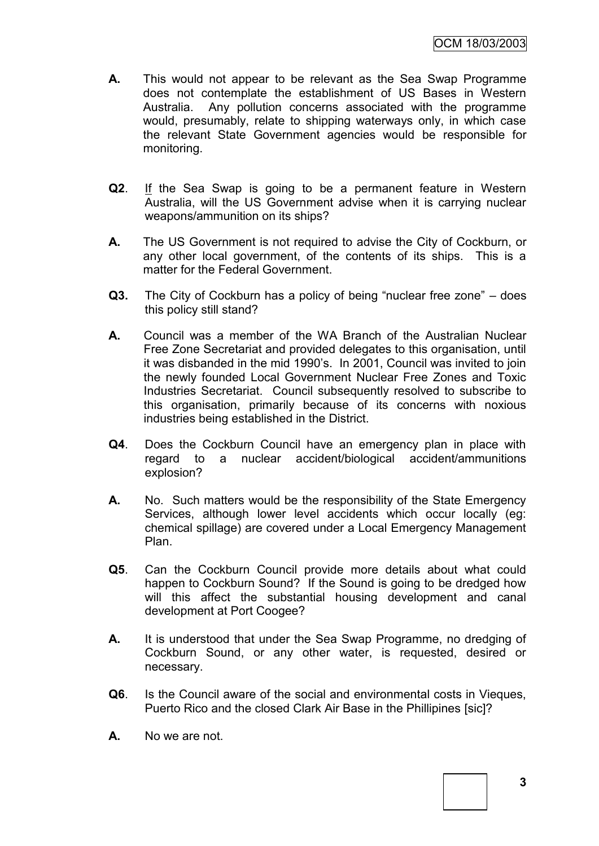- **A.** This would not appear to be relevant as the Sea Swap Programme does not contemplate the establishment of US Bases in Western Australia. Any pollution concerns associated with the programme would, presumably, relate to shipping waterways only, in which case the relevant State Government agencies would be responsible for monitoring.
- **Q2**. If the Sea Swap is going to be a permanent feature in Western Australia, will the US Government advise when it is carrying nuclear weapons/ammunition on its ships?
- **A.** The US Government is not required to advise the City of Cockburn, or any other local government, of the contents of its ships. This is a matter for the Federal Government.
- **Q3.** The City of Cockburn has a policy of being "nuclear free zone" does this policy still stand?
- **A.** Council was a member of the WA Branch of the Australian Nuclear Free Zone Secretariat and provided delegates to this organisation, until it was disbanded in the mid 1990"s. In 2001, Council was invited to join the newly founded Local Government Nuclear Free Zones and Toxic Industries Secretariat. Council subsequently resolved to subscribe to this organisation, primarily because of its concerns with noxious industries being established in the District.
- **Q4**. Does the Cockburn Council have an emergency plan in place with regard to a nuclear accident/biological accident/ammunitions explosion?
- **A.** No. Such matters would be the responsibility of the State Emergency Services, although lower level accidents which occur locally (eg: chemical spillage) are covered under a Local Emergency Management Plan.
- **Q5**. Can the Cockburn Council provide more details about what could happen to Cockburn Sound? If the Sound is going to be dredged how will this affect the substantial housing development and canal development at Port Coogee?
- **A.** It is understood that under the Sea Swap Programme, no dredging of Cockburn Sound, or any other water, is requested, desired or necessary.
- **Q6**. Is the Council aware of the social and environmental costs in Vieques, Puerto Rico and the closed Clark Air Base in the Phillipines [sic]?
- **A.** No we are not.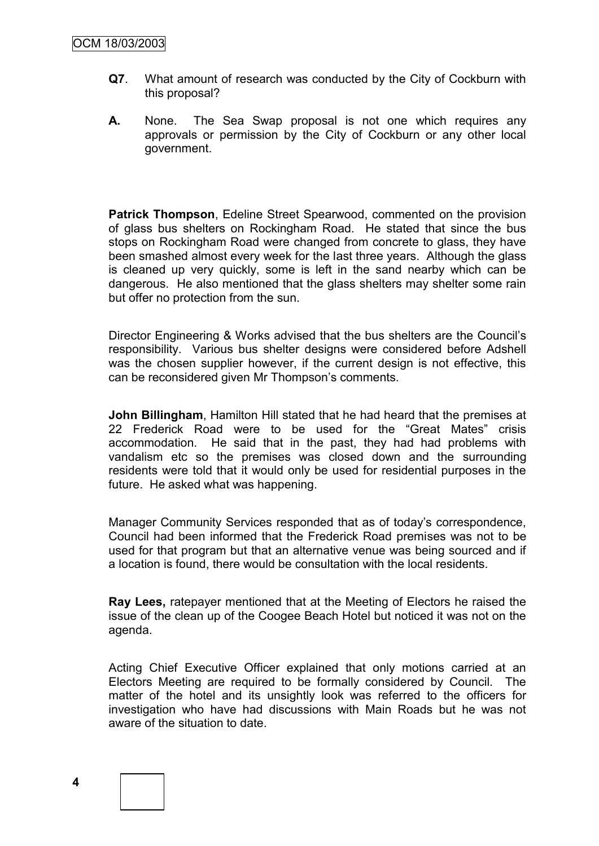- **Q7**. What amount of research was conducted by the City of Cockburn with this proposal?
- **A.** None. The Sea Swap proposal is not one which requires any approvals or permission by the City of Cockburn or any other local government.

**Patrick Thompson**, Edeline Street Spearwood, commented on the provision of glass bus shelters on Rockingham Road. He stated that since the bus stops on Rockingham Road were changed from concrete to glass, they have been smashed almost every week for the last three years. Although the glass is cleaned up very quickly, some is left in the sand nearby which can be dangerous. He also mentioned that the glass shelters may shelter some rain but offer no protection from the sun.

Director Engineering & Works advised that the bus shelters are the Council"s responsibility. Various bus shelter designs were considered before Adshell was the chosen supplier however, if the current design is not effective, this can be reconsidered given Mr Thompson's comments.

**John Billingham**, Hamilton Hill stated that he had heard that the premises at 22 Frederick Road were to be used for the "Great Mates" crisis accommodation. He said that in the past, they had had problems with vandalism etc so the premises was closed down and the surrounding residents were told that it would only be used for residential purposes in the future. He asked what was happening.

Manager Community Services responded that as of today"s correspondence, Council had been informed that the Frederick Road premises was not to be used for that program but that an alternative venue was being sourced and if a location is found, there would be consultation with the local residents.

**Ray Lees,** ratepayer mentioned that at the Meeting of Electors he raised the issue of the clean up of the Coogee Beach Hotel but noticed it was not on the agenda.

Acting Chief Executive Officer explained that only motions carried at an Electors Meeting are required to be formally considered by Council. The matter of the hotel and its unsightly look was referred to the officers for investigation who have had discussions with Main Roads but he was not aware of the situation to date.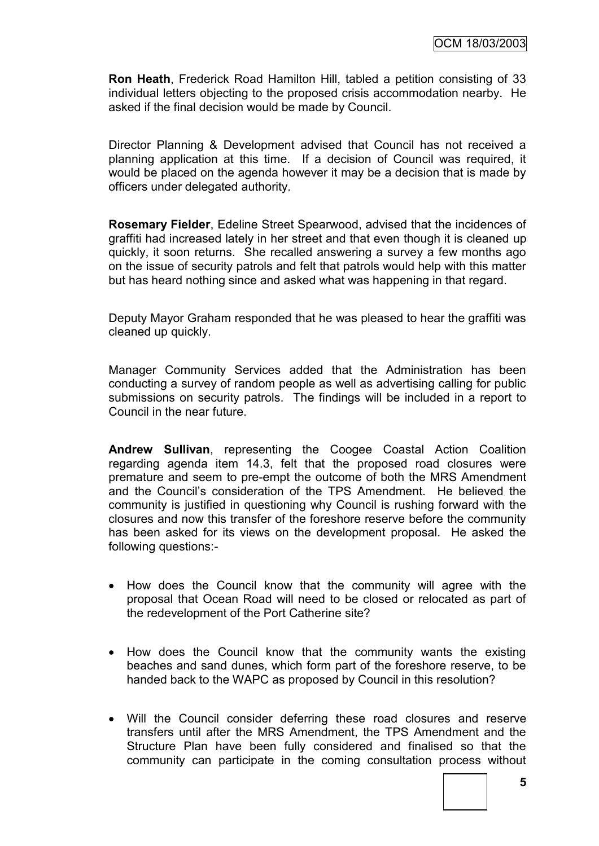**Ron Heath**, Frederick Road Hamilton Hill, tabled a petition consisting of 33 individual letters objecting to the proposed crisis accommodation nearby. He asked if the final decision would be made by Council.

Director Planning & Development advised that Council has not received a planning application at this time. If a decision of Council was required, it would be placed on the agenda however it may be a decision that is made by officers under delegated authority.

**Rosemary Fielder**, Edeline Street Spearwood, advised that the incidences of graffiti had increased lately in her street and that even though it is cleaned up quickly, it soon returns. She recalled answering a survey a few months ago on the issue of security patrols and felt that patrols would help with this matter but has heard nothing since and asked what was happening in that regard.

Deputy Mayor Graham responded that he was pleased to hear the graffiti was cleaned up quickly.

Manager Community Services added that the Administration has been conducting a survey of random people as well as advertising calling for public submissions on security patrols. The findings will be included in a report to Council in the near future.

**Andrew Sullivan**, representing the Coogee Coastal Action Coalition regarding agenda item 14.3, felt that the proposed road closures were premature and seem to pre-empt the outcome of both the MRS Amendment and the Council"s consideration of the TPS Amendment. He believed the community is justified in questioning why Council is rushing forward with the closures and now this transfer of the foreshore reserve before the community has been asked for its views on the development proposal. He asked the following questions:-

- How does the Council know that the community will agree with the proposal that Ocean Road will need to be closed or relocated as part of the redevelopment of the Port Catherine site?
- How does the Council know that the community wants the existing beaches and sand dunes, which form part of the foreshore reserve, to be handed back to the WAPC as proposed by Council in this resolution?
- Will the Council consider deferring these road closures and reserve transfers until after the MRS Amendment, the TPS Amendment and the Structure Plan have been fully considered and finalised so that the community can participate in the coming consultation process without

**5**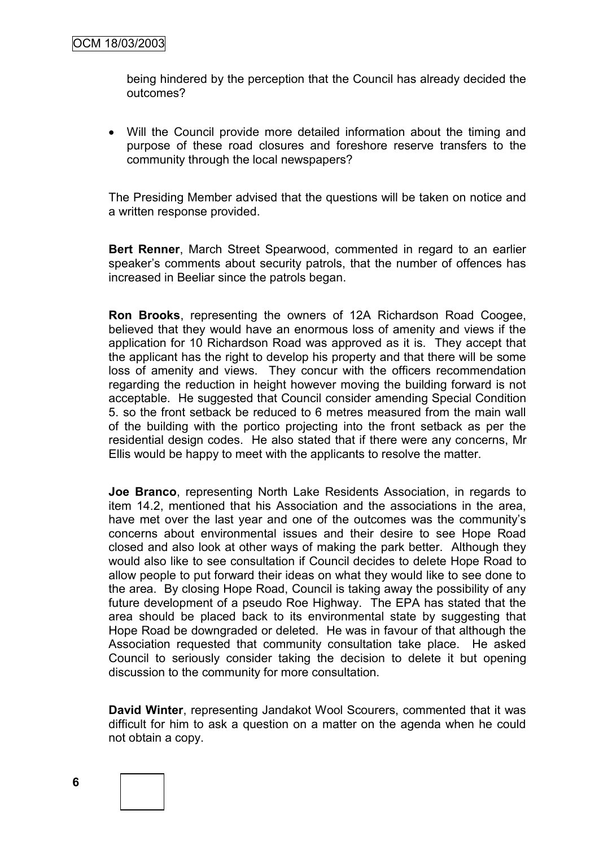being hindered by the perception that the Council has already decided the outcomes?

 Will the Council provide more detailed information about the timing and purpose of these road closures and foreshore reserve transfers to the community through the local newspapers?

The Presiding Member advised that the questions will be taken on notice and a written response provided.

**Bert Renner**, March Street Spearwood, commented in regard to an earlier speaker's comments about security patrols, that the number of offences has increased in Beeliar since the patrols began.

**Ron Brooks**, representing the owners of 12A Richardson Road Coogee, believed that they would have an enormous loss of amenity and views if the application for 10 Richardson Road was approved as it is. They accept that the applicant has the right to develop his property and that there will be some loss of amenity and views. They concur with the officers recommendation regarding the reduction in height however moving the building forward is not acceptable. He suggested that Council consider amending Special Condition 5. so the front setback be reduced to 6 metres measured from the main wall of the building with the portico projecting into the front setback as per the residential design codes. He also stated that if there were any concerns, Mr Ellis would be happy to meet with the applicants to resolve the matter.

**Joe Branco**, representing North Lake Residents Association, in regards to item 14.2, mentioned that his Association and the associations in the area, have met over the last year and one of the outcomes was the community's concerns about environmental issues and their desire to see Hope Road closed and also look at other ways of making the park better. Although they would also like to see consultation if Council decides to delete Hope Road to allow people to put forward their ideas on what they would like to see done to the area. By closing Hope Road, Council is taking away the possibility of any future development of a pseudo Roe Highway. The EPA has stated that the area should be placed back to its environmental state by suggesting that Hope Road be downgraded or deleted. He was in favour of that although the Association requested that community consultation take place. He asked Council to seriously consider taking the decision to delete it but opening discussion to the community for more consultation.

**David Winter**, representing Jandakot Wool Scourers, commented that it was difficult for him to ask a question on a matter on the agenda when he could not obtain a copy.



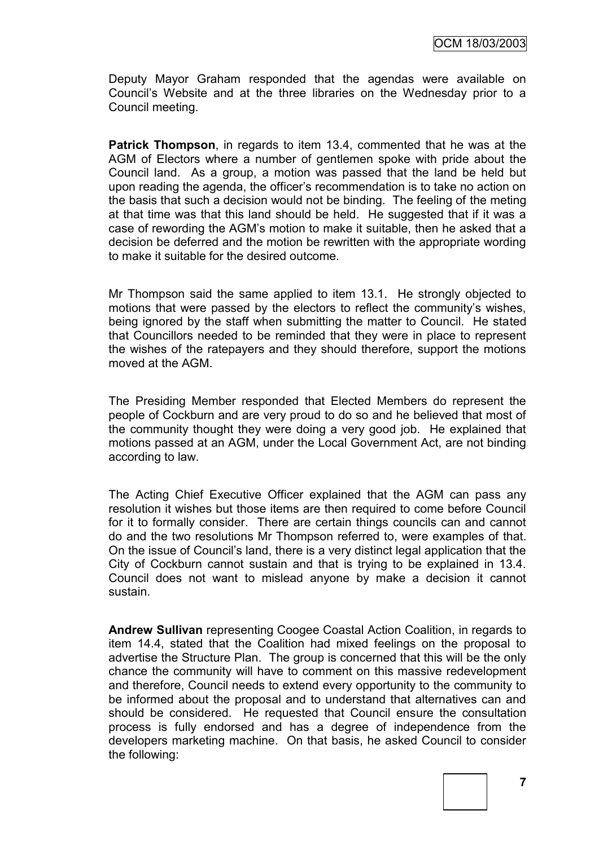Deputy Mayor Graham responded that the agendas were available on Council"s Website and at the three libraries on the Wednesday prior to a Council meeting.

**Patrick Thompson**, in regards to item 13.4, commented that he was at the AGM of Electors where a number of gentlemen spoke with pride about the Council land. As a group, a motion was passed that the land be held but upon reading the agenda, the officer"s recommendation is to take no action on the basis that such a decision would not be binding. The feeling of the meting at that time was that this land should be held. He suggested that if it was a case of rewording the AGM"s motion to make it suitable, then he asked that a decision be deferred and the motion be rewritten with the appropriate wording to make it suitable for the desired outcome.

Mr Thompson said the same applied to item 13.1. He strongly objected to motions that were passed by the electors to reflect the community's wishes, being ignored by the staff when submitting the matter to Council. He stated that Councillors needed to be reminded that they were in place to represent the wishes of the ratepayers and they should therefore, support the motions moved at the AGM.

The Presiding Member responded that Elected Members do represent the people of Cockburn and are very proud to do so and he believed that most of the community thought they were doing a very good job. He explained that motions passed at an AGM, under the Local Government Act, are not binding according to law.

The Acting Chief Executive Officer explained that the AGM can pass any resolution it wishes but those items are then required to come before Council for it to formally consider. There are certain things councils can and cannot do and the two resolutions Mr Thompson referred to, were examples of that. On the issue of Council"s land, there is a very distinct legal application that the City of Cockburn cannot sustain and that is trying to be explained in 13.4. Council does not want to mislead anyone by make a decision it cannot sustain.

**Andrew Sullivan** representing Coogee Coastal Action Coalition, in regards to item 14.4, stated that the Coalition had mixed feelings on the proposal to advertise the Structure Plan. The group is concerned that this will be the only chance the community will have to comment on this massive redevelopment and therefore, Council needs to extend every opportunity to the community to be informed about the proposal and to understand that alternatives can and should be considered. He requested that Council ensure the consultation process is fully endorsed and has a degree of independence from the developers marketing machine. On that basis, he asked Council to consider the following: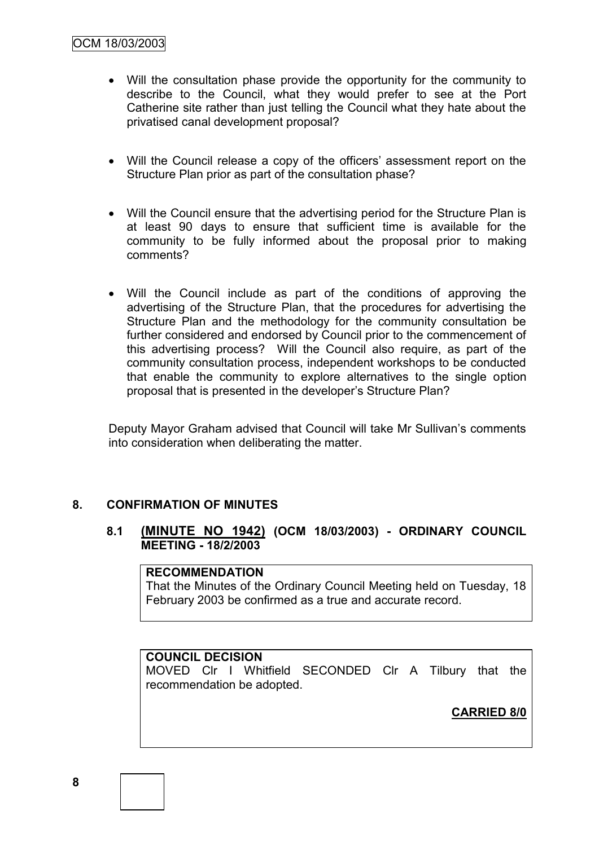- Will the consultation phase provide the opportunity for the community to describe to the Council, what they would prefer to see at the Port Catherine site rather than just telling the Council what they hate about the privatised canal development proposal?
- Will the Council release a copy of the officers' assessment report on the Structure Plan prior as part of the consultation phase?
- Will the Council ensure that the advertising period for the Structure Plan is at least 90 days to ensure that sufficient time is available for the community to be fully informed about the proposal prior to making comments?
- Will the Council include as part of the conditions of approving the advertising of the Structure Plan, that the procedures for advertising the Structure Plan and the methodology for the community consultation be further considered and endorsed by Council prior to the commencement of this advertising process? Will the Council also require, as part of the community consultation process, independent workshops to be conducted that enable the community to explore alternatives to the single option proposal that is presented in the developer"s Structure Plan?

Deputy Mayor Graham advised that Council will take Mr Sullivan's comments into consideration when deliberating the matter.

# **8. CONFIRMATION OF MINUTES**

## **8.1 (MINUTE NO 1942) (OCM 18/03/2003) - ORDINARY COUNCIL MEETING - 18/2/2003**

## **RECOMMENDATION**

That the Minutes of the Ordinary Council Meeting held on Tuesday, 18 February 2003 be confirmed as a true and accurate record.

## **COUNCIL DECISION**

MOVED Clr I Whitfield SECONDED Clr A Tilbury that the recommendation be adopted.

**CARRIED 8/0**

**8**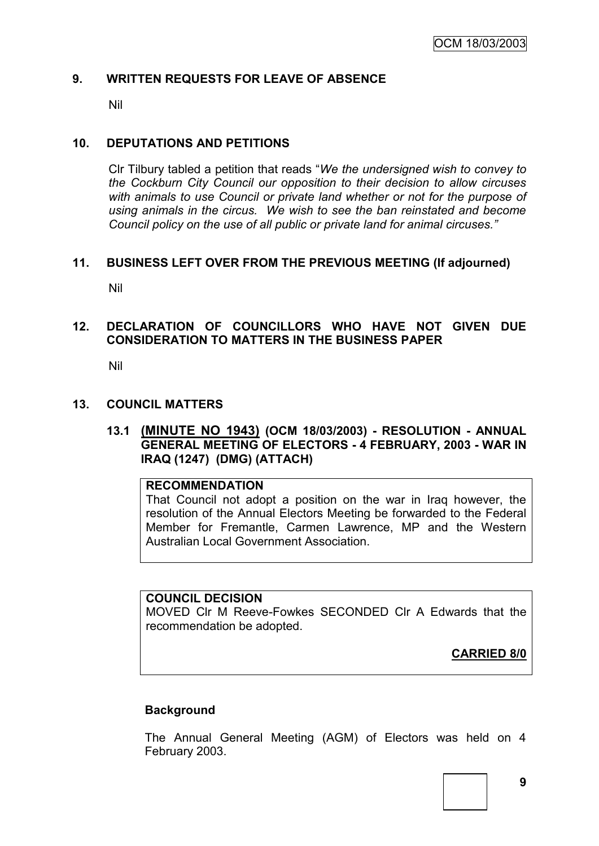## **9. WRITTEN REQUESTS FOR LEAVE OF ABSENCE**

Nil

#### **10. DEPUTATIONS AND PETITIONS**

Clr Tilbury tabled a petition that reads "*We the undersigned wish to convey to the Cockburn City Council our opposition to their decision to allow circuses with animals to use Council or private land whether or not for the purpose of using animals in the circus. We wish to see the ban reinstated and become Council policy on the use of all public or private land for animal circuses."*

#### **11. BUSINESS LEFT OVER FROM THE PREVIOUS MEETING (If adjourned)**

Nil

## **12. DECLARATION OF COUNCILLORS WHO HAVE NOT GIVEN DUE CONSIDERATION TO MATTERS IN THE BUSINESS PAPER**

Nil

#### **13. COUNCIL MATTERS**

## **13.1 (MINUTE NO 1943) (OCM 18/03/2003) - RESOLUTION - ANNUAL GENERAL MEETING OF ELECTORS - 4 FEBRUARY, 2003 - WAR IN IRAQ (1247) (DMG) (ATTACH)**

#### **RECOMMENDATION**

That Council not adopt a position on the war in Iraq however, the resolution of the Annual Electors Meeting be forwarded to the Federal Member for Fremantle, Carmen Lawrence, MP and the Western Australian Local Government Association.

#### **COUNCIL DECISION**

MOVED Clr M Reeve-Fowkes SECONDED Clr A Edwards that the recommendation be adopted.

**CARRIED 8/0**

## **Background**

The Annual General Meeting (AGM) of Electors was held on 4 February 2003.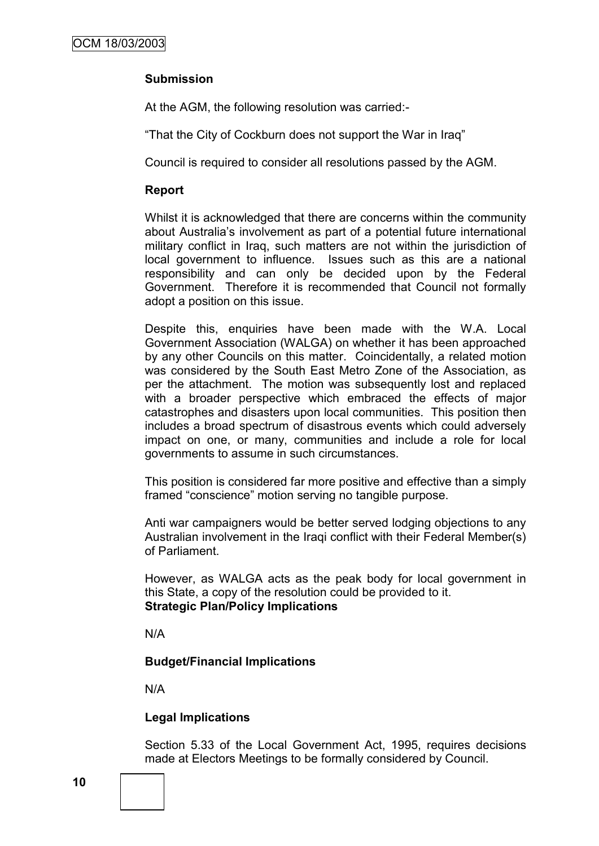# **Submission**

At the AGM, the following resolution was carried:-

"That the City of Cockburn does not support the War in Iraq"

Council is required to consider all resolutions passed by the AGM.

## **Report**

Whilst it is acknowledged that there are concerns within the community about Australia"s involvement as part of a potential future international military conflict in Iraq, such matters are not within the jurisdiction of local government to influence. Issues such as this are a national responsibility and can only be decided upon by the Federal Government. Therefore it is recommended that Council not formally adopt a position on this issue.

Despite this, enquiries have been made with the W.A. Local Government Association (WALGA) on whether it has been approached by any other Councils on this matter. Coincidentally, a related motion was considered by the South East Metro Zone of the Association, as per the attachment. The motion was subsequently lost and replaced with a broader perspective which embraced the effects of major catastrophes and disasters upon local communities. This position then includes a broad spectrum of disastrous events which could adversely impact on one, or many, communities and include a role for local governments to assume in such circumstances.

This position is considered far more positive and effective than a simply framed "conscience" motion serving no tangible purpose.

Anti war campaigners would be better served lodging objections to any Australian involvement in the Iraqi conflict with their Federal Member(s) of Parliament.

However, as WALGA acts as the peak body for local government in this State, a copy of the resolution could be provided to it. **Strategic Plan/Policy Implications**

N/A

## **Budget/Financial Implications**

N/A

## **Legal Implications**

Section 5.33 of the Local Government Act, 1995, requires decisions made at Electors Meetings to be formally considered by Council.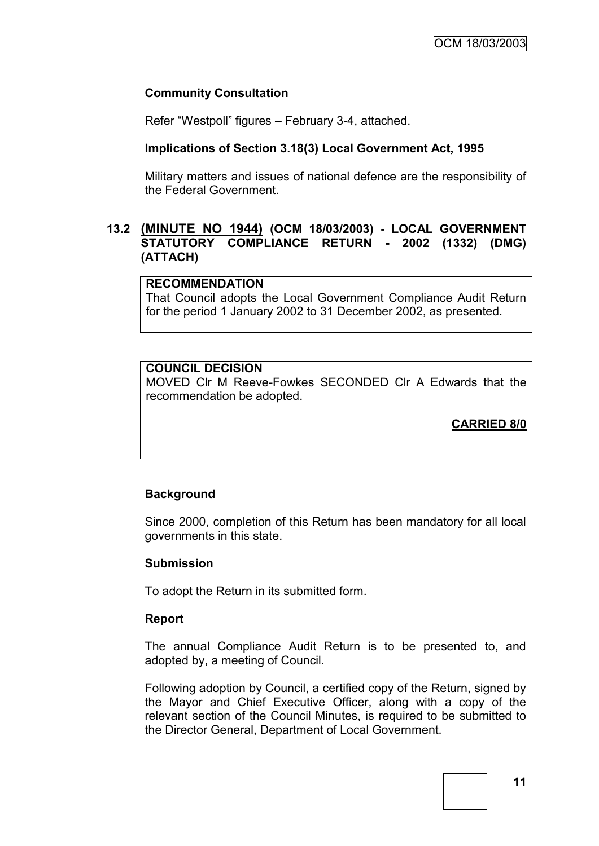## **Community Consultation**

Refer "Westpoll" figures – February 3-4, attached.

#### **Implications of Section 3.18(3) Local Government Act, 1995**

Military matters and issues of national defence are the responsibility of the Federal Government.

## **13.2 (MINUTE NO 1944) (OCM 18/03/2003) - LOCAL GOVERNMENT STATUTORY COMPLIANCE RETURN - 2002 (1332) (DMG) (ATTACH)**

## **RECOMMENDATION**

That Council adopts the Local Government Compliance Audit Return for the period 1 January 2002 to 31 December 2002, as presented.

# **COUNCIL DECISION**

MOVED Clr M Reeve-Fowkes SECONDED Clr A Edwards that the recommendation be adopted.

**CARRIED 8/0**

## **Background**

Since 2000, completion of this Return has been mandatory for all local governments in this state.

#### **Submission**

To adopt the Return in its submitted form.

#### **Report**

The annual Compliance Audit Return is to be presented to, and adopted by, a meeting of Council.

Following adoption by Council, a certified copy of the Return, signed by the Mayor and Chief Executive Officer, along with a copy of the relevant section of the Council Minutes, is required to be submitted to the Director General, Department of Local Government.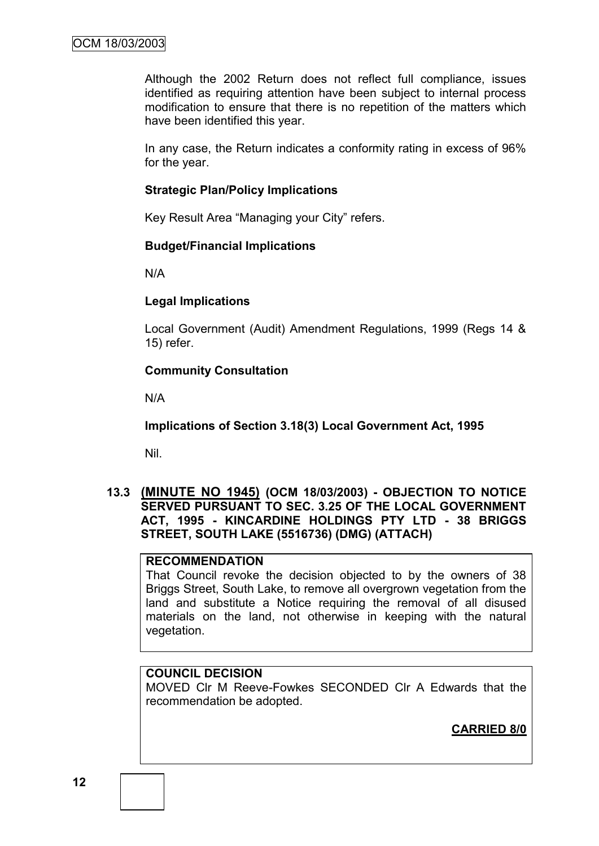Although the 2002 Return does not reflect full compliance, issues identified as requiring attention have been subject to internal process modification to ensure that there is no repetition of the matters which have been identified this year.

In any case, the Return indicates a conformity rating in excess of 96% for the year.

#### **Strategic Plan/Policy Implications**

Key Result Area "Managing your City" refers.

#### **Budget/Financial Implications**

N/A

#### **Legal Implications**

Local Government (Audit) Amendment Regulations, 1999 (Regs 14 & 15) refer.

## **Community Consultation**

N/A

**Implications of Section 3.18(3) Local Government Act, 1995**

Nil.

## **13.3 (MINUTE NO 1945) (OCM 18/03/2003) - OBJECTION TO NOTICE SERVED PURSUANT TO SEC. 3.25 OF THE LOCAL GOVERNMENT ACT, 1995 - KINCARDINE HOLDINGS PTY LTD - 38 BRIGGS STREET, SOUTH LAKE (5516736) (DMG) (ATTACH)**

## **RECOMMENDATION**

That Council revoke the decision objected to by the owners of 38 Briggs Street, South Lake, to remove all overgrown vegetation from the land and substitute a Notice requiring the removal of all disused materials on the land, not otherwise in keeping with the natural vegetation.

# **COUNCIL DECISION**

MOVED Clr M Reeve-Fowkes SECONDED Clr A Edwards that the recommendation be adopted.

**CARRIED 8/0**

**12**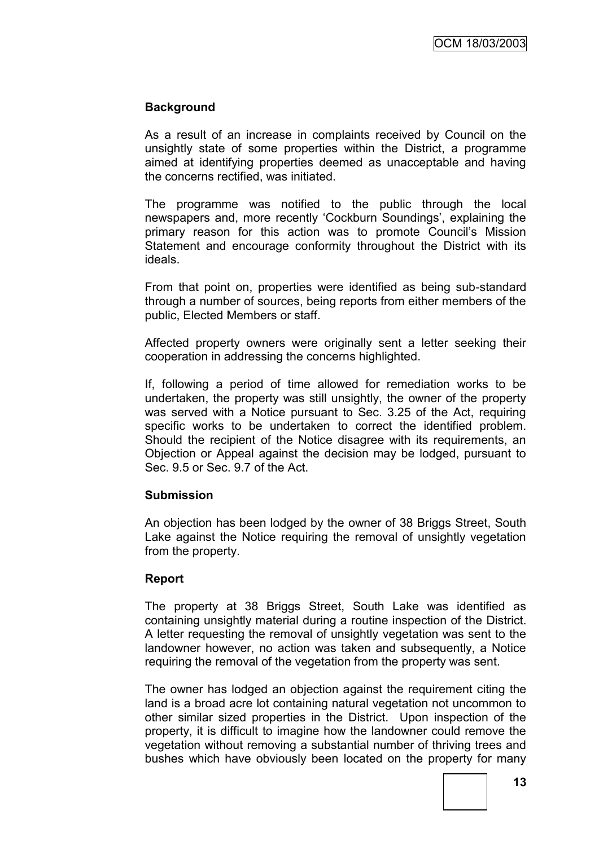# **Background**

As a result of an increase in complaints received by Council on the unsightly state of some properties within the District, a programme aimed at identifying properties deemed as unacceptable and having the concerns rectified, was initiated.

The programme was notified to the public through the local newspapers and, more recently 'Cockburn Soundings', explaining the primary reason for this action was to promote Council"s Mission Statement and encourage conformity throughout the District with its ideals.

From that point on, properties were identified as being sub-standard through a number of sources, being reports from either members of the public, Elected Members or staff.

Affected property owners were originally sent a letter seeking their cooperation in addressing the concerns highlighted.

If, following a period of time allowed for remediation works to be undertaken, the property was still unsightly, the owner of the property was served with a Notice pursuant to Sec. 3.25 of the Act, requiring specific works to be undertaken to correct the identified problem. Should the recipient of the Notice disagree with its requirements, an Objection or Appeal against the decision may be lodged, pursuant to Sec. 9.5 or Sec. 9.7 of the Act.

## **Submission**

An objection has been lodged by the owner of 38 Briggs Street, South Lake against the Notice requiring the removal of unsightly vegetation from the property.

## **Report**

The property at 38 Briggs Street, South Lake was identified as containing unsightly material during a routine inspection of the District. A letter requesting the removal of unsightly vegetation was sent to the landowner however, no action was taken and subsequently, a Notice requiring the removal of the vegetation from the property was sent.

The owner has lodged an objection against the requirement citing the land is a broad acre lot containing natural vegetation not uncommon to other similar sized properties in the District. Upon inspection of the property, it is difficult to imagine how the landowner could remove the vegetation without removing a substantial number of thriving trees and bushes which have obviously been located on the property for many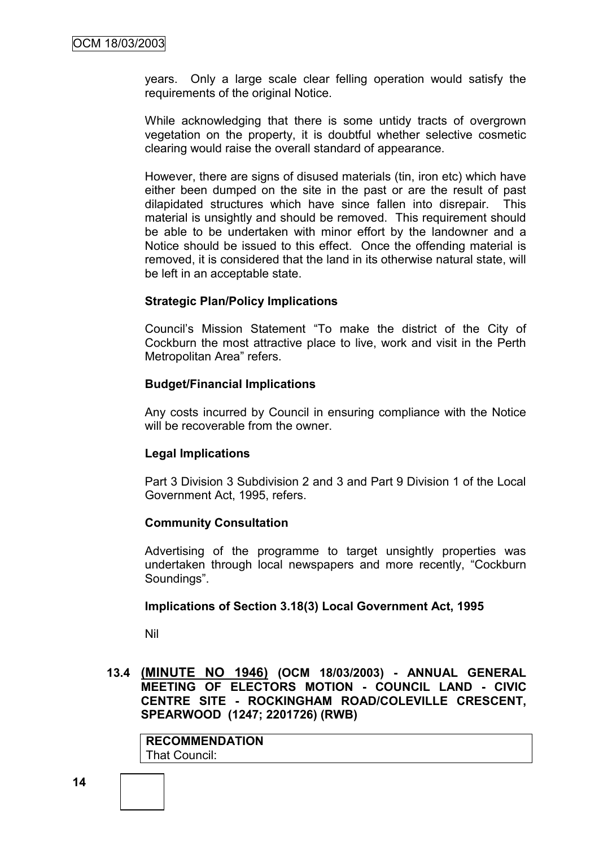years. Only a large scale clear felling operation would satisfy the requirements of the original Notice.

While acknowledging that there is some untidy tracts of overgrown vegetation on the property, it is doubtful whether selective cosmetic clearing would raise the overall standard of appearance.

However, there are signs of disused materials (tin, iron etc) which have either been dumped on the site in the past or are the result of past dilapidated structures which have since fallen into disrepair. This material is unsightly and should be removed. This requirement should be able to be undertaken with minor effort by the landowner and a Notice should be issued to this effect. Once the offending material is removed, it is considered that the land in its otherwise natural state, will be left in an acceptable state.

#### **Strategic Plan/Policy Implications**

Council"s Mission Statement "To make the district of the City of Cockburn the most attractive place to live, work and visit in the Perth Metropolitan Area" refers.

#### **Budget/Financial Implications**

Any costs incurred by Council in ensuring compliance with the Notice will be recoverable from the owner.

## **Legal Implications**

Part 3 Division 3 Subdivision 2 and 3 and Part 9 Division 1 of the Local Government Act, 1995, refers.

#### **Community Consultation**

Advertising of the programme to target unsightly properties was undertaken through local newspapers and more recently, "Cockburn Soundings".

#### **Implications of Section 3.18(3) Local Government Act, 1995**

Nil

## **13.4 (MINUTE NO 1946) (OCM 18/03/2003) - ANNUAL GENERAL MEETING OF ELECTORS MOTION - COUNCIL LAND - CIVIC CENTRE SITE - ROCKINGHAM ROAD/COLEVILLE CRESCENT, SPEARWOOD (1247; 2201726) (RWB)**

**RECOMMENDATION** That Council: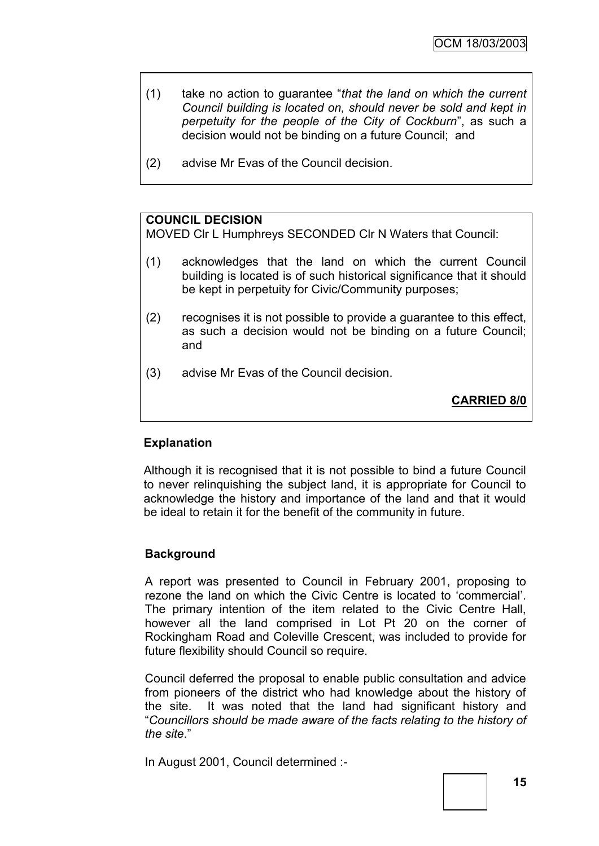- (1) take no action to guarantee "*that the land on which the current Council building is located on, should never be sold and kept in perpetuity for the people of the City of Cockburn*", as such a decision would not be binding on a future Council; and
- (2) advise Mr Evas of the Council decision.

## **COUNCIL DECISION**

MOVED Clr L Humphreys SECONDED Clr N Waters that Council:

- (1) acknowledges that the land on which the current Council building is located is of such historical significance that it should be kept in perpetuity for Civic/Community purposes;
- (2) recognises it is not possible to provide a guarantee to this effect, as such a decision would not be binding on a future Council; and
- (3) advise Mr Evas of the Council decision.

**CARRIED 8/0**

## **Explanation**

Although it is recognised that it is not possible to bind a future Council to never relinquishing the subject land, it is appropriate for Council to acknowledge the history and importance of the land and that it would be ideal to retain it for the benefit of the community in future.

## **Background**

A report was presented to Council in February 2001, proposing to rezone the land on which the Civic Centre is located to "commercial". The primary intention of the item related to the Civic Centre Hall, however all the land comprised in Lot Pt 20 on the corner of Rockingham Road and Coleville Crescent, was included to provide for future flexibility should Council so require.

Council deferred the proposal to enable public consultation and advice from pioneers of the district who had knowledge about the history of the site. It was noted that the land had significant history and "*Councillors should be made aware of the facts relating to the history of the site*."

In August 2001, Council determined :-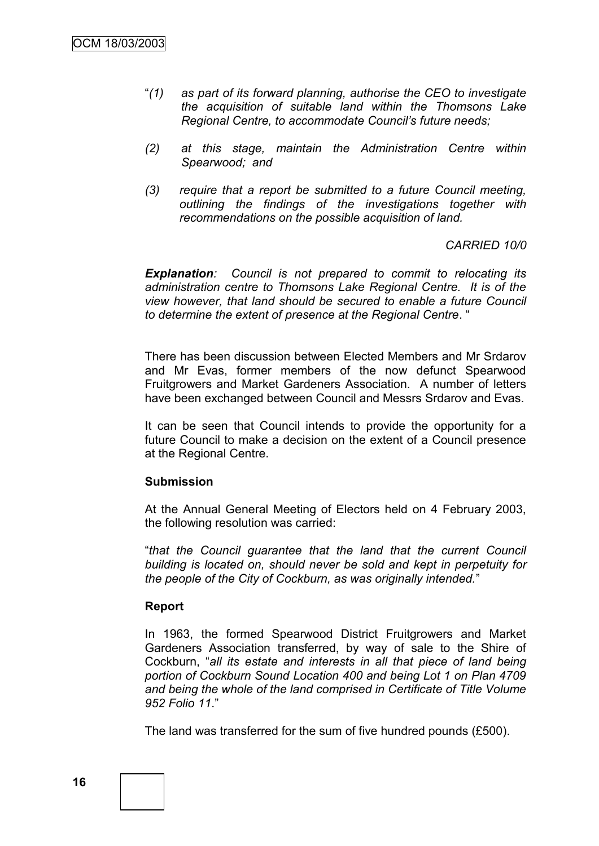- "*(1) as part of its forward planning, authorise the CEO to investigate the acquisition of suitable land within the Thomsons Lake Regional Centre, to accommodate Council's future needs;*
- *(2) at this stage, maintain the Administration Centre within Spearwood; and*
- *(3) require that a report be submitted to a future Council meeting, outlining the findings of the investigations together with recommendations on the possible acquisition of land.*

#### *CARRIED 10/0*

*Explanation: Council is not prepared to commit to relocating its administration centre to Thomsons Lake Regional Centre. It is of the view however, that land should be secured to enable a future Council to determine the extent of presence at the Regional Centre*. "

There has been discussion between Elected Members and Mr Srdarov and Mr Evas, former members of the now defunct Spearwood Fruitgrowers and Market Gardeners Association. A number of letters have been exchanged between Council and Messrs Srdarov and Evas.

It can be seen that Council intends to provide the opportunity for a future Council to make a decision on the extent of a Council presence at the Regional Centre.

#### **Submission**

At the Annual General Meeting of Electors held on 4 February 2003, the following resolution was carried:

"*that the Council guarantee that the land that the current Council building is located on, should never be sold and kept in perpetuity for the people of the City of Cockburn, as was originally intended.*"

#### **Report**

In 1963, the formed Spearwood District Fruitgrowers and Market Gardeners Association transferred, by way of sale to the Shire of Cockburn, "*all its estate and interests in all that piece of land being portion of Cockburn Sound Location 400 and being Lot 1 on Plan 4709 and being the whole of the land comprised in Certificate of Title Volume 952 Folio 11*."

The land was transferred for the sum of five hundred pounds (£500).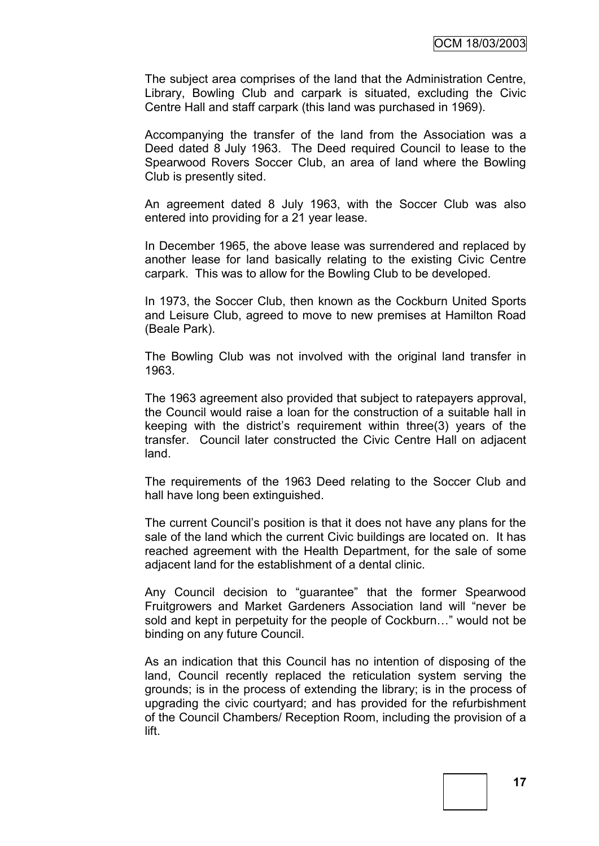The subject area comprises of the land that the Administration Centre, Library, Bowling Club and carpark is situated, excluding the Civic Centre Hall and staff carpark (this land was purchased in 1969).

Accompanying the transfer of the land from the Association was a Deed dated 8 July 1963. The Deed required Council to lease to the Spearwood Rovers Soccer Club, an area of land where the Bowling Club is presently sited.

An agreement dated 8 July 1963, with the Soccer Club was also entered into providing for a 21 year lease.

In December 1965, the above lease was surrendered and replaced by another lease for land basically relating to the existing Civic Centre carpark. This was to allow for the Bowling Club to be developed.

In 1973, the Soccer Club, then known as the Cockburn United Sports and Leisure Club, agreed to move to new premises at Hamilton Road (Beale Park).

The Bowling Club was not involved with the original land transfer in 1963.

The 1963 agreement also provided that subject to ratepayers approval, the Council would raise a loan for the construction of a suitable hall in keeping with the district"s requirement within three(3) years of the transfer. Council later constructed the Civic Centre Hall on adjacent land.

The requirements of the 1963 Deed relating to the Soccer Club and hall have long been extinguished.

The current Council"s position is that it does not have any plans for the sale of the land which the current Civic buildings are located on. It has reached agreement with the Health Department, for the sale of some adjacent land for the establishment of a dental clinic.

Any Council decision to "guarantee" that the former Spearwood Fruitgrowers and Market Gardeners Association land will "never be sold and kept in perpetuity for the people of Cockburn…" would not be binding on any future Council.

As an indication that this Council has no intention of disposing of the land, Council recently replaced the reticulation system serving the grounds; is in the process of extending the library; is in the process of upgrading the civic courtyard; and has provided for the refurbishment of the Council Chambers/ Reception Room, including the provision of a lift.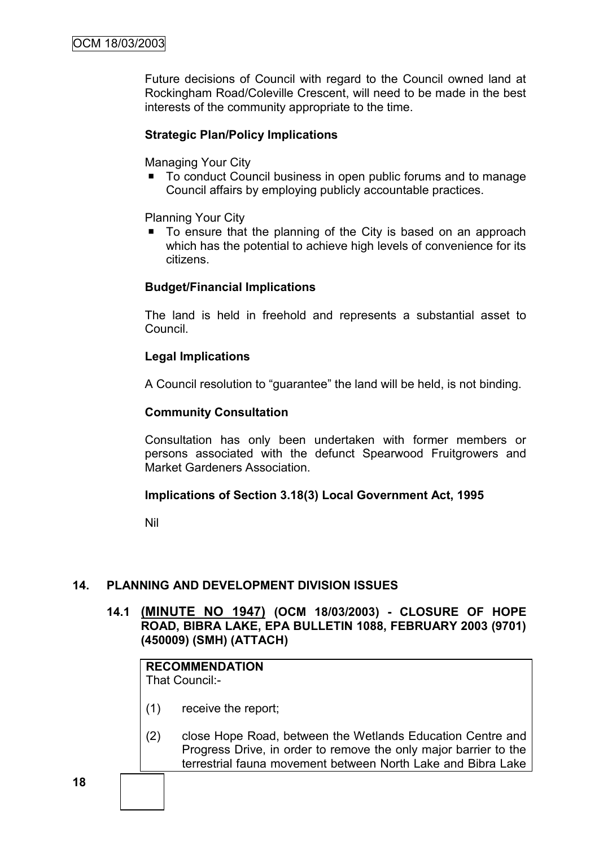Future decisions of Council with regard to the Council owned land at Rockingham Road/Coleville Crescent, will need to be made in the best interests of the community appropriate to the time.

# **Strategic Plan/Policy Implications**

Managing Your City

■ To conduct Council business in open public forums and to manage Council affairs by employing publicly accountable practices.

Planning Your City

■ To ensure that the planning of the City is based on an approach which has the potential to achieve high levels of convenience for its citizens.

## **Budget/Financial Implications**

The land is held in freehold and represents a substantial asset to Council.

## **Legal Implications**

A Council resolution to "guarantee" the land will be held, is not binding.

#### **Community Consultation**

Consultation has only been undertaken with former members or persons associated with the defunct Spearwood Fruitgrowers and Market Gardeners Association.

#### **Implications of Section 3.18(3) Local Government Act, 1995**

Nil

## **14. PLANNING AND DEVELOPMENT DIVISION ISSUES**

**14.1 (MINUTE NO 1947) (OCM 18/03/2003) - CLOSURE OF HOPE ROAD, BIBRA LAKE, EPA BULLETIN 1088, FEBRUARY 2003 (9701) (450009) (SMH) (ATTACH)**

# **RECOMMENDATION**

That Council:-

- (1) receive the report;
- (2) close Hope Road, between the Wetlands Education Centre and Progress Drive, in order to remove the only major barrier to the terrestrial fauna movement between North Lake and Bibra Lake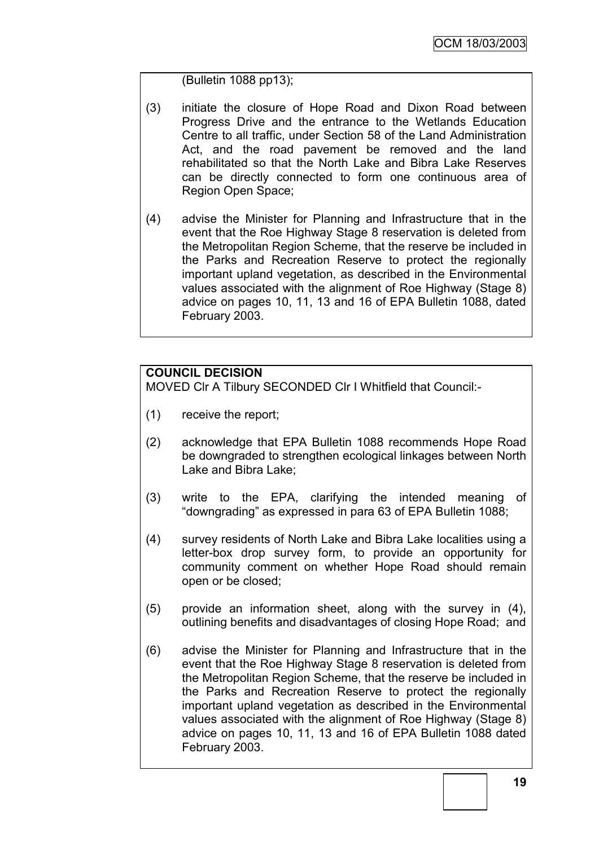(Bulletin 1088 pp13);

- (3) initiate the closure of Hope Road and Dixon Road between Progress Drive and the entrance to the Wetlands Education Centre to all traffic, under Section 58 of the Land Administration Act, and the road pavement be removed and the land rehabilitated so that the North Lake and Bibra Lake Reserves can be directly connected to form one continuous area of Region Open Space;
- (4) advise the Minister for Planning and Infrastructure that in the event that the Roe Highway Stage 8 reservation is deleted from the Metropolitan Region Scheme, that the reserve be included in the Parks and Recreation Reserve to protect the regionally important upland vegetation, as described in the Environmental values associated with the alignment of Roe Highway (Stage 8) advice on pages 10, 11, 13 and 16 of EPA Bulletin 1088, dated February 2003.

# **COUNCIL DECISION**

MOVED Clr A Tilbury SECONDED Clr I Whitfield that Council:-

- (1) receive the report;
- (2) acknowledge that EPA Bulletin 1088 recommends Hope Road be downgraded to strengthen ecological linkages between North Lake and Bibra Lake;
- (3) write to the EPA, clarifying the intended meaning of "downgrading" as expressed in para 63 of EPA Bulletin 1088;
- (4) survey residents of North Lake and Bibra Lake localities using a letter-box drop survey form, to provide an opportunity for community comment on whether Hope Road should remain open or be closed;
- (5) provide an information sheet, along with the survey in (4), outlining benefits and disadvantages of closing Hope Road; and
- (6) advise the Minister for Planning and Infrastructure that in the event that the Roe Highway Stage 8 reservation is deleted from the Metropolitan Region Scheme, that the reserve be included in the Parks and Recreation Reserve to protect the regionally important upland vegetation as described in the Environmental values associated with the alignment of Roe Highway (Stage 8) advice on pages 10, 11, 13 and 16 of EPA Bulletin 1088 dated February 2003.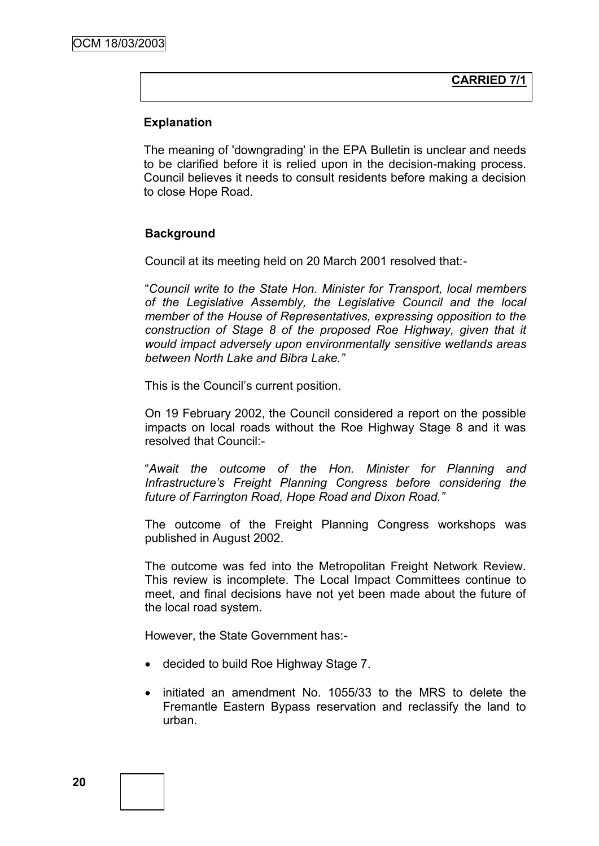# **Explanation**

The meaning of 'downgrading' in the EPA Bulletin is unclear and needs to be clarified before it is relied upon in the decision-making process. Council believes it needs to consult residents before making a decision to close Hope Road.

# **Background**

Council at its meeting held on 20 March 2001 resolved that:-

"*Council write to the State Hon. Minister for Transport, local members of the Legislative Assembly, the Legislative Council and the local member of the House of Representatives, expressing opposition to the*  construction of Stage 8 of the proposed Roe Highway, given that it *would impact adversely upon environmentally sensitive wetlands areas between North Lake and Bibra Lake."*

This is the Council"s current position.

On 19 February 2002, the Council considered a report on the possible impacts on local roads without the Roe Highway Stage 8 and it was resolved that Council:-

"*Await the outcome of the Hon. Minister for Planning and Infrastructure's Freight Planning Congress before considering the future of Farrington Road, Hope Road and Dixon Road."*

The outcome of the Freight Planning Congress workshops was published in August 2002.

The outcome was fed into the Metropolitan Freight Network Review. This review is incomplete. The Local Impact Committees continue to meet, and final decisions have not yet been made about the future of the local road system.

However, the State Government has:-

- decided to build Roe Highway Stage 7.
- initiated an amendment No. 1055/33 to the MRS to delete the Fremantle Eastern Bypass reservation and reclassify the land to urban.

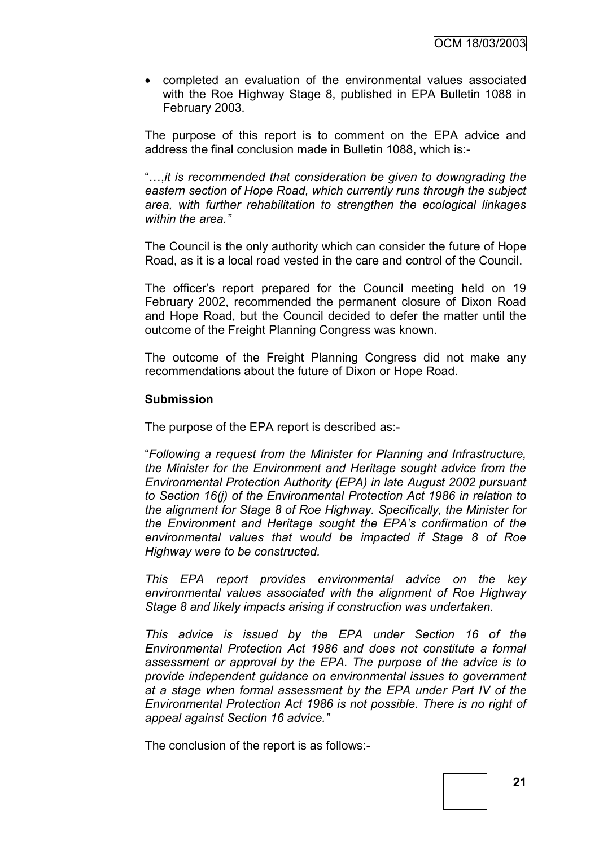completed an evaluation of the environmental values associated with the Roe Highway Stage 8, published in EPA Bulletin 1088 in February 2003.

The purpose of this report is to comment on the EPA advice and address the final conclusion made in Bulletin 1088, which is:-

"…,*it is recommended that consideration be given to downgrading the eastern section of Hope Road, which currently runs through the subject area, with further rehabilitation to strengthen the ecological linkages within the area."*

The Council is the only authority which can consider the future of Hope Road, as it is a local road vested in the care and control of the Council.

The officer"s report prepared for the Council meeting held on 19 February 2002, recommended the permanent closure of Dixon Road and Hope Road, but the Council decided to defer the matter until the outcome of the Freight Planning Congress was known.

The outcome of the Freight Planning Congress did not make any recommendations about the future of Dixon or Hope Road.

#### **Submission**

The purpose of the EPA report is described as:-

"*Following a request from the Minister for Planning and Infrastructure, the Minister for the Environment and Heritage sought advice from the Environmental Protection Authority (EPA) in late August 2002 pursuant to Section 16(j) of the Environmental Protection Act 1986 in relation to the alignment for Stage 8 of Roe Highway. Specifically, the Minister for the Environment and Heritage sought the EPA's confirmation of the environmental values that would be impacted if Stage 8 of Roe Highway were to be constructed.*

*This EPA report provides environmental advice on the key environmental values associated with the alignment of Roe Highway Stage 8 and likely impacts arising if construction was undertaken.*

*This advice is issued by the EPA under Section 16 of the Environmental Protection Act 1986 and does not constitute a formal assessment or approval by the EPA. The purpose of the advice is to provide independent guidance on environmental issues to government at a stage when formal assessment by the EPA under Part IV of the Environmental Protection Act 1986 is not possible. There is no right of appeal against Section 16 advice."*

The conclusion of the report is as follows:-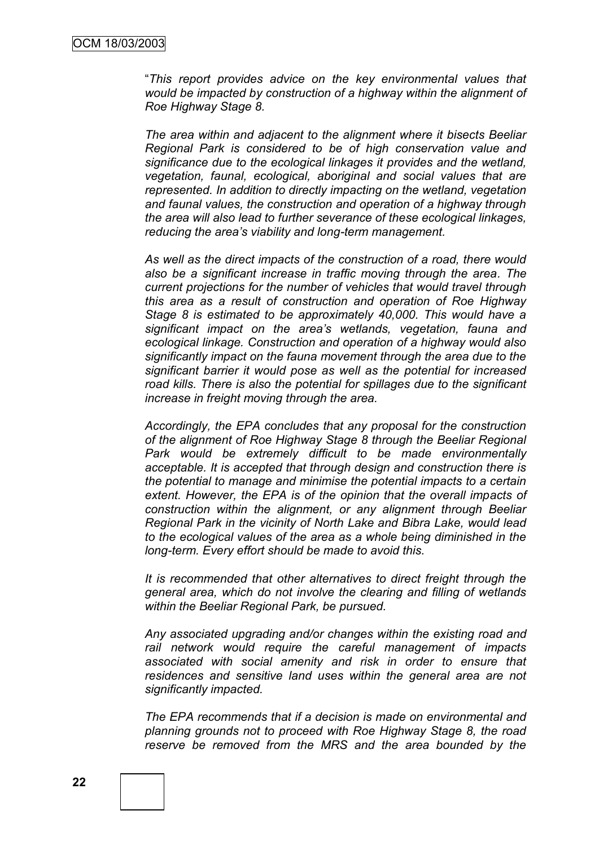"*This report provides advice on the key environmental values that would be impacted by construction of a highway within the alignment of Roe Highway Stage 8.*

*The area within and adjacent to the alignment where it bisects Beeliar Regional Park is considered to be of high conservation value and significance due to the ecological linkages it provides and the wetland, vegetation, faunal, ecological, aboriginal and social values that are represented. In addition to directly impacting on the wetland, vegetation and faunal values, the construction and operation of a highway through the area will also lead to further severance of these ecological linkages, reducing the area's viability and long-term management.*

*As well as the direct impacts of the construction of a road, there would also be a significant increase in traffic moving through the area. The current projections for the number of vehicles that would travel through this area as a result of construction and operation of Roe Highway Stage 8 is estimated to be approximately 40,000. This would have a significant impact on the area's wetlands, vegetation, fauna and ecological linkage. Construction and operation of a highway would also significantly impact on the fauna movement through the area due to the significant barrier it would pose as well as the potential for increased road kills. There is also the potential for spillages due to the significant increase in freight moving through the area.*

*Accordingly, the EPA concludes that any proposal for the construction of the alignment of Roe Highway Stage 8 through the Beeliar Regional Park would be extremely difficult to be made environmentally acceptable. It is accepted that through design and construction there is the potential to manage and minimise the potential impacts to a certain extent. However, the EPA is of the opinion that the overall impacts of construction within the alignment, or any alignment through Beeliar Regional Park in the vicinity of North Lake and Bibra Lake, would lead to the ecological values of the area as a whole being diminished in the long-term. Every effort should be made to avoid this.*

*It is recommended that other alternatives to direct freight through the general area, which do not involve the clearing and filling of wetlands within the Beeliar Regional Park, be pursued.*

*Any associated upgrading and/or changes within the existing road and rail network would require the careful management of impacts associated with social amenity and risk in order to ensure that residences and sensitive land uses within the general area are not significantly impacted.*

*The EPA recommends that if a decision is made on environmental and planning grounds not to proceed with Roe Highway Stage 8, the road reserve be removed from the MRS and the area bounded by the*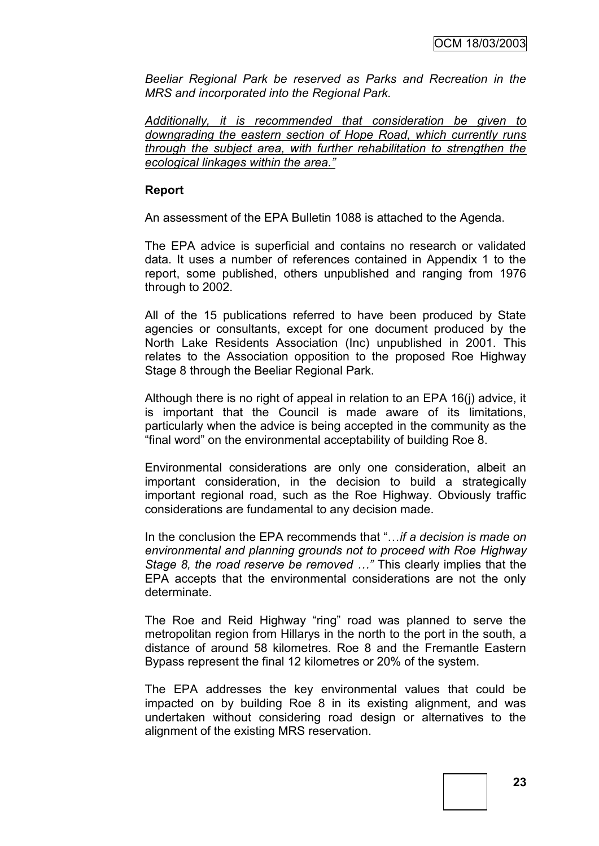*Beeliar Regional Park be reserved as Parks and Recreation in the MRS and incorporated into the Regional Park.*

*Additionally, it is recommended that consideration be given to downgrading the eastern section of Hope Road, which currently runs through the subject area, with further rehabilitation to strengthen the ecological linkages within the area."*

#### **Report**

An assessment of the EPA Bulletin 1088 is attached to the Agenda.

The EPA advice is superficial and contains no research or validated data. It uses a number of references contained in Appendix 1 to the report, some published, others unpublished and ranging from 1976 through to 2002.

All of the 15 publications referred to have been produced by State agencies or consultants, except for one document produced by the North Lake Residents Association (Inc) unpublished in 2001. This relates to the Association opposition to the proposed Roe Highway Stage 8 through the Beeliar Regional Park.

Although there is no right of appeal in relation to an EPA 16(j) advice, it is important that the Council is made aware of its limitations, particularly when the advice is being accepted in the community as the "final word" on the environmental acceptability of building Roe 8.

Environmental considerations are only one consideration, albeit an important consideration, in the decision to build a strategically important regional road, such as the Roe Highway. Obviously traffic considerations are fundamental to any decision made.

In the conclusion the EPA recommends that "…*if a decision is made on environmental and planning grounds not to proceed with Roe Highway Stage 8, the road reserve be removed …"* This clearly implies that the EPA accepts that the environmental considerations are not the only determinate.

The Roe and Reid Highway "ring" road was planned to serve the metropolitan region from Hillarys in the north to the port in the south, a distance of around 58 kilometres. Roe 8 and the Fremantle Eastern Bypass represent the final 12 kilometres or 20% of the system.

The EPA addresses the key environmental values that could be impacted on by building Roe 8 in its existing alignment, and was undertaken without considering road design or alternatives to the alignment of the existing MRS reservation.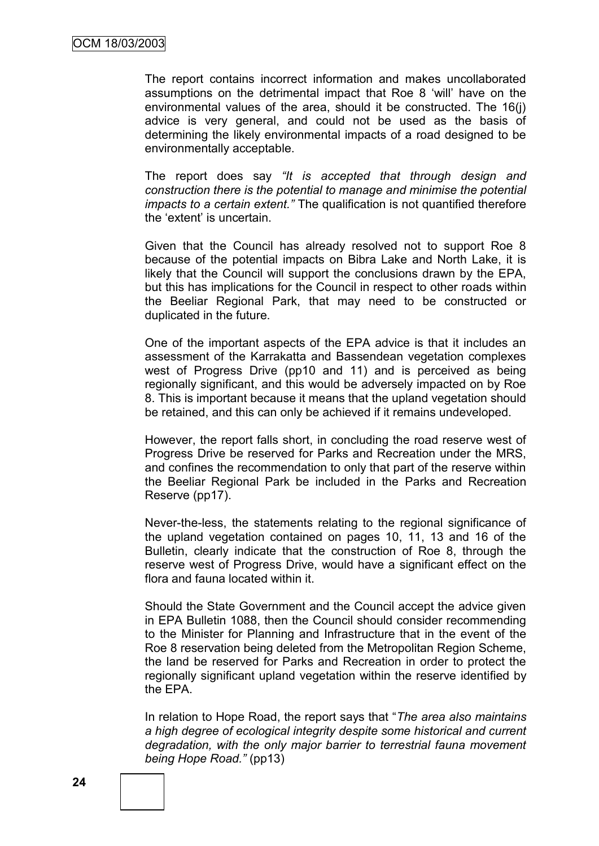The report contains incorrect information and makes uncollaborated assumptions on the detrimental impact that Roe 8 "will" have on the environmental values of the area, should it be constructed. The 16(j) advice is very general, and could not be used as the basis of determining the likely environmental impacts of a road designed to be environmentally acceptable.

The report does say *"It is accepted that through design and construction there is the potential to manage and minimise the potential impacts to a certain extent."* The qualification is not quantified therefore the "extent" is uncertain.

Given that the Council has already resolved not to support Roe 8 because of the potential impacts on Bibra Lake and North Lake, it is likely that the Council will support the conclusions drawn by the EPA, but this has implications for the Council in respect to other roads within the Beeliar Regional Park, that may need to be constructed or duplicated in the future.

One of the important aspects of the EPA advice is that it includes an assessment of the Karrakatta and Bassendean vegetation complexes west of Progress Drive (pp10 and 11) and is perceived as being regionally significant, and this would be adversely impacted on by Roe 8. This is important because it means that the upland vegetation should be retained, and this can only be achieved if it remains undeveloped.

However, the report falls short, in concluding the road reserve west of Progress Drive be reserved for Parks and Recreation under the MRS, and confines the recommendation to only that part of the reserve within the Beeliar Regional Park be included in the Parks and Recreation Reserve (pp17).

Never-the-less, the statements relating to the regional significance of the upland vegetation contained on pages 10, 11, 13 and 16 of the Bulletin, clearly indicate that the construction of Roe 8, through the reserve west of Progress Drive, would have a significant effect on the flora and fauna located within it.

Should the State Government and the Council accept the advice given in EPA Bulletin 1088, then the Council should consider recommending to the Minister for Planning and Infrastructure that in the event of the Roe 8 reservation being deleted from the Metropolitan Region Scheme, the land be reserved for Parks and Recreation in order to protect the regionally significant upland vegetation within the reserve identified by the EPA.

In relation to Hope Road, the report says that "*The area also maintains a high degree of ecological integrity despite some historical and current degradation, with the only major barrier to terrestrial fauna movement being Hope Road."* (pp13)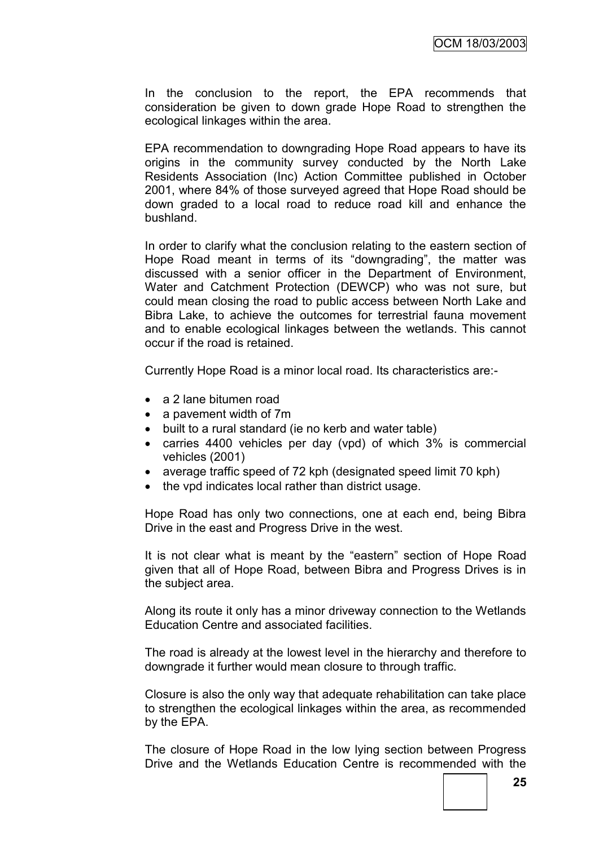In the conclusion to the report, the EPA recommends that consideration be given to down grade Hope Road to strengthen the ecological linkages within the area.

EPA recommendation to downgrading Hope Road appears to have its origins in the community survey conducted by the North Lake Residents Association (Inc) Action Committee published in October 2001, where 84% of those surveyed agreed that Hope Road should be down graded to a local road to reduce road kill and enhance the bushland.

In order to clarify what the conclusion relating to the eastern section of Hope Road meant in terms of its "downgrading", the matter was discussed with a senior officer in the Department of Environment, Water and Catchment Protection (DEWCP) who was not sure, but could mean closing the road to public access between North Lake and Bibra Lake, to achieve the outcomes for terrestrial fauna movement and to enable ecological linkages between the wetlands. This cannot occur if the road is retained.

Currently Hope Road is a minor local road. Its characteristics are:-

- a 2 lane bitumen road
- a pavement width of 7m
- built to a rural standard (ie no kerb and water table)
- carries 4400 vehicles per day (vpd) of which 3% is commercial vehicles (2001)
- average traffic speed of 72 kph (designated speed limit 70 kph)
- the vpd indicates local rather than district usage.

Hope Road has only two connections, one at each end, being Bibra Drive in the east and Progress Drive in the west.

It is not clear what is meant by the "eastern" section of Hope Road given that all of Hope Road, between Bibra and Progress Drives is in the subject area.

Along its route it only has a minor driveway connection to the Wetlands Education Centre and associated facilities.

The road is already at the lowest level in the hierarchy and therefore to downgrade it further would mean closure to through traffic.

Closure is also the only way that adequate rehabilitation can take place to strengthen the ecological linkages within the area, as recommended by the EPA.

The closure of Hope Road in the low lying section between Progress Drive and the Wetlands Education Centre is recommended with the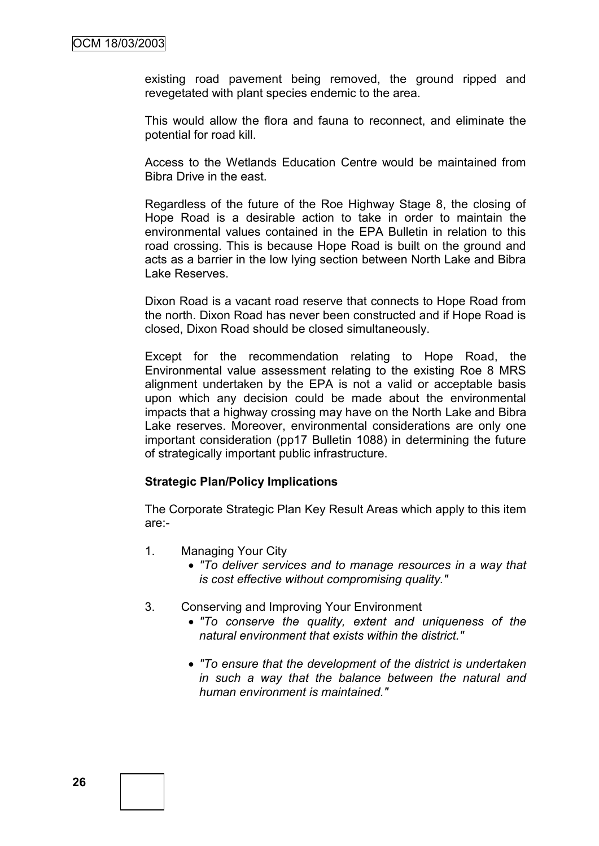existing road pavement being removed, the ground ripped and revegetated with plant species endemic to the area.

This would allow the flora and fauna to reconnect, and eliminate the potential for road kill.

Access to the Wetlands Education Centre would be maintained from Bibra Drive in the east.

Regardless of the future of the Roe Highway Stage 8, the closing of Hope Road is a desirable action to take in order to maintain the environmental values contained in the EPA Bulletin in relation to this road crossing. This is because Hope Road is built on the ground and acts as a barrier in the low lying section between North Lake and Bibra Lake Reserves.

Dixon Road is a vacant road reserve that connects to Hope Road from the north. Dixon Road has never been constructed and if Hope Road is closed, Dixon Road should be closed simultaneously.

Except for the recommendation relating to Hope Road, the Environmental value assessment relating to the existing Roe 8 MRS alignment undertaken by the EPA is not a valid or acceptable basis upon which any decision could be made about the environmental impacts that a highway crossing may have on the North Lake and Bibra Lake reserves. Moreover, environmental considerations are only one important consideration (pp17 Bulletin 1088) in determining the future of strategically important public infrastructure.

#### **Strategic Plan/Policy Implications**

The Corporate Strategic Plan Key Result Areas which apply to this item are:-

- 1. Managing Your City
	- *"To deliver services and to manage resources in a way that is cost effective without compromising quality."*
- 3. Conserving and Improving Your Environment
	- *"To conserve the quality, extent and uniqueness of the natural environment that exists within the district."*
	- *"To ensure that the development of the district is undertaken in such a way that the balance between the natural and human environment is maintained."*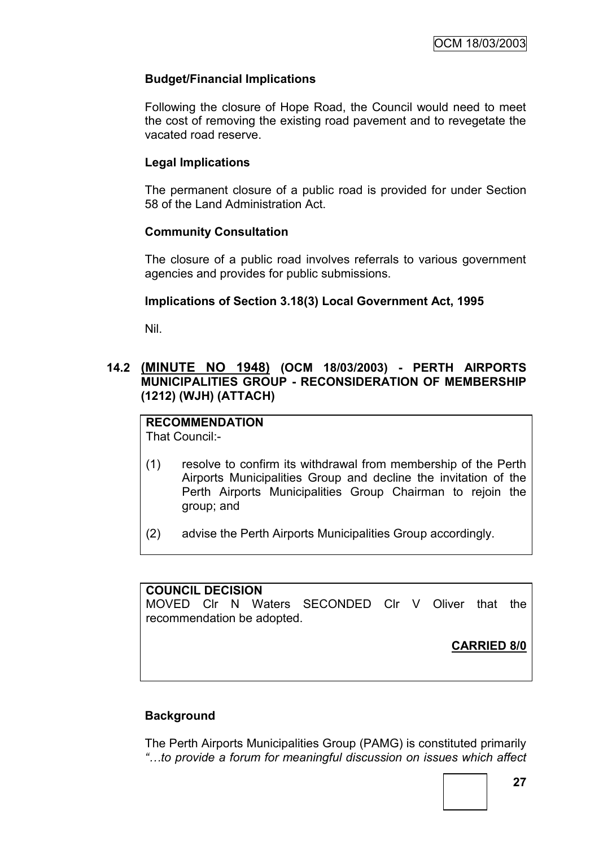# **Budget/Financial Implications**

Following the closure of Hope Road, the Council would need to meet the cost of removing the existing road pavement and to revegetate the vacated road reserve.

## **Legal Implications**

The permanent closure of a public road is provided for under Section 58 of the Land Administration Act.

## **Community Consultation**

The closure of a public road involves referrals to various government agencies and provides for public submissions.

## **Implications of Section 3.18(3) Local Government Act, 1995**

Nil.

## **14.2 (MINUTE NO 1948) (OCM 18/03/2003) - PERTH AIRPORTS MUNICIPALITIES GROUP - RECONSIDERATION OF MEMBERSHIP (1212) (WJH) (ATTACH)**

# **RECOMMENDATION**

That Council:-

- (1) resolve to confirm its withdrawal from membership of the Perth Airports Municipalities Group and decline the invitation of the Perth Airports Municipalities Group Chairman to rejoin the group; and
- (2) advise the Perth Airports Municipalities Group accordingly.

## **COUNCIL DECISION**

MOVED Clr N Waters SECONDED Clr V Oliver that the recommendation be adopted.

**CARRIED 8/0**

# **Background**

The Perth Airports Municipalities Group (PAMG) is constituted primarily *"…to provide a forum for meaningful discussion on issues which affect*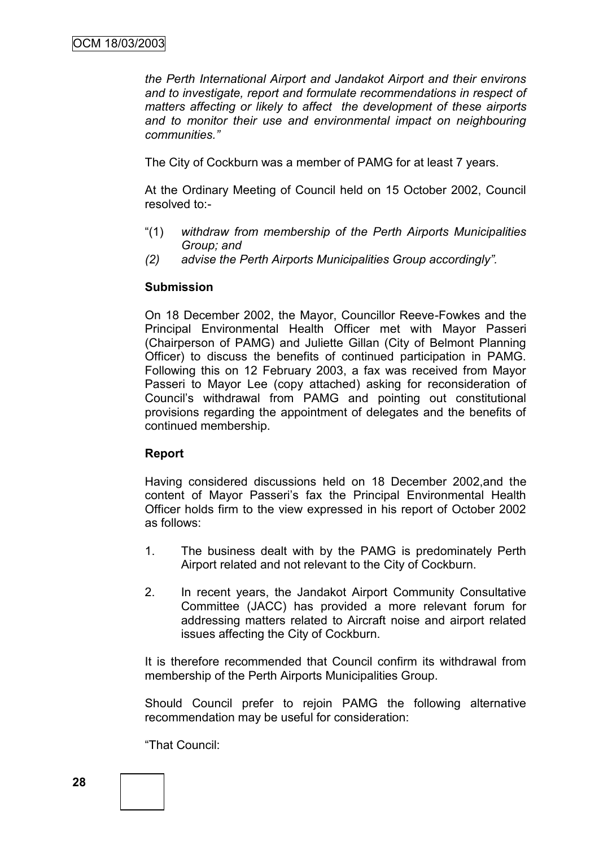*the Perth International Airport and Jandakot Airport and their environs and to investigate, report and formulate recommendations in respect of matters affecting or likely to affect the development of these airports*  and to monitor their use and environmental impact on neighbouring *communities."*

The City of Cockburn was a member of PAMG for at least 7 years.

At the Ordinary Meeting of Council held on 15 October 2002, Council resolved to:-

- "(1) *withdraw from membership of the Perth Airports Municipalities Group; and*
- *(2) advise the Perth Airports Municipalities Group accordingly".*

#### **Submission**

On 18 December 2002, the Mayor, Councillor Reeve-Fowkes and the Principal Environmental Health Officer met with Mayor Passeri (Chairperson of PAMG) and Juliette Gillan (City of Belmont Planning Officer) to discuss the benefits of continued participation in PAMG. Following this on 12 February 2003, a fax was received from Mayor Passeri to Mayor Lee (copy attached) asking for reconsideration of Council"s withdrawal from PAMG and pointing out constitutional provisions regarding the appointment of delegates and the benefits of continued membership.

## **Report**

Having considered discussions held on 18 December 2002,and the content of Mayor Passeri"s fax the Principal Environmental Health Officer holds firm to the view expressed in his report of October 2002 as follows:

- 1. The business dealt with by the PAMG is predominately Perth Airport related and not relevant to the City of Cockburn.
- 2. In recent years, the Jandakot Airport Community Consultative Committee (JACC) has provided a more relevant forum for addressing matters related to Aircraft noise and airport related issues affecting the City of Cockburn.

It is therefore recommended that Council confirm its withdrawal from membership of the Perth Airports Municipalities Group.

Should Council prefer to rejoin PAMG the following alternative recommendation may be useful for consideration:

"That Council: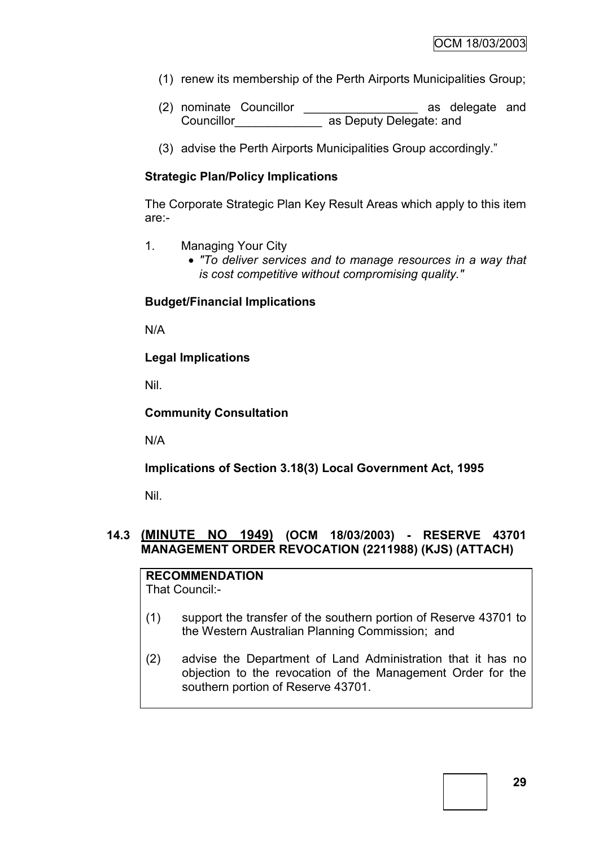- (1) renew its membership of the Perth Airports Municipalities Group;
- (2) nominate Councillor \_\_\_\_\_\_\_\_\_\_\_\_\_\_\_\_ as delegate and Councillor as Deputy Delegate: and
- (3) advise the Perth Airports Municipalities Group accordingly."

# **Strategic Plan/Policy Implications**

The Corporate Strategic Plan Key Result Areas which apply to this item are:-

- 1. Managing Your City
	- *"To deliver services and to manage resources in a way that is cost competitive without compromising quality."*

# **Budget/Financial Implications**

N/A

**Legal Implications**

Nil.

# **Community Consultation**

N/A

# **Implications of Section 3.18(3) Local Government Act, 1995**

Nil.

# **14.3 (MINUTE NO 1949) (OCM 18/03/2003) - RESERVE 43701 MANAGEMENT ORDER REVOCATION (2211988) (KJS) (ATTACH)**

# **RECOMMENDATION**

That Council:-

- (1) support the transfer of the southern portion of Reserve 43701 to the Western Australian Planning Commission; and
- (2) advise the Department of Land Administration that it has no objection to the revocation of the Management Order for the southern portion of Reserve 43701.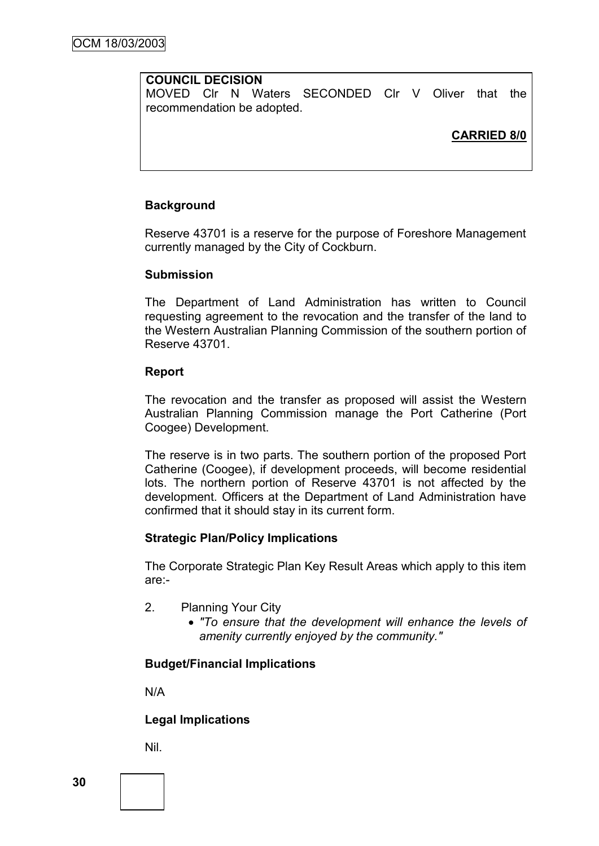## **COUNCIL DECISION**

MOVED Clr N Waters SECONDED Clr V Oliver that the recommendation be adopted.

# **CARRIED 8/0**

## **Background**

Reserve 43701 is a reserve for the purpose of Foreshore Management currently managed by the City of Cockburn.

#### **Submission**

The Department of Land Administration has written to Council requesting agreement to the revocation and the transfer of the land to the Western Australian Planning Commission of the southern portion of Reserve 43701.

#### **Report**

The revocation and the transfer as proposed will assist the Western Australian Planning Commission manage the Port Catherine (Port Coogee) Development.

The reserve is in two parts. The southern portion of the proposed Port Catherine (Coogee), if development proceeds, will become residential lots. The northern portion of Reserve 43701 is not affected by the development. Officers at the Department of Land Administration have confirmed that it should stay in its current form.

## **Strategic Plan/Policy Implications**

The Corporate Strategic Plan Key Result Areas which apply to this item are:-

- 2. Planning Your City
	- *"To ensure that the development will enhance the levels of amenity currently enjoyed by the community."*

## **Budget/Financial Implications**

N/A

## **Legal Implications**

Nil.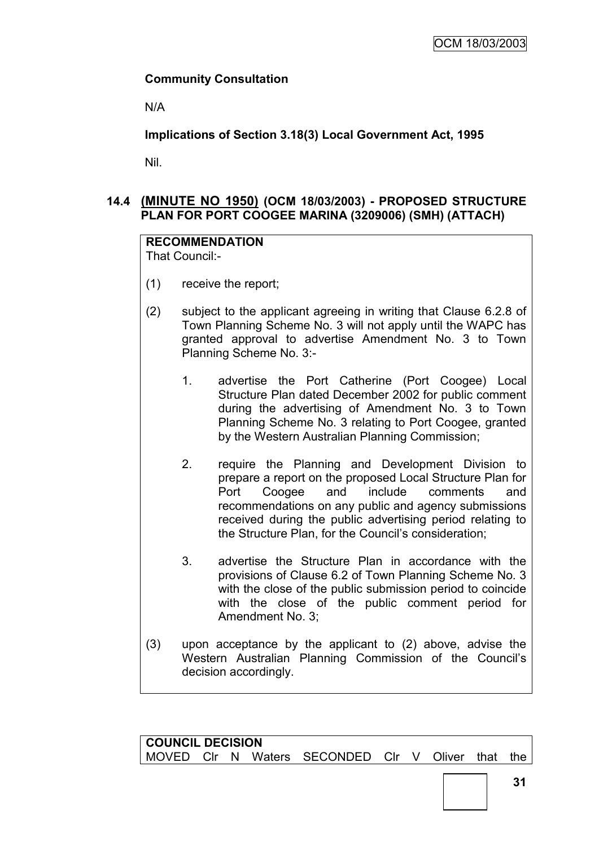# **Community Consultation**

N/A

**Implications of Section 3.18(3) Local Government Act, 1995**

Nil.

# **14.4 (MINUTE NO 1950) (OCM 18/03/2003) - PROPOSED STRUCTURE PLAN FOR PORT COOGEE MARINA (3209006) (SMH) (ATTACH)**

# **RECOMMENDATION**

That Council:-

- (1) receive the report;
- (2) subject to the applicant agreeing in writing that Clause 6.2.8 of Town Planning Scheme No. 3 will not apply until the WAPC has granted approval to advertise Amendment No. 3 to Town Planning Scheme No. 3:-
	- 1. advertise the Port Catherine (Port Coogee) Local Structure Plan dated December 2002 for public comment during the advertising of Amendment No. 3 to Town Planning Scheme No. 3 relating to Port Coogee, granted by the Western Australian Planning Commission;
	- 2. require the Planning and Development Division to prepare a report on the proposed Local Structure Plan for Port Coogee and include comments and recommendations on any public and agency submissions received during the public advertising period relating to the Structure Plan, for the Council"s consideration;
	- 3. advertise the Structure Plan in accordance with the provisions of Clause 6.2 of Town Planning Scheme No. 3 with the close of the public submission period to coincide with the close of the public comment period for Amendment No. 3;
- (3) upon acceptance by the applicant to (2) above, advise the Western Australian Planning Commission of the Council"s decision accordingly.

| <b>COUNCIL DECISION</b> |  |  |  |                                                   |  |  |  |  |  |
|-------------------------|--|--|--|---------------------------------------------------|--|--|--|--|--|
|                         |  |  |  | MOVED CIr N Waters SECONDED CIr V Oliver that the |  |  |  |  |  |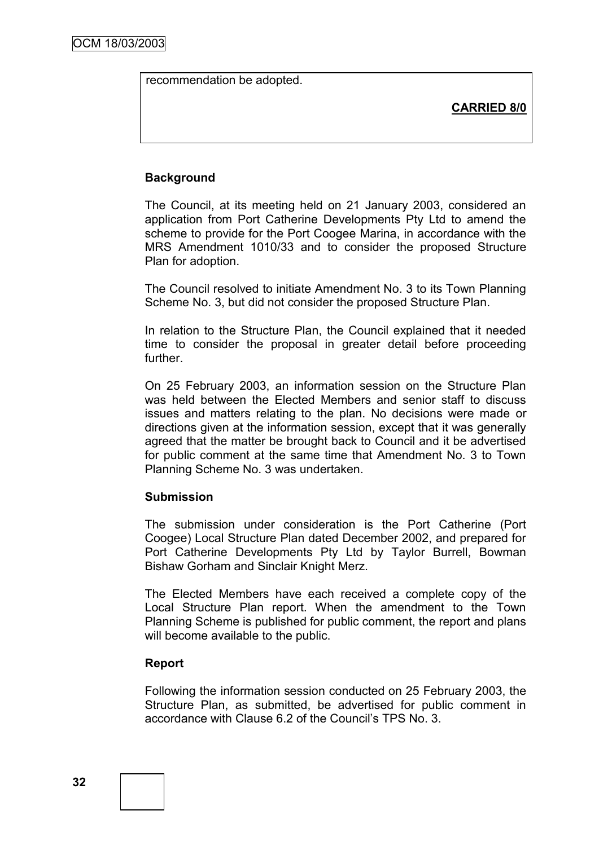recommendation be adopted.

**CARRIED 8/0**

# **Background**

The Council, at its meeting held on 21 January 2003, considered an application from Port Catherine Developments Pty Ltd to amend the scheme to provide for the Port Coogee Marina, in accordance with the MRS Amendment 1010/33 and to consider the proposed Structure Plan for adoption.

The Council resolved to initiate Amendment No. 3 to its Town Planning Scheme No. 3, but did not consider the proposed Structure Plan.

In relation to the Structure Plan, the Council explained that it needed time to consider the proposal in greater detail before proceeding further.

On 25 February 2003, an information session on the Structure Plan was held between the Elected Members and senior staff to discuss issues and matters relating to the plan. No decisions were made or directions given at the information session, except that it was generally agreed that the matter be brought back to Council and it be advertised for public comment at the same time that Amendment No. 3 to Town Planning Scheme No. 3 was undertaken.

## **Submission**

The submission under consideration is the Port Catherine (Port Coogee) Local Structure Plan dated December 2002, and prepared for Port Catherine Developments Pty Ltd by Taylor Burrell, Bowman Bishaw Gorham and Sinclair Knight Merz.

The Elected Members have each received a complete copy of the Local Structure Plan report. When the amendment to the Town Planning Scheme is published for public comment, the report and plans will become available to the public.

## **Report**

Following the information session conducted on 25 February 2003, the Structure Plan, as submitted, be advertised for public comment in accordance with Clause 6.2 of the Council"s TPS No. 3.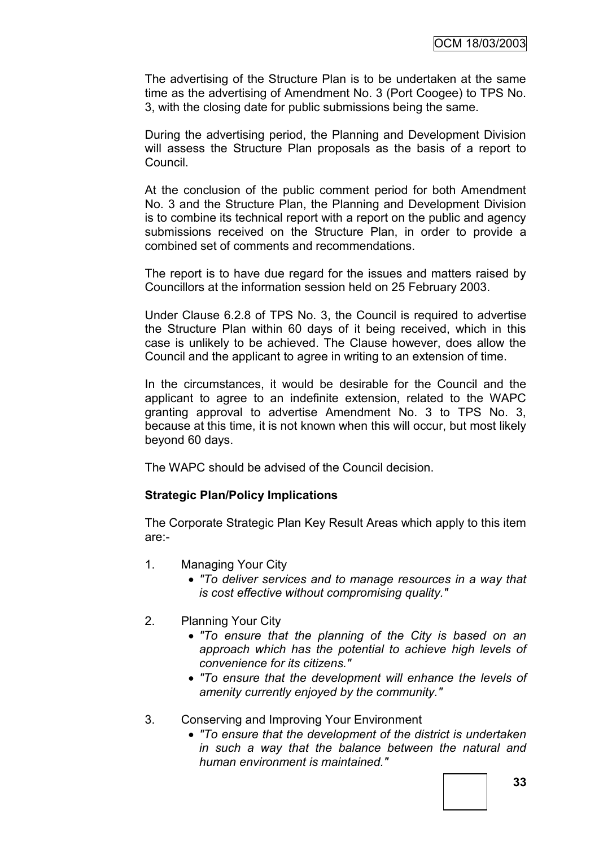The advertising of the Structure Plan is to be undertaken at the same time as the advertising of Amendment No. 3 (Port Coogee) to TPS No. 3, with the closing date for public submissions being the same.

During the advertising period, the Planning and Development Division will assess the Structure Plan proposals as the basis of a report to Council.

At the conclusion of the public comment period for both Amendment No. 3 and the Structure Plan, the Planning and Development Division is to combine its technical report with a report on the public and agency submissions received on the Structure Plan, in order to provide a combined set of comments and recommendations.

The report is to have due regard for the issues and matters raised by Councillors at the information session held on 25 February 2003.

Under Clause 6.2.8 of TPS No. 3, the Council is required to advertise the Structure Plan within 60 days of it being received, which in this case is unlikely to be achieved. The Clause however, does allow the Council and the applicant to agree in writing to an extension of time.

In the circumstances, it would be desirable for the Council and the applicant to agree to an indefinite extension, related to the WAPC granting approval to advertise Amendment No. 3 to TPS No. 3, because at this time, it is not known when this will occur, but most likely beyond 60 days.

The WAPC should be advised of the Council decision.

### **Strategic Plan/Policy Implications**

The Corporate Strategic Plan Key Result Areas which apply to this item are:-

- 1. Managing Your City
	- *"To deliver services and to manage resources in a way that is cost effective without compromising quality."*
- 2. Planning Your City
	- *"To ensure that the planning of the City is based on an approach which has the potential to achieve high levels of convenience for its citizens."*
	- *"To ensure that the development will enhance the levels of amenity currently enjoyed by the community."*
- 3. Conserving and Improving Your Environment
	- *"To ensure that the development of the district is undertaken in such a way that the balance between the natural and human environment is maintained."*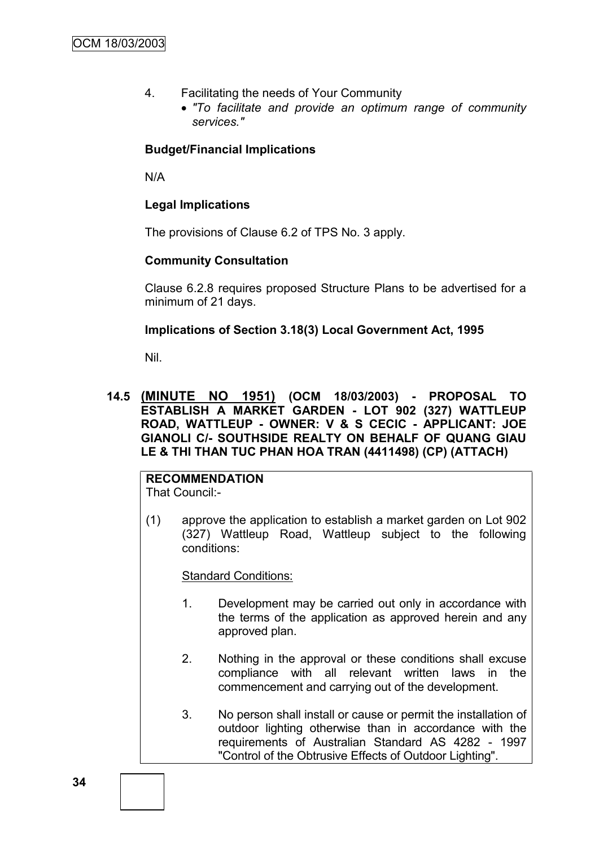- 4. Facilitating the needs of Your Community
	- *"To facilitate and provide an optimum range of community services."*

### **Budget/Financial Implications**

N/A

### **Legal Implications**

The provisions of Clause 6.2 of TPS No. 3 apply.

### **Community Consultation**

Clause 6.2.8 requires proposed Structure Plans to be advertised for a minimum of 21 days.

### **Implications of Section 3.18(3) Local Government Act, 1995**

Nil.

### **14.5 (MINUTE NO 1951) (OCM 18/03/2003) - PROPOSAL TO ESTABLISH A MARKET GARDEN - LOT 902 (327) WATTLEUP ROAD, WATTLEUP - OWNER: V & S CECIC - APPLICANT: JOE GIANOLI C/- SOUTHSIDE REALTY ON BEHALF OF QUANG GIAU LE & THI THAN TUC PHAN HOA TRAN (4411498) (CP) (ATTACH)**

**RECOMMENDATION** That Council:-

(1) approve the application to establish a market garden on Lot 902 (327) Wattleup Road, Wattleup subject to the following conditions:

**Standard Conditions:** 

- 1. Development may be carried out only in accordance with the terms of the application as approved herein and any approved plan.
- 2. Nothing in the approval or these conditions shall excuse compliance with all relevant written laws in the commencement and carrying out of the development.
- 3. No person shall install or cause or permit the installation of outdoor lighting otherwise than in accordance with the requirements of Australian Standard AS 4282 - 1997 "Control of the Obtrusive Effects of Outdoor Lighting".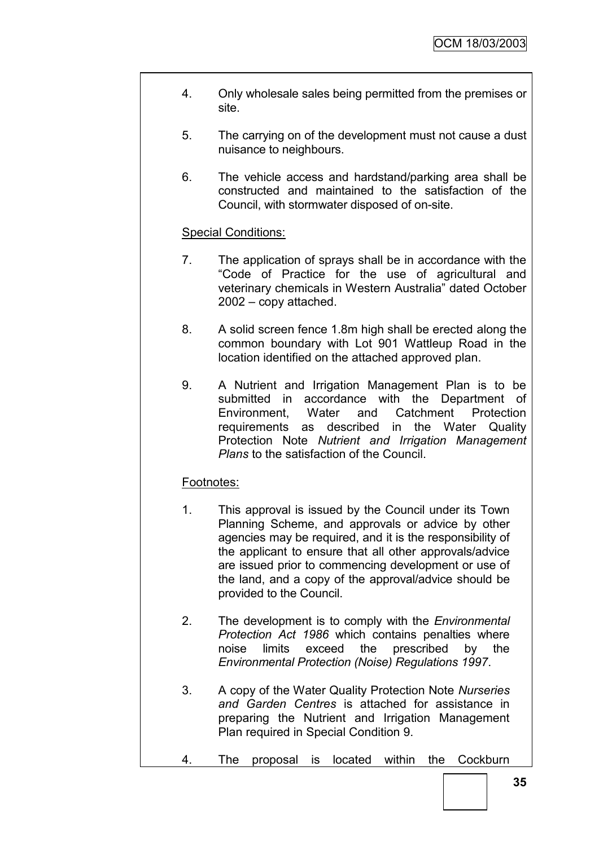- 4. Only wholesale sales being permitted from the premises or site.
- 5. The carrying on of the development must not cause a dust nuisance to neighbours.
- 6. The vehicle access and hardstand/parking area shall be constructed and maintained to the satisfaction of the Council, with stormwater disposed of on-site.

## Special Conditions:

- 7. The application of sprays shall be in accordance with the "Code of Practice for the use of agricultural and veterinary chemicals in Western Australia" dated October 2002 – copy attached.
- 8. A solid screen fence 1.8m high shall be erected along the common boundary with Lot 901 Wattleup Road in the location identified on the attached approved plan.
- 9. A Nutrient and Irrigation Management Plan is to be submitted in accordance with the Department of Environment, Water and Catchment Protection requirements as described in the Water Quality Protection Note *Nutrient and Irrigation Management Plans* to the satisfaction of the Council.

### Footnotes:

- 1. This approval is issued by the Council under its Town Planning Scheme, and approvals or advice by other agencies may be required, and it is the responsibility of the applicant to ensure that all other approvals/advice are issued prior to commencing development or use of the land, and a copy of the approval/advice should be provided to the Council.
- 2. The development is to comply with the *Environmental Protection Act 1986* which contains penalties where noise limits exceed the prescribed by the *Environmental Protection (Noise) Regulations 1997*.
- 3. A copy of the Water Quality Protection Note *Nurseries and Garden Centres* is attached for assistance in preparing the Nutrient and Irrigation Management Plan required in Special Condition 9.
- 4. The proposal is located within the Cockburn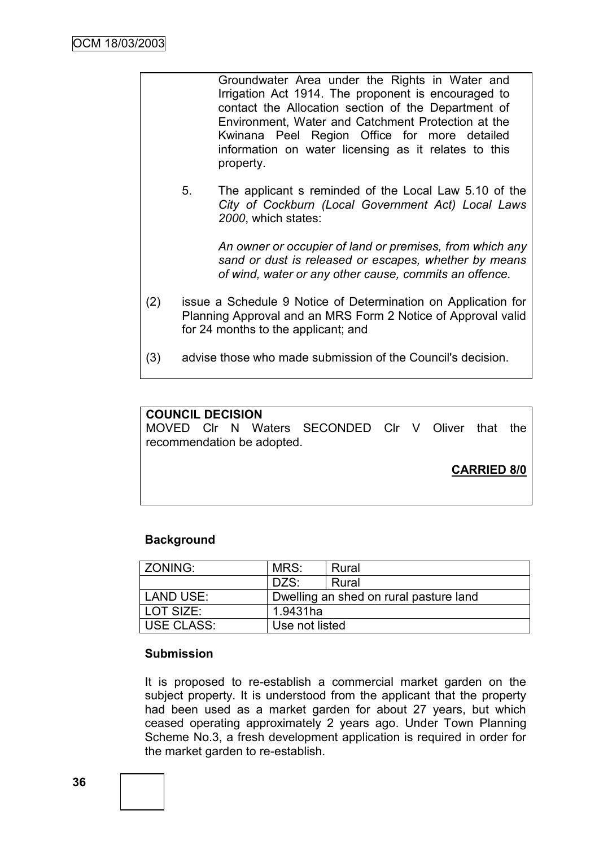|     |                                                                                                                                                                      | Groundwater Area under the Rights in Water and<br>Irrigation Act 1914. The proponent is encouraged to<br>contact the Allocation section of the Department of<br>Environment, Water and Catchment Protection at the<br>Kwinana Peel Region Office for more detailed<br>information on water licensing as it relates to this<br>property. |
|-----|----------------------------------------------------------------------------------------------------------------------------------------------------------------------|-----------------------------------------------------------------------------------------------------------------------------------------------------------------------------------------------------------------------------------------------------------------------------------------------------------------------------------------|
|     | 5 <sub>1</sub>                                                                                                                                                       | The applicant s reminded of the Local Law 5.10 of the<br>City of Cockburn (Local Government Act) Local Laws<br>2000, which states:                                                                                                                                                                                                      |
|     |                                                                                                                                                                      | An owner or occupier of land or premises, from which any<br>sand or dust is released or escapes, whether by means<br>of wind, water or any other cause, commits an offence.                                                                                                                                                             |
| (2) | issue a Schedule 9 Notice of Determination on Application for<br>Planning Approval and an MRS Form 2 Notice of Approval valid<br>for 24 months to the applicant; and |                                                                                                                                                                                                                                                                                                                                         |
| (3) |                                                                                                                                                                      | advise those who made submission of the Council's decision.                                                                                                                                                                                                                                                                             |

# **COUNCIL DECISION** MOVED Clr N Waters SECONDED Clr V Oliver that the recommendation be adopted. **CARRIED 8/0**

### **Background**

| ZONING:     | MRS:                                   | Rural |
|-------------|----------------------------------------|-------|
|             | DZS:                                   | Rural |
| l LAND USE: | Dwelling an shed on rural pasture land |       |
| l LOT SIZE: | 1.9431ha                               |       |
| USE CLASS:  | Use not listed                         |       |

## **Submission**

It is proposed to re-establish a commercial market garden on the subject property. It is understood from the applicant that the property had been used as a market garden for about 27 years, but which ceased operating approximately 2 years ago. Under Town Planning Scheme No.3, a fresh development application is required in order for the market garden to re-establish.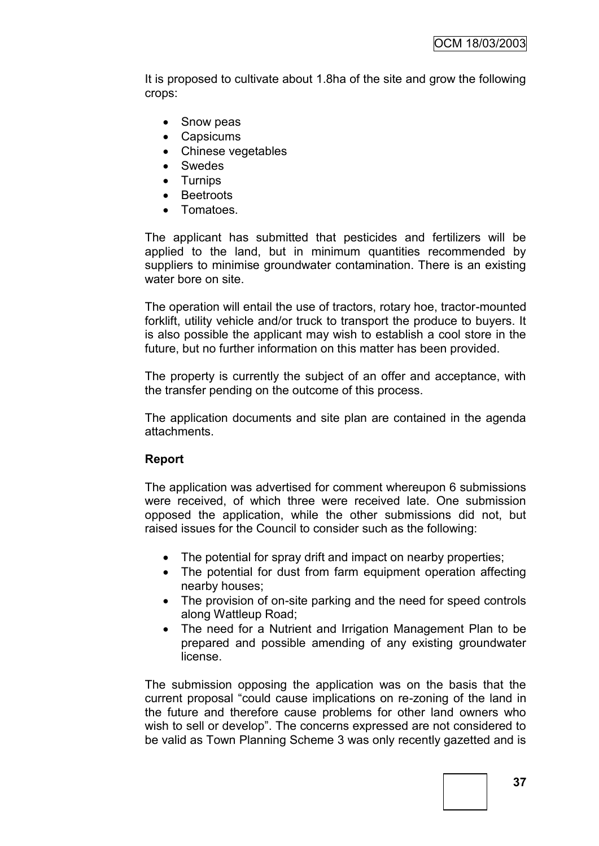It is proposed to cultivate about 1.8ha of the site and grow the following crops:

- Snow peas
- Capsicums
- Chinese vegetables
- Swedes
- Turnips
- Beetroots
- Tomatoes.

The applicant has submitted that pesticides and fertilizers will be applied to the land, but in minimum quantities recommended by suppliers to minimise groundwater contamination. There is an existing water bore on site.

The operation will entail the use of tractors, rotary hoe, tractor-mounted forklift, utility vehicle and/or truck to transport the produce to buyers. It is also possible the applicant may wish to establish a cool store in the future, but no further information on this matter has been provided.

The property is currently the subject of an offer and acceptance, with the transfer pending on the outcome of this process.

The application documents and site plan are contained in the agenda attachments.

### **Report**

The application was advertised for comment whereupon 6 submissions were received, of which three were received late. One submission opposed the application, while the other submissions did not, but raised issues for the Council to consider such as the following:

- The potential for spray drift and impact on nearby properties:
- The potential for dust from farm equipment operation affecting nearby houses;
- The provision of on-site parking and the need for speed controls along Wattleup Road;
- The need for a Nutrient and Irrigation Management Plan to be prepared and possible amending of any existing groundwater license.

The submission opposing the application was on the basis that the current proposal "could cause implications on re-zoning of the land in the future and therefore cause problems for other land owners who wish to sell or develop". The concerns expressed are not considered to be valid as Town Planning Scheme 3 was only recently gazetted and is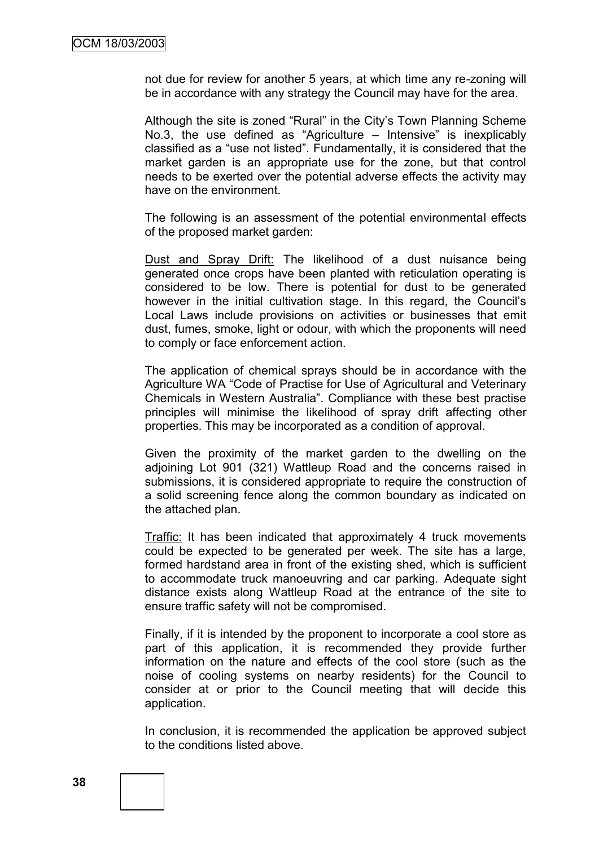not due for review for another 5 years, at which time any re-zoning will be in accordance with any strategy the Council may have for the area.

Although the site is zoned "Rural" in the City"s Town Planning Scheme No.3, the use defined as "Agriculture – Intensive" is inexplicably classified as a "use not listed". Fundamentally, it is considered that the market garden is an appropriate use for the zone, but that control needs to be exerted over the potential adverse effects the activity may have on the environment.

The following is an assessment of the potential environmental effects of the proposed market garden:

Dust and Spray Drift: The likelihood of a dust nuisance being generated once crops have been planted with reticulation operating is considered to be low. There is potential for dust to be generated however in the initial cultivation stage. In this regard, the Council"s Local Laws include provisions on activities or businesses that emit dust, fumes, smoke, light or odour, with which the proponents will need to comply or face enforcement action.

The application of chemical sprays should be in accordance with the Agriculture WA "Code of Practise for Use of Agricultural and Veterinary Chemicals in Western Australia". Compliance with these best practise principles will minimise the likelihood of spray drift affecting other properties. This may be incorporated as a condition of approval.

Given the proximity of the market garden to the dwelling on the adjoining Lot 901 (321) Wattleup Road and the concerns raised in submissions, it is considered appropriate to require the construction of a solid screening fence along the common boundary as indicated on the attached plan.

Traffic: It has been indicated that approximately 4 truck movements could be expected to be generated per week. The site has a large, formed hardstand area in front of the existing shed, which is sufficient to accommodate truck manoeuvring and car parking. Adequate sight distance exists along Wattleup Road at the entrance of the site to ensure traffic safety will not be compromised.

Finally, if it is intended by the proponent to incorporate a cool store as part of this application, it is recommended they provide further information on the nature and effects of the cool store (such as the noise of cooling systems on nearby residents) for the Council to consider at or prior to the Council meeting that will decide this application.

In conclusion, it is recommended the application be approved subject to the conditions listed above.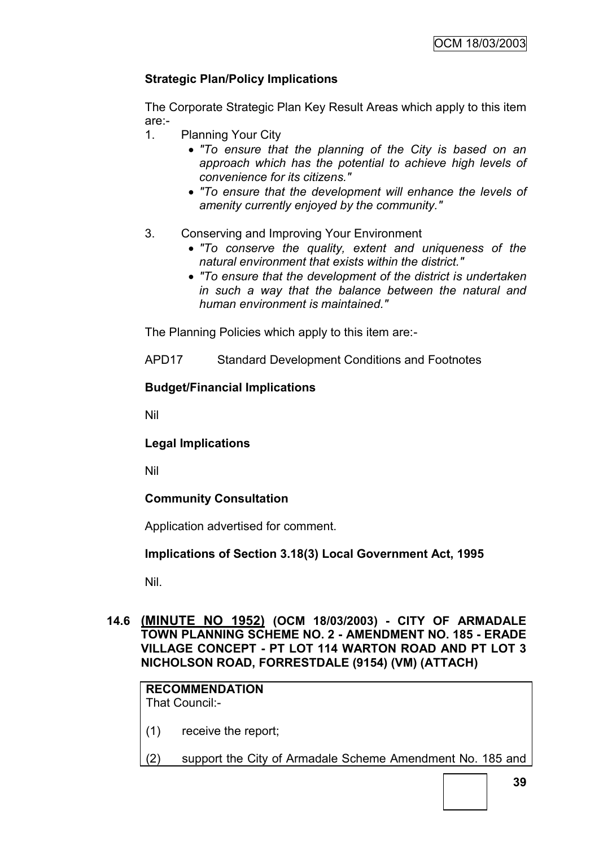## **Strategic Plan/Policy Implications**

The Corporate Strategic Plan Key Result Areas which apply to this item are:-

- 1. Planning Your City
	- *"To ensure that the planning of the City is based on an approach which has the potential to achieve high levels of convenience for its citizens."*
	- *"To ensure that the development will enhance the levels of amenity currently enjoyed by the community."*
- 3. Conserving and Improving Your Environment
	- *"To conserve the quality, extent and uniqueness of the natural environment that exists within the district."*
	- *"To ensure that the development of the district is undertaken in such a way that the balance between the natural and human environment is maintained."*

The Planning Policies which apply to this item are:-

APD17 Standard Development Conditions and Footnotes

### **Budget/Financial Implications**

Nil

**Legal Implications**

Nil

### **Community Consultation**

Application advertised for comment.

### **Implications of Section 3.18(3) Local Government Act, 1995**

Nil.

### **14.6 (MINUTE NO 1952) (OCM 18/03/2003) - CITY OF ARMADALE TOWN PLANNING SCHEME NO. 2 - AMENDMENT NO. 185 - ERADE VILLAGE CONCEPT - PT LOT 114 WARTON ROAD AND PT LOT 3 NICHOLSON ROAD, FORRESTDALE (9154) (VM) (ATTACH)**

## **RECOMMENDATION**

That Council:-

- (1) receive the report;
- (2) support the City of Armadale Scheme Amendment No. 185 and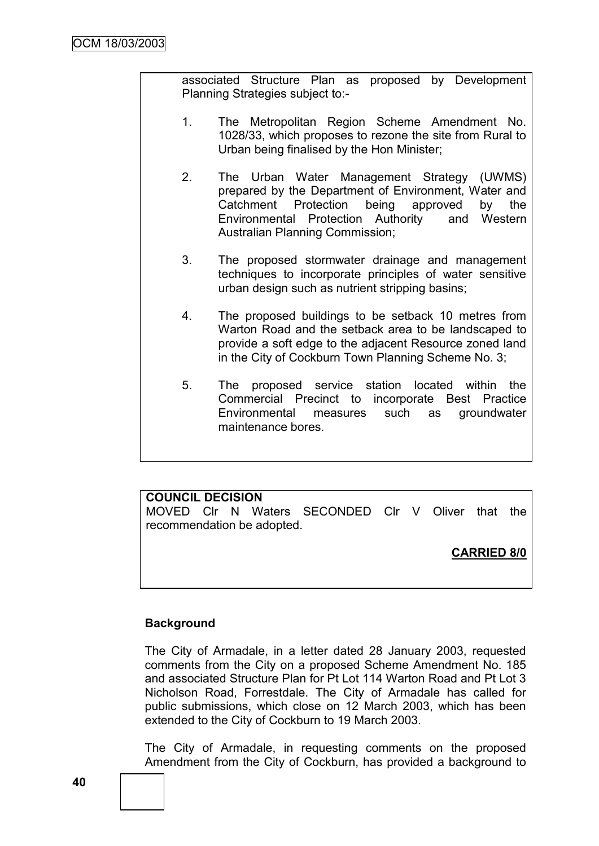associated Structure Plan as proposed by Development Planning Strategies subject to:-

- 1. The Metropolitan Region Scheme Amendment No. 1028/33, which proposes to rezone the site from Rural to Urban being finalised by the Hon Minister;
- 2. The Urban Water Management Strategy (UWMS) prepared by the Department of Environment, Water and Catchment Protection being approved by the Environmental Protection Authority and Western Australian Planning Commission;
- 3. The proposed stormwater drainage and management techniques to incorporate principles of water sensitive urban design such as nutrient stripping basins;
- 4. The proposed buildings to be setback 10 metres from Warton Road and the setback area to be landscaped to provide a soft edge to the adjacent Resource zoned land in the City of Cockburn Town Planning Scheme No. 3;
- 5. The proposed service station located within the Commercial Precinct to incorporate Best Practice Environmental measures such as groundwater maintenance bores.

## **COUNCIL DECISION**

MOVED Clr N Waters SECONDED Clr V Oliver that the recommendation be adopted.

**CARRIED 8/0**

## **Background**

The City of Armadale, in a letter dated 28 January 2003, requested comments from the City on a proposed Scheme Amendment No. 185 and associated Structure Plan for Pt Lot 114 Warton Road and Pt Lot 3 Nicholson Road, Forrestdale. The City of Armadale has called for public submissions, which close on 12 March 2003, which has been extended to the City of Cockburn to 19 March 2003.

The City of Armadale, in requesting comments on the proposed Amendment from the City of Cockburn, has provided a background to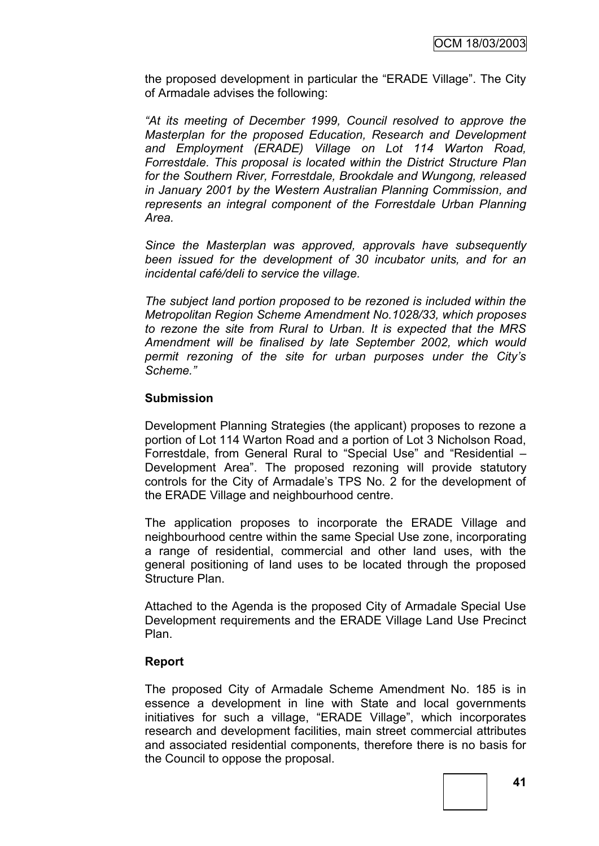the proposed development in particular the "ERADE Village". The City of Armadale advises the following:

*"At its meeting of December 1999, Council resolved to approve the Masterplan for the proposed Education, Research and Development and Employment (ERADE) Village on Lot 114 Warton Road, Forrestdale. This proposal is located within the District Structure Plan for the Southern River, Forrestdale, Brookdale and Wungong, released in January 2001 by the Western Australian Planning Commission, and represents an integral component of the Forrestdale Urban Planning Area.*

*Since the Masterplan was approved, approvals have subsequently been issued for the development of 30 incubator units, and for an incidental café/deli to service the village.*

*The subject land portion proposed to be rezoned is included within the Metropolitan Region Scheme Amendment No.1028/33, which proposes to rezone the site from Rural to Urban. It is expected that the MRS Amendment will be finalised by late September 2002, which would permit rezoning of the site for urban purposes under the City's Scheme."*

### **Submission**

Development Planning Strategies (the applicant) proposes to rezone a portion of Lot 114 Warton Road and a portion of Lot 3 Nicholson Road, Forrestdale, from General Rural to "Special Use" and "Residential – Development Area". The proposed rezoning will provide statutory controls for the City of Armadale"s TPS No. 2 for the development of the ERADE Village and neighbourhood centre.

The application proposes to incorporate the ERADE Village and neighbourhood centre within the same Special Use zone, incorporating a range of residential, commercial and other land uses, with the general positioning of land uses to be located through the proposed Structure Plan.

Attached to the Agenda is the proposed City of Armadale Special Use Development requirements and the ERADE Village Land Use Precinct Plan.

### **Report**

The proposed City of Armadale Scheme Amendment No. 185 is in essence a development in line with State and local governments initiatives for such a village, "ERADE Village", which incorporates research and development facilities, main street commercial attributes and associated residential components, therefore there is no basis for the Council to oppose the proposal.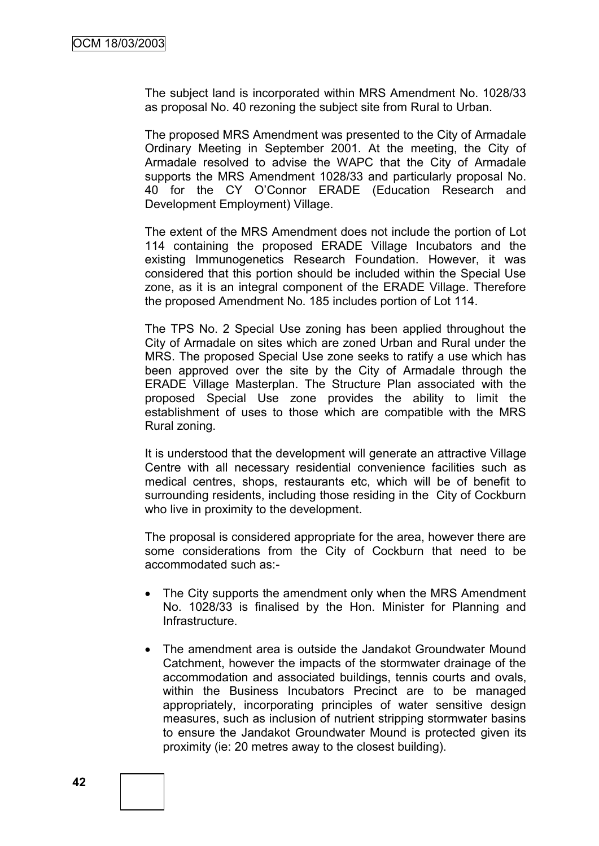The subject land is incorporated within MRS Amendment No. 1028/33 as proposal No. 40 rezoning the subject site from Rural to Urban.

The proposed MRS Amendment was presented to the City of Armadale Ordinary Meeting in September 2001. At the meeting, the City of Armadale resolved to advise the WAPC that the City of Armadale supports the MRS Amendment 1028/33 and particularly proposal No. 40 for the CY O"Connor ERADE (Education Research and Development Employment) Village.

The extent of the MRS Amendment does not include the portion of Lot 114 containing the proposed ERADE Village Incubators and the existing Immunogenetics Research Foundation. However, it was considered that this portion should be included within the Special Use zone, as it is an integral component of the ERADE Village. Therefore the proposed Amendment No. 185 includes portion of Lot 114.

The TPS No. 2 Special Use zoning has been applied throughout the City of Armadale on sites which are zoned Urban and Rural under the MRS. The proposed Special Use zone seeks to ratify a use which has been approved over the site by the City of Armadale through the ERADE Village Masterplan. The Structure Plan associated with the proposed Special Use zone provides the ability to limit the establishment of uses to those which are compatible with the MRS Rural zoning.

It is understood that the development will generate an attractive Village Centre with all necessary residential convenience facilities such as medical centres, shops, restaurants etc, which will be of benefit to surrounding residents, including those residing in the City of Cockburn who live in proximity to the development.

The proposal is considered appropriate for the area, however there are some considerations from the City of Cockburn that need to be accommodated such as:-

- The City supports the amendment only when the MRS Amendment No. 1028/33 is finalised by the Hon. Minister for Planning and Infrastructure.
- The amendment area is outside the Jandakot Groundwater Mound Catchment, however the impacts of the stormwater drainage of the accommodation and associated buildings, tennis courts and ovals, within the Business Incubators Precinct are to be managed appropriately, incorporating principles of water sensitive design measures, such as inclusion of nutrient stripping stormwater basins to ensure the Jandakot Groundwater Mound is protected given its proximity (ie: 20 metres away to the closest building).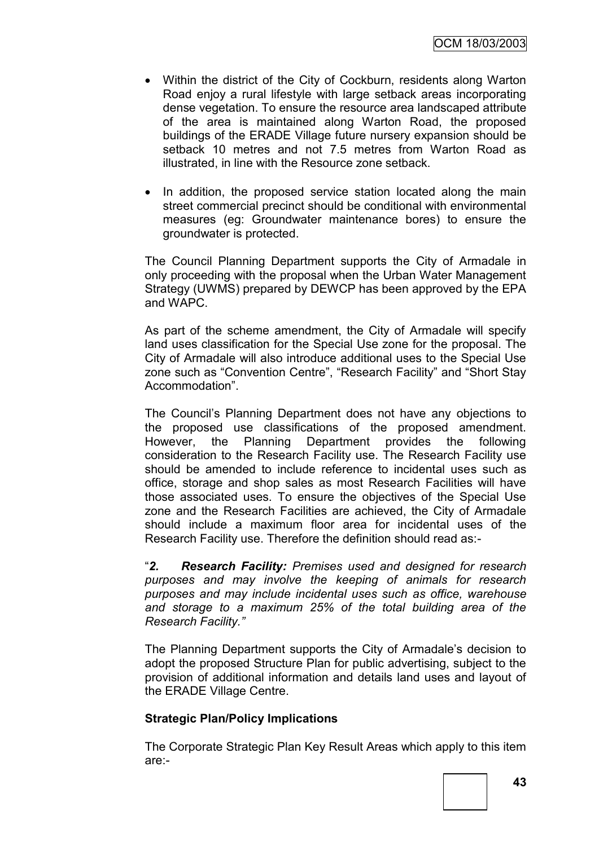- Within the district of the City of Cockburn, residents along Warton Road enjoy a rural lifestyle with large setback areas incorporating dense vegetation. To ensure the resource area landscaped attribute of the area is maintained along Warton Road, the proposed buildings of the ERADE Village future nursery expansion should be setback 10 metres and not 7.5 metres from Warton Road as illustrated, in line with the Resource zone setback.
- In addition, the proposed service station located along the main street commercial precinct should be conditional with environmental measures (eg: Groundwater maintenance bores) to ensure the groundwater is protected.

The Council Planning Department supports the City of Armadale in only proceeding with the proposal when the Urban Water Management Strategy (UWMS) prepared by DEWCP has been approved by the EPA and WAPC.

As part of the scheme amendment, the City of Armadale will specify land uses classification for the Special Use zone for the proposal. The City of Armadale will also introduce additional uses to the Special Use zone such as "Convention Centre", "Research Facility" and "Short Stay Accommodation".

The Council"s Planning Department does not have any objections to the proposed use classifications of the proposed amendment. However, the Planning Department provides the following consideration to the Research Facility use. The Research Facility use should be amended to include reference to incidental uses such as office, storage and shop sales as most Research Facilities will have those associated uses. To ensure the objectives of the Special Use zone and the Research Facilities are achieved, the City of Armadale should include a maximum floor area for incidental uses of the Research Facility use. Therefore the definition should read as:-

"*2. Research Facility: Premises used and designed for research purposes and may involve the keeping of animals for research purposes and may include incidental uses such as office, warehouse and storage to a maximum 25% of the total building area of the Research Facility."*

The Planning Department supports the City of Armadale"s decision to adopt the proposed Structure Plan for public advertising, subject to the provision of additional information and details land uses and layout of the ERADE Village Centre.

### **Strategic Plan/Policy Implications**

The Corporate Strategic Plan Key Result Areas which apply to this item are:-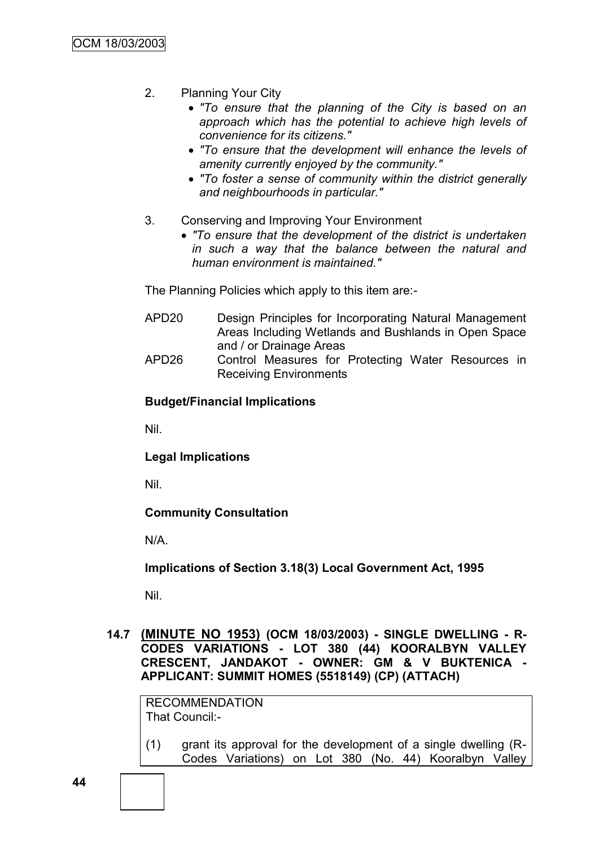- 2. Planning Your City
	- *"To ensure that the planning of the City is based on an approach which has the potential to achieve high levels of convenience for its citizens."*
	- *"To ensure that the development will enhance the levels of amenity currently enjoyed by the community."*
	- *"To foster a sense of community within the district generally and neighbourhoods in particular."*
- 3. Conserving and Improving Your Environment
	- *"To ensure that the development of the district is undertaken in such a way that the balance between the natural and human environment is maintained."*

The Planning Policies which apply to this item are:-

- APD20 Design Principles for Incorporating Natural Management Areas Including Wetlands and Bushlands in Open Space and / or Drainage Areas
- APD26 Control Measures for Protecting Water Resources in Receiving Environments

### **Budget/Financial Implications**

Nil.

**Legal Implications**

Nil.

**Community Consultation**

N/A.

**Implications of Section 3.18(3) Local Government Act, 1995**

Nil.

**14.7 (MINUTE NO 1953) (OCM 18/03/2003) - SINGLE DWELLING - R-CODES VARIATIONS - LOT 380 (44) KOORALBYN VALLEY CRESCENT, JANDAKOT - OWNER: GM & V BUKTENICA - APPLICANT: SUMMIT HOMES (5518149) (CP) (ATTACH)**

RECOMMENDATION That Council:-

(1) grant its approval for the development of a single dwelling (R-Codes Variations) on Lot 380 (No. 44) Kooralbyn Valley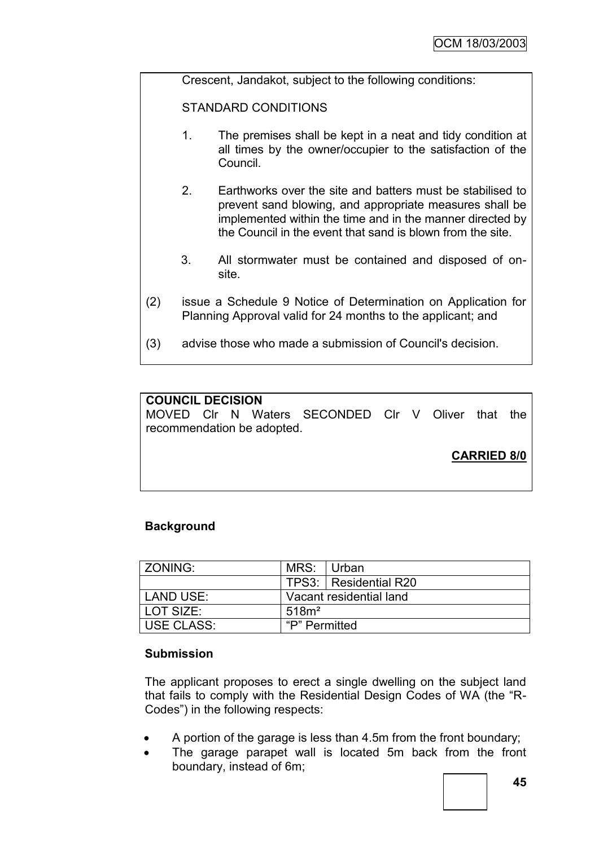Crescent, Jandakot, subject to the following conditions:

STANDARD CONDITIONS

- 1. The premises shall be kept in a neat and tidy condition at all times by the owner/occupier to the satisfaction of the Council.
- 2. Earthworks over the site and batters must be stabilised to prevent sand blowing, and appropriate measures shall be implemented within the time and in the manner directed by the Council in the event that sand is blown from the site.
- 3. All stormwater must be contained and disposed of onsite.
- (2) issue a Schedule 9 Notice of Determination on Application for Planning Approval valid for 24 months to the applicant; and
- (3) advise those who made a submission of Council's decision.

## **COUNCIL DECISION**

MOVED Clr N Waters SECONDED Clr V Oliver that the recommendation be adopted.

**CARRIED 8/0**

### **Background**

| <b>ZONING:</b>    | MRS:                    | l Urban                 |
|-------------------|-------------------------|-------------------------|
|                   |                         | TPS3:   Residential R20 |
| LAND USE:         | Vacant residential land |                         |
| LOT SIZE:         | 518m <sup>2</sup>       |                         |
| <b>USE CLASS:</b> | "P" Permitted           |                         |

### **Submission**

The applicant proposes to erect a single dwelling on the subject land that fails to comply with the Residential Design Codes of WA (the "R-Codes") in the following respects:

- A portion of the garage is less than 4.5m from the front boundary;
- The garage parapet wall is located 5m back from the front boundary, instead of 6m;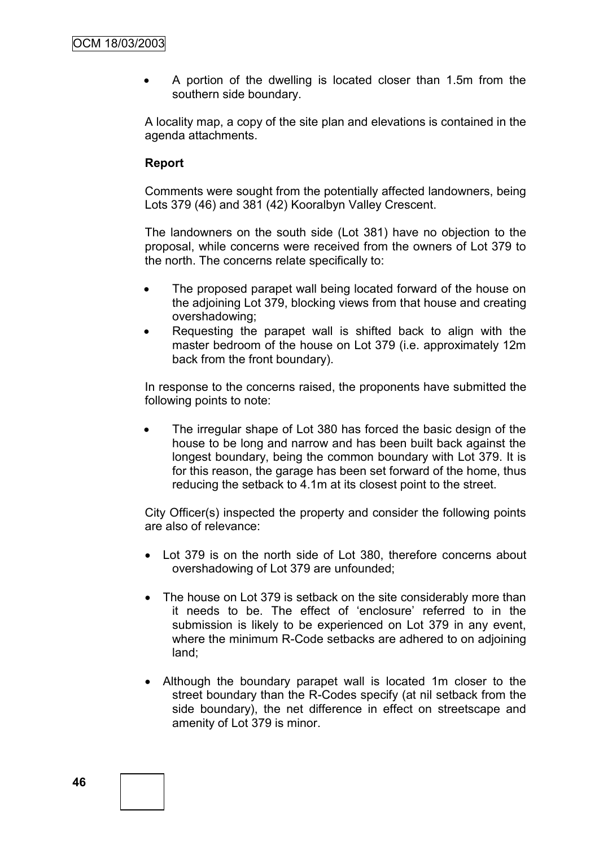A portion of the dwelling is located closer than 1.5m from the southern side boundary.

A locality map, a copy of the site plan and elevations is contained in the agenda attachments.

## **Report**

Comments were sought from the potentially affected landowners, being Lots 379 (46) and 381 (42) Kooralbyn Valley Crescent.

The landowners on the south side (Lot 381) have no objection to the proposal, while concerns were received from the owners of Lot 379 to the north. The concerns relate specifically to:

- The proposed parapet wall being located forward of the house on the adjoining Lot 379, blocking views from that house and creating overshadowing;
- Requesting the parapet wall is shifted back to align with the master bedroom of the house on Lot 379 (i.e. approximately 12m back from the front boundary).

In response to the concerns raised, the proponents have submitted the following points to note:

 The irregular shape of Lot 380 has forced the basic design of the house to be long and narrow and has been built back against the longest boundary, being the common boundary with Lot 379. It is for this reason, the garage has been set forward of the home, thus reducing the setback to 4.1m at its closest point to the street.

City Officer(s) inspected the property and consider the following points are also of relevance:

- Lot 379 is on the north side of Lot 380, therefore concerns about overshadowing of Lot 379 are unfounded;
- The house on Lot 379 is setback on the site considerably more than it needs to be. The effect of "enclosure" referred to in the submission is likely to be experienced on Lot 379 in any event, where the minimum R-Code setbacks are adhered to on adjoining land;
- Although the boundary parapet wall is located 1m closer to the street boundary than the R-Codes specify (at nil setback from the side boundary), the net difference in effect on streetscape and amenity of Lot 379 is minor.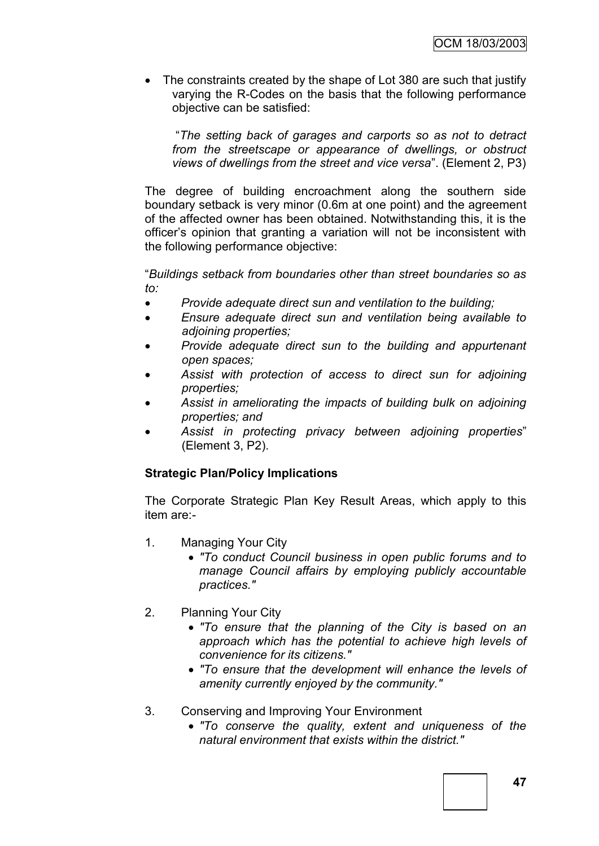• The constraints created by the shape of Lot 380 are such that justify varying the R-Codes on the basis that the following performance objective can be satisfied:

"*The setting back of garages and carports so as not to detract from the streetscape or appearance of dwellings, or obstruct views of dwellings from the street and vice versa*". (Element 2, P3)

The degree of building encroachment along the southern side boundary setback is very minor (0.6m at one point) and the agreement of the affected owner has been obtained. Notwithstanding this, it is the officer"s opinion that granting a variation will not be inconsistent with the following performance objective:

"*Buildings setback from boundaries other than street boundaries so as to:*

- *Provide adequate direct sun and ventilation to the building;*
- *Ensure adequate direct sun and ventilation being available to adjoining properties;*
- *Provide adequate direct sun to the building and appurtenant open spaces;*
- *Assist with protection of access to direct sun for adjoining properties;*
- *Assist in ameliorating the impacts of building bulk on adjoining properties; and*
- *Assist in protecting privacy between adjoining properties*" (Element 3, P2).

## **Strategic Plan/Policy Implications**

The Corporate Strategic Plan Key Result Areas, which apply to this item are:-

- 1. Managing Your City
	- *"To conduct Council business in open public forums and to manage Council affairs by employing publicly accountable practices."*
- 2. Planning Your City
	- *"To ensure that the planning of the City is based on an approach which has the potential to achieve high levels of convenience for its citizens."*
	- *"To ensure that the development will enhance the levels of amenity currently enjoyed by the community."*
- 3. Conserving and Improving Your Environment
	- *"To conserve the quality, extent and uniqueness of the natural environment that exists within the district."*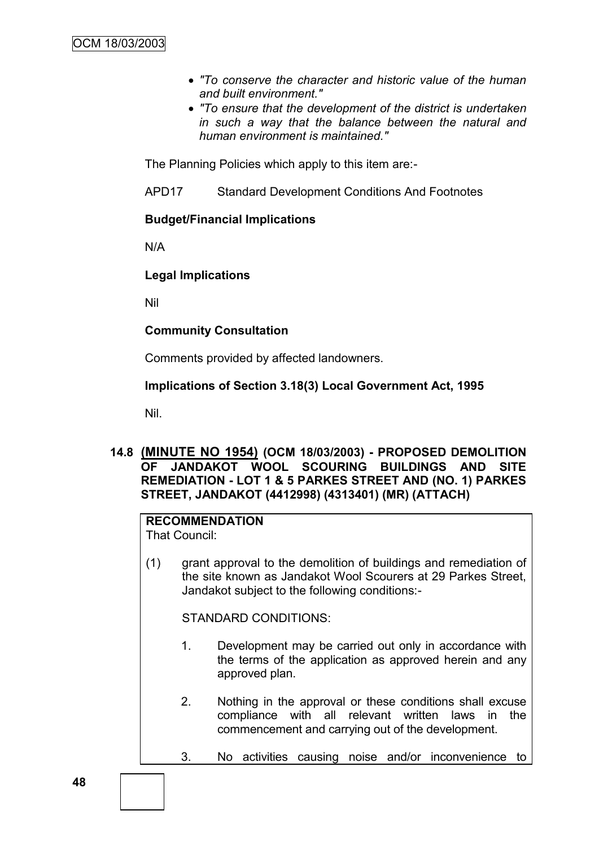- *"To conserve the character and historic value of the human and built environment."*
- *"To ensure that the development of the district is undertaken in such a way that the balance between the natural and human environment is maintained."*

The Planning Policies which apply to this item are:-

APD17 Standard Development Conditions And Footnotes

### **Budget/Financial Implications**

N/A

## **Legal Implications**

Nil

## **Community Consultation**

Comments provided by affected landowners.

## **Implications of Section 3.18(3) Local Government Act, 1995**

Nil.

## **14.8 (MINUTE NO 1954) (OCM 18/03/2003) - PROPOSED DEMOLITION OF JANDAKOT WOOL SCOURING BUILDINGS AND SITE REMEDIATION - LOT 1 & 5 PARKES STREET AND (NO. 1) PARKES STREET, JANDAKOT (4412998) (4313401) (MR) (ATTACH)**

## **RECOMMENDATION**

That Council:

(1) grant approval to the demolition of buildings and remediation of the site known as Jandakot Wool Scourers at 29 Parkes Street, Jandakot subject to the following conditions:-

STANDARD CONDITIONS:

- 1. Development may be carried out only in accordance with the terms of the application as approved herein and any approved plan.
- 2. Nothing in the approval or these conditions shall excuse compliance with all relevant written laws in the commencement and carrying out of the development.
- 3. No activities causing noise and/or inconvenience to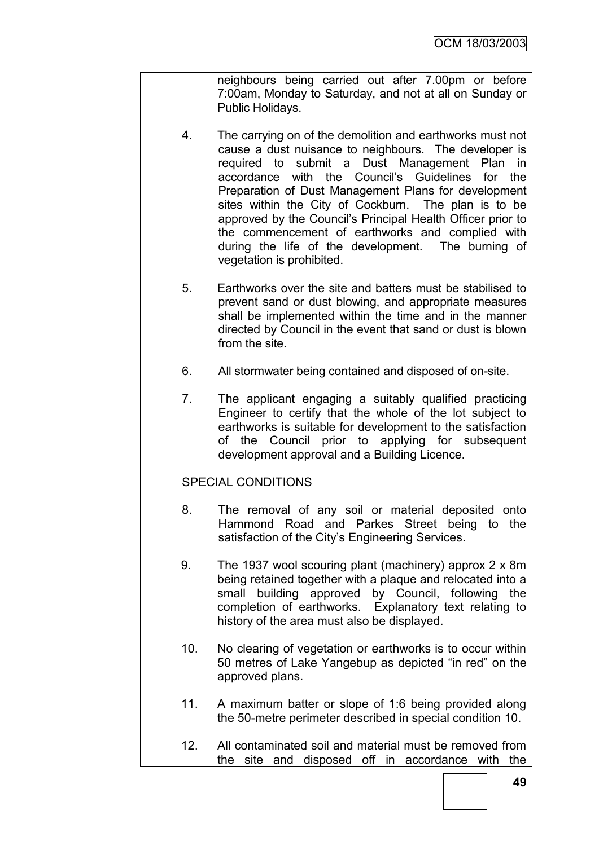neighbours being carried out after 7.00pm or before 7:00am, Monday to Saturday, and not at all on Sunday or Public Holidays.

- 4. The carrying on of the demolition and earthworks must not cause a dust nuisance to neighbours. The developer is required to submit a Dust Management Plan in accordance with the Council"s Guidelines for the Preparation of Dust Management Plans for development sites within the City of Cockburn. The plan is to be approved by the Council"s Principal Health Officer prior to the commencement of earthworks and complied with during the life of the development. The burning of vegetation is prohibited.
- 5. Earthworks over the site and batters must be stabilised to prevent sand or dust blowing, and appropriate measures shall be implemented within the time and in the manner directed by Council in the event that sand or dust is blown from the site.
- 6. All stormwater being contained and disposed of on-site.
- 7. The applicant engaging a suitably qualified practicing Engineer to certify that the whole of the lot subject to earthworks is suitable for development to the satisfaction of the Council prior to applying for subsequent development approval and a Building Licence.

### SPECIAL CONDITIONS

- 8. The removal of any soil or material deposited onto Hammond Road and Parkes Street being to the satisfaction of the City's Engineering Services.
- 9. The 1937 wool scouring plant (machinery) approx 2 x 8m being retained together with a plaque and relocated into a small building approved by Council, following the completion of earthworks. Explanatory text relating to history of the area must also be displayed.
- 10. No clearing of vegetation or earthworks is to occur within 50 metres of Lake Yangebup as depicted "in red" on the approved plans.
- 11. A maximum batter or slope of 1:6 being provided along the 50-metre perimeter described in special condition 10.
- 12. All contaminated soil and material must be removed from the site and disposed off in accordance with the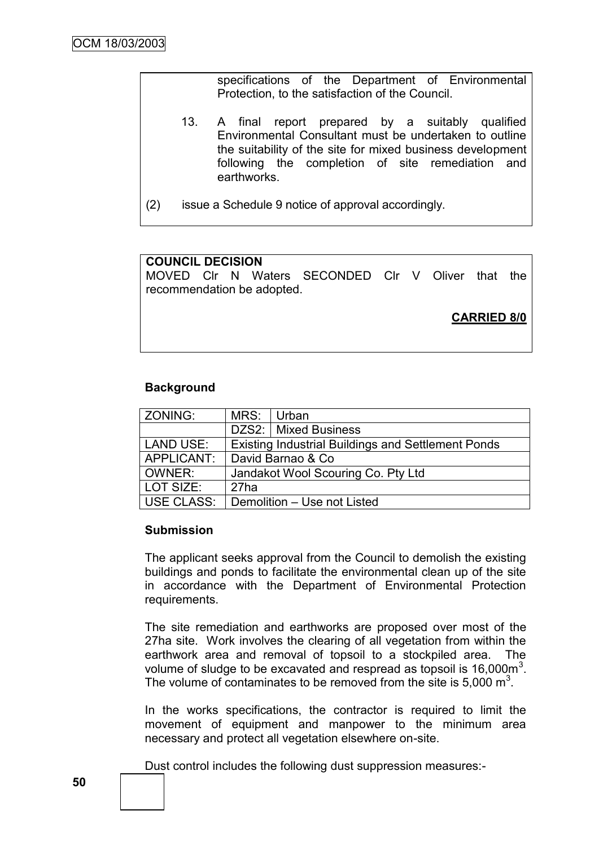specifications of the Department of Environmental Protection, to the satisfaction of the Council.

- 13. A final report prepared by a suitably qualified Environmental Consultant must be undertaken to outline the suitability of the site for mixed business development following the completion of site remediation and earthworks.
- (2) issue a Schedule 9 notice of approval accordingly.

## **COUNCIL DECISION**

MOVED Clr N Waters SECONDED Clr V Oliver that the recommendation be adopted.

**CARRIED 8/0**

### **Background**

| ZONING:          | MRS:                                                      | Urban                  |  |
|------------------|-----------------------------------------------------------|------------------------|--|
|                  |                                                           | DZS2:   Mixed Business |  |
| <b>LAND USE:</b> | <b>Existing Industrial Buildings and Settlement Ponds</b> |                        |  |
| APPLICANT:       | David Barnao & Co                                         |                        |  |
| OWNER:           | Jandakot Wool Scouring Co. Pty Ltd                        |                        |  |
| LOT SIZE:        | 27ha                                                      |                        |  |
| USE CLASS:       | Demolition - Use not Listed                               |                        |  |

### **Submission**

The applicant seeks approval from the Council to demolish the existing buildings and ponds to facilitate the environmental clean up of the site in accordance with the Department of Environmental Protection requirements.

The site remediation and earthworks are proposed over most of the 27ha site. Work involves the clearing of all vegetation from within the earthwork area and removal of topsoil to a stockpiled area. The volume of sludge to be excavated and respread as topsoil is  $16,000m^3$ . The volume of contaminates to be removed from the site is  $5,000 \text{ m}^3$ .

In the works specifications, the contractor is required to limit the movement of equipment and manpower to the minimum area necessary and protect all vegetation elsewhere on-site.

Dust control includes the following dust suppression measures:-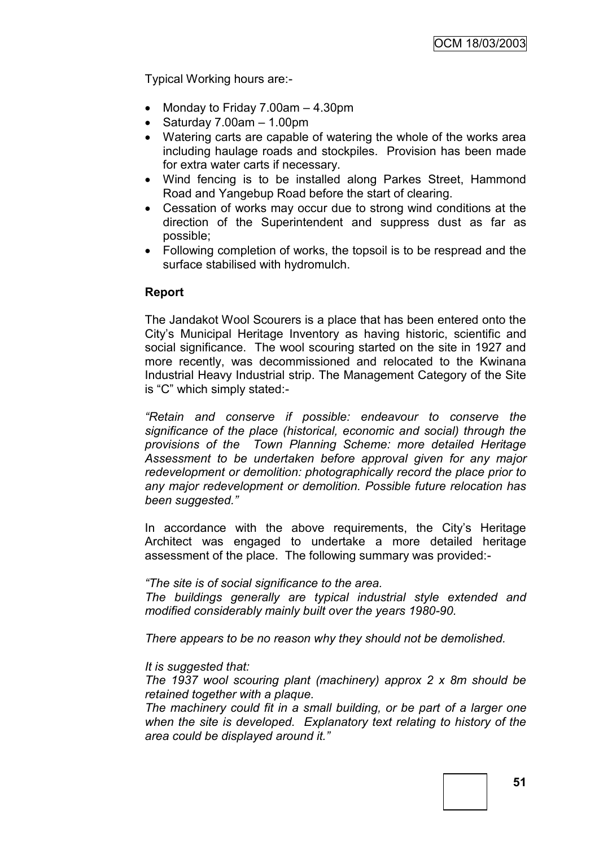Typical Working hours are:-

- Monday to Friday 7.00am 4.30pm
- $\bullet$  Saturday 7.00am 1.00pm
- Watering carts are capable of watering the whole of the works area including haulage roads and stockpiles. Provision has been made for extra water carts if necessary.
- Wind fencing is to be installed along Parkes Street, Hammond Road and Yangebup Road before the start of clearing.
- Cessation of works may occur due to strong wind conditions at the direction of the Superintendent and suppress dust as far as possible;
- Following completion of works, the topsoil is to be respread and the surface stabilised with hydromulch.

### **Report**

The Jandakot Wool Scourers is a place that has been entered onto the City"s Municipal Heritage Inventory as having historic, scientific and social significance. The wool scouring started on the site in 1927 and more recently, was decommissioned and relocated to the Kwinana Industrial Heavy Industrial strip. The Management Category of the Site is "C" which simply stated:-

*"Retain and conserve if possible: endeavour to conserve the significance of the place (historical, economic and social) through the provisions of the Town Planning Scheme: more detailed Heritage Assessment to be undertaken before approval given for any major redevelopment or demolition: photographically record the place prior to any major redevelopment or demolition. Possible future relocation has been suggested."*

In accordance with the above requirements, the City's Heritage Architect was engaged to undertake a more detailed heritage assessment of the place. The following summary was provided:-

*"The site is of social significance to the area. The buildings generally are typical industrial style extended and modified considerably mainly built over the years 1980-90.*

*There appears to be no reason why they should not be demolished.*

#### *It is suggested that:*

*The 1937 wool scouring plant (machinery) approx 2 x 8m should be retained together with a plaque.*

*The machinery could fit in a small building, or be part of a larger one when the site is developed. Explanatory text relating to history of the area could be displayed around it."*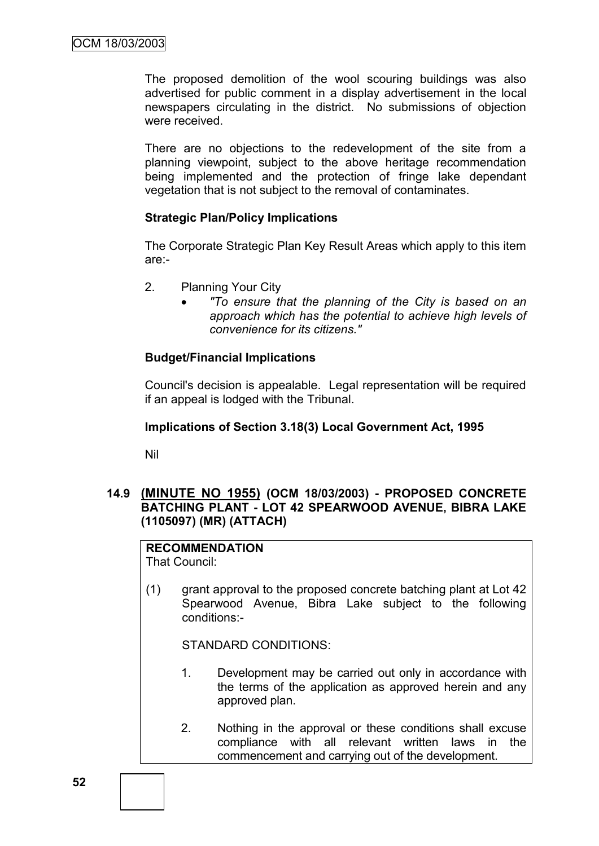The proposed demolition of the wool scouring buildings was also advertised for public comment in a display advertisement in the local newspapers circulating in the district. No submissions of objection were received.

There are no objections to the redevelopment of the site from a planning viewpoint, subject to the above heritage recommendation being implemented and the protection of fringe lake dependant vegetation that is not subject to the removal of contaminates.

### **Strategic Plan/Policy Implications**

The Corporate Strategic Plan Key Result Areas which apply to this item are:-

- 2. Planning Your City
	- *"To ensure that the planning of the City is based on an approach which has the potential to achieve high levels of convenience for its citizens."*

## **Budget/Financial Implications**

Council's decision is appealable. Legal representation will be required if an appeal is lodged with the Tribunal.

### **Implications of Section 3.18(3) Local Government Act, 1995**

Nil

## **14.9 (MINUTE NO 1955) (OCM 18/03/2003) - PROPOSED CONCRETE BATCHING PLANT - LOT 42 SPEARWOOD AVENUE, BIBRA LAKE (1105097) (MR) (ATTACH)**

# **RECOMMENDATION**

That Council:

(1) grant approval to the proposed concrete batching plant at Lot 42 Spearwood Avenue, Bibra Lake subject to the following conditions:-

STANDARD CONDITIONS:

- 1. Development may be carried out only in accordance with the terms of the application as approved herein and any approved plan.
- 2. Nothing in the approval or these conditions shall excuse compliance with all relevant written laws in the commencement and carrying out of the development.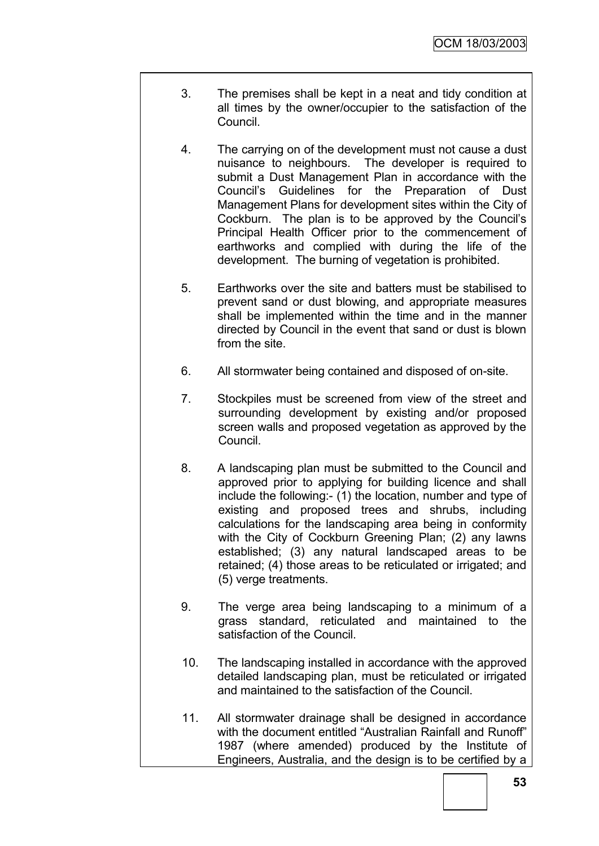- 3. The premises shall be kept in a neat and tidy condition at all times by the owner/occupier to the satisfaction of the Council.
- 4. The carrying on of the development must not cause a dust nuisance to neighbours. The developer is required to submit a Dust Management Plan in accordance with the Council"s Guidelines for the Preparation of Dust Management Plans for development sites within the City of Cockburn. The plan is to be approved by the Council"s Principal Health Officer prior to the commencement of earthworks and complied with during the life of the development. The burning of vegetation is prohibited.
- 5. Earthworks over the site and batters must be stabilised to prevent sand or dust blowing, and appropriate measures shall be implemented within the time and in the manner directed by Council in the event that sand or dust is blown from the site.
- 6. All stormwater being contained and disposed of on-site.
- 7. Stockpiles must be screened from view of the street and surrounding development by existing and/or proposed screen walls and proposed vegetation as approved by the Council.
- 8. A landscaping plan must be submitted to the Council and approved prior to applying for building licence and shall include the following:- (1) the location, number and type of existing and proposed trees and shrubs, including calculations for the landscaping area being in conformity with the City of Cockburn Greening Plan: (2) any lawns established; (3) any natural landscaped areas to be retained; (4) those areas to be reticulated or irrigated; and (5) verge treatments.
- 9. The verge area being landscaping to a minimum of a grass standard, reticulated and maintained to the satisfaction of the Council.
- 10. The landscaping installed in accordance with the approved detailed landscaping plan, must be reticulated or irrigated and maintained to the satisfaction of the Council.
- 11. All stormwater drainage shall be designed in accordance with the document entitled "Australian Rainfall and Runoff" 1987 (where amended) produced by the Institute of Engineers, Australia, and the design is to be certified by a

**53**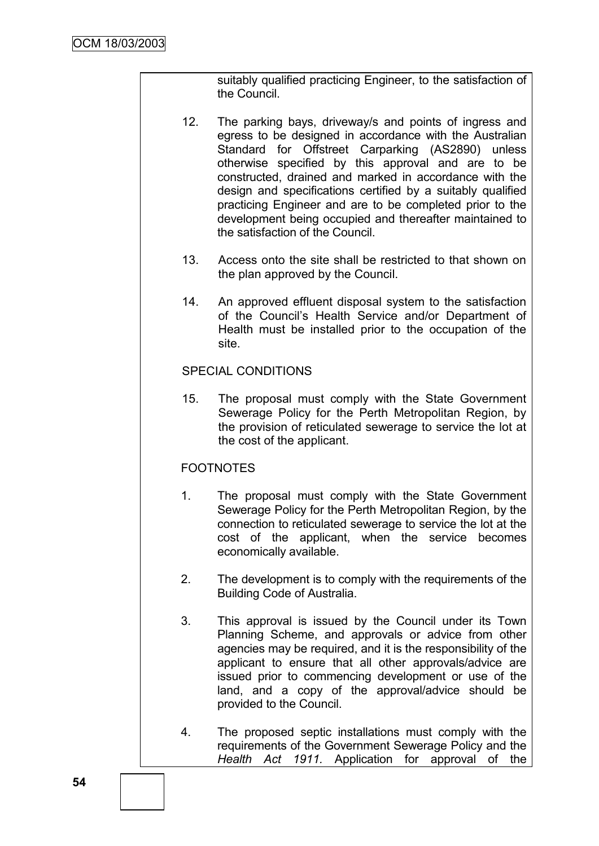suitably qualified practicing Engineer, to the satisfaction of the Council.

- 12. The parking bays, driveway/s and points of ingress and egress to be designed in accordance with the Australian Standard for Offstreet Carparking (AS2890) unless otherwise specified by this approval and are to be constructed, drained and marked in accordance with the design and specifications certified by a suitably qualified practicing Engineer and are to be completed prior to the development being occupied and thereafter maintained to the satisfaction of the Council.
- 13. Access onto the site shall be restricted to that shown on the plan approved by the Council.
- 14. An approved effluent disposal system to the satisfaction of the Council"s Health Service and/or Department of Health must be installed prior to the occupation of the site.

### SPECIAL CONDITIONS

15. The proposal must comply with the State Government Sewerage Policy for the Perth Metropolitan Region, by the provision of reticulated sewerage to service the lot at the cost of the applicant.

### FOOTNOTES

- 1. The proposal must comply with the State Government Sewerage Policy for the Perth Metropolitan Region, by the connection to reticulated sewerage to service the lot at the cost of the applicant, when the service becomes economically available.
- 2. The development is to comply with the requirements of the Building Code of Australia.
- 3. This approval is issued by the Council under its Town Planning Scheme, and approvals or advice from other agencies may be required, and it is the responsibility of the applicant to ensure that all other approvals/advice are issued prior to commencing development or use of the land, and a copy of the approval/advice should be provided to the Council.
- 4. The proposed septic installations must comply with the requirements of the Government Sewerage Policy and the *Health Act 1911.* Application for approval of the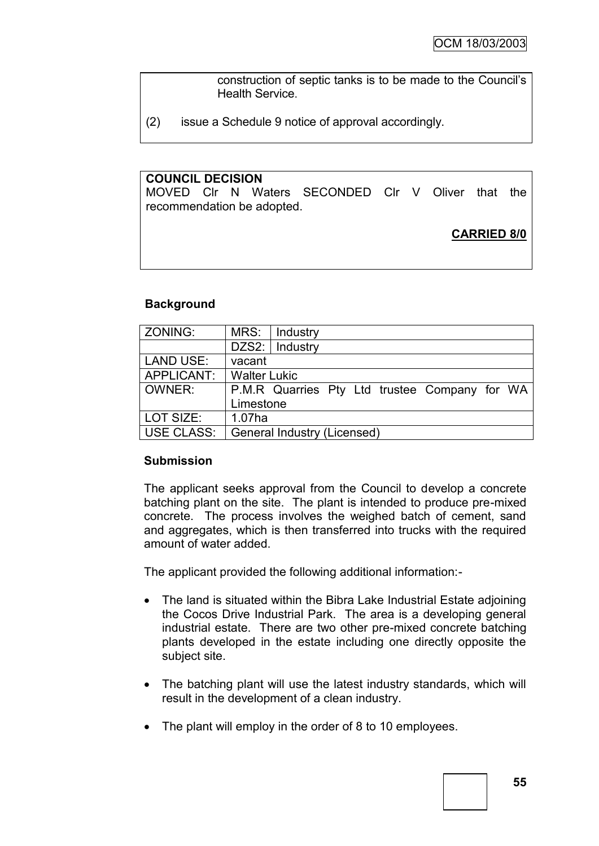construction of septic tanks is to be made to the Council"s Health Service.

(2) issue a Schedule 9 notice of approval accordingly.

### **COUNCIL DECISION**

MOVED Clr N Waters SECONDED Clr V Oliver that the recommendation be adopted.

## **CARRIED 8/0**

### **Background**

| ZONING:          | MRS:<br>Industry                              |  |  |
|------------------|-----------------------------------------------|--|--|
|                  | DZS2:   Industry                              |  |  |
| <b>LAND USE:</b> | vacant                                        |  |  |
| APPLICANT:       | <b>Walter Lukic</b>                           |  |  |
| OWNER:           | P.M.R Quarries Pty Ltd trustee Company for WA |  |  |
|                  | Limestone                                     |  |  |
| LOT SIZE:        | 1.07ha                                        |  |  |
|                  |                                               |  |  |

### **Submission**

The applicant seeks approval from the Council to develop a concrete batching plant on the site. The plant is intended to produce pre-mixed concrete. The process involves the weighed batch of cement, sand and aggregates, which is then transferred into trucks with the required amount of water added.

The applicant provided the following additional information:-

- The land is situated within the Bibra Lake Industrial Estate adjoining the Cocos Drive Industrial Park. The area is a developing general industrial estate. There are two other pre-mixed concrete batching plants developed in the estate including one directly opposite the subject site.
- The batching plant will use the latest industry standards, which will result in the development of a clean industry.
- The plant will employ in the order of 8 to 10 employees.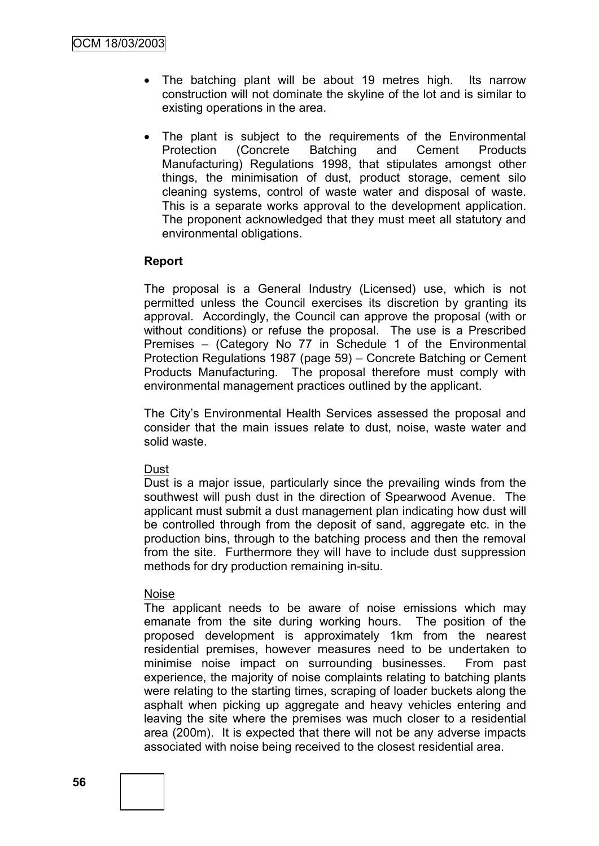- The batching plant will be about 19 metres high. Its narrow construction will not dominate the skyline of the lot and is similar to existing operations in the area.
- The plant is subject to the requirements of the Environmental Protection (Concrete Batching and Cement Products Manufacturing) Regulations 1998, that stipulates amongst other things, the minimisation of dust, product storage, cement silo cleaning systems, control of waste water and disposal of waste. This is a separate works approval to the development application. The proponent acknowledged that they must meet all statutory and environmental obligations.

### **Report**

The proposal is a General Industry (Licensed) use, which is not permitted unless the Council exercises its discretion by granting its approval. Accordingly, the Council can approve the proposal (with or without conditions) or refuse the proposal. The use is a Prescribed Premises – (Category No 77 in Schedule 1 of the Environmental Protection Regulations 1987 (page 59) – Concrete Batching or Cement Products Manufacturing. The proposal therefore must comply with environmental management practices outlined by the applicant.

The City"s Environmental Health Services assessed the proposal and consider that the main issues relate to dust, noise, waste water and solid waste.

### Dust

Dust is a major issue, particularly since the prevailing winds from the southwest will push dust in the direction of Spearwood Avenue. The applicant must submit a dust management plan indicating how dust will be controlled through from the deposit of sand, aggregate etc. in the production bins, through to the batching process and then the removal from the site. Furthermore they will have to include dust suppression methods for dry production remaining in-situ.

### Noise

The applicant needs to be aware of noise emissions which may emanate from the site during working hours. The position of the proposed development is approximately 1km from the nearest residential premises, however measures need to be undertaken to minimise noise impact on surrounding businesses. From past experience, the majority of noise complaints relating to batching plants were relating to the starting times, scraping of loader buckets along the asphalt when picking up aggregate and heavy vehicles entering and leaving the site where the premises was much closer to a residential area (200m). It is expected that there will not be any adverse impacts associated with noise being received to the closest residential area.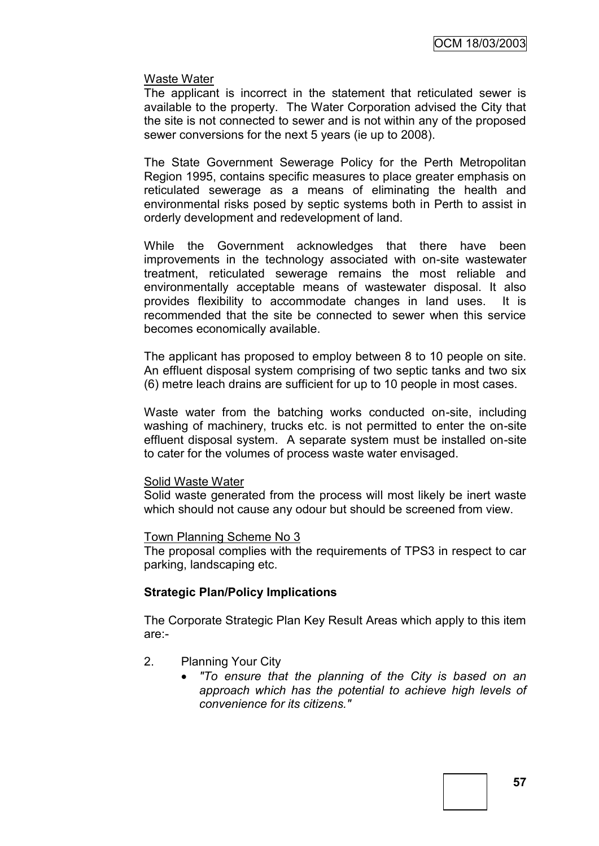### Waste Water

The applicant is incorrect in the statement that reticulated sewer is available to the property. The Water Corporation advised the City that the site is not connected to sewer and is not within any of the proposed sewer conversions for the next 5 years (ie up to 2008).

The State Government Sewerage Policy for the Perth Metropolitan Region 1995, contains specific measures to place greater emphasis on reticulated sewerage as a means of eliminating the health and environmental risks posed by septic systems both in Perth to assist in orderly development and redevelopment of land.

While the Government acknowledges that there have been improvements in the technology associated with on-site wastewater treatment, reticulated sewerage remains the most reliable and environmentally acceptable means of wastewater disposal. It also provides flexibility to accommodate changes in land uses. It is recommended that the site be connected to sewer when this service becomes economically available.

The applicant has proposed to employ between 8 to 10 people on site. An effluent disposal system comprising of two septic tanks and two six (6) metre leach drains are sufficient for up to 10 people in most cases.

Waste water from the batching works conducted on-site, including washing of machinery, trucks etc. is not permitted to enter the on-site effluent disposal system. A separate system must be installed on-site to cater for the volumes of process waste water envisaged.

### Solid Waste Water

Solid waste generated from the process will most likely be inert waste which should not cause any odour but should be screened from view.

### Town Planning Scheme No 3

The proposal complies with the requirements of TPS3 in respect to car parking, landscaping etc.

### **Strategic Plan/Policy Implications**

The Corporate Strategic Plan Key Result Areas which apply to this item are:-

- 2. Planning Your City
	- *"To ensure that the planning of the City is based on an approach which has the potential to achieve high levels of convenience for its citizens."*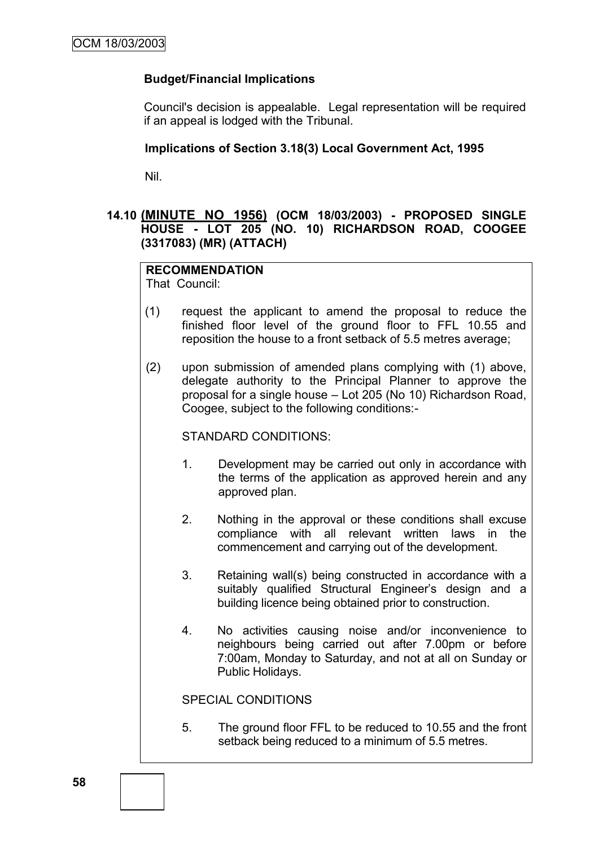## **Budget/Financial Implications**

Council's decision is appealable. Legal representation will be required if an appeal is lodged with the Tribunal.

### **Implications of Section 3.18(3) Local Government Act, 1995**

Nil.

## **14.10 (MINUTE NO 1956) (OCM 18/03/2003) - PROPOSED SINGLE HOUSE - LOT 205 (NO. 10) RICHARDSON ROAD, COOGEE (3317083) (MR) (ATTACH)**

#### **RECOMMENDATION** That Council:

- (1) request the applicant to amend the proposal to reduce the finished floor level of the ground floor to FFL 10.55 and reposition the house to a front setback of 5.5 metres average;
- (2) upon submission of amended plans complying with (1) above, delegate authority to the Principal Planner to approve the proposal for a single house – Lot 205 (No 10) Richardson Road, Coogee, subject to the following conditions:-

STANDARD CONDITIONS:

- 1. Development may be carried out only in accordance with the terms of the application as approved herein and any approved plan.
- 2. Nothing in the approval or these conditions shall excuse compliance with all relevant written laws in the commencement and carrying out of the development.
- 3. Retaining wall(s) being constructed in accordance with a suitably qualified Structural Engineer's design and a building licence being obtained prior to construction.
- 4. No activities causing noise and/or inconvenience to neighbours being carried out after 7.00pm or before 7:00am, Monday to Saturday, and not at all on Sunday or Public Holidays.

SPECIAL CONDITIONS

5. The ground floor FFL to be reduced to 10.55 and the front setback being reduced to a minimum of 5.5 metres.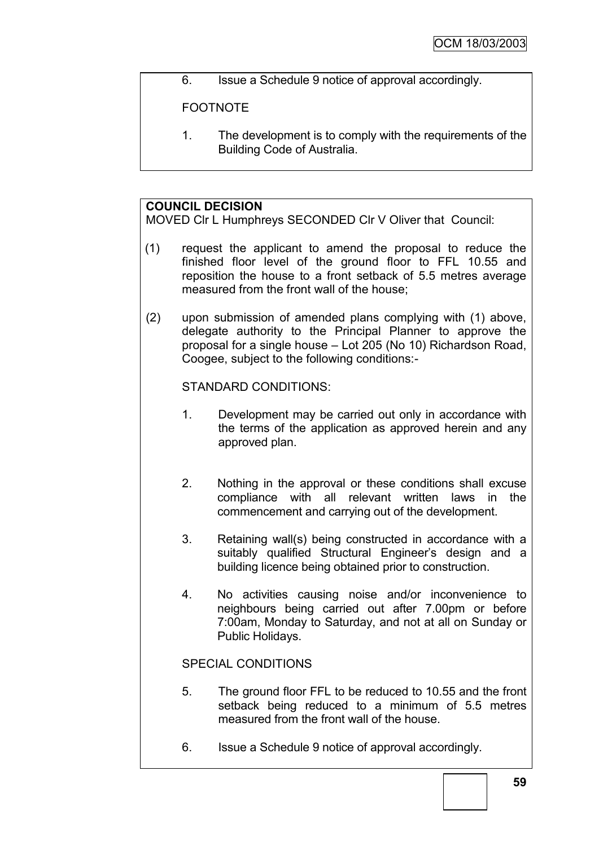6. Issue a Schedule 9 notice of approval accordingly.

## FOOTNOTE

1. The development is to comply with the requirements of the Building Code of Australia.

## **COUNCIL DECISION**

MOVED Clr L Humphreys SECONDED Clr V Oliver that Council:

- (1) request the applicant to amend the proposal to reduce the finished floor level of the ground floor to FFL 10.55 and reposition the house to a front setback of 5.5 metres average measured from the front wall of the house;
- (2) upon submission of amended plans complying with (1) above, delegate authority to the Principal Planner to approve the proposal for a single house – Lot 205 (No 10) Richardson Road, Coogee, subject to the following conditions:-

STANDARD CONDITIONS:

- 1. Development may be carried out only in accordance with the terms of the application as approved herein and any approved plan.
- 2. Nothing in the approval or these conditions shall excuse compliance with all relevant written laws in the commencement and carrying out of the development.
- 3. Retaining wall(s) being constructed in accordance with a suitably qualified Structural Engineer's design and a building licence being obtained prior to construction.
- 4. No activities causing noise and/or inconvenience to neighbours being carried out after 7.00pm or before 7:00am, Monday to Saturday, and not at all on Sunday or Public Holidays.

## SPECIAL CONDITIONS

- 5. The ground floor FFL to be reduced to 10.55 and the front setback being reduced to a minimum of 5.5 metres measured from the front wall of the house.
- 6. Issue a Schedule 9 notice of approval accordingly.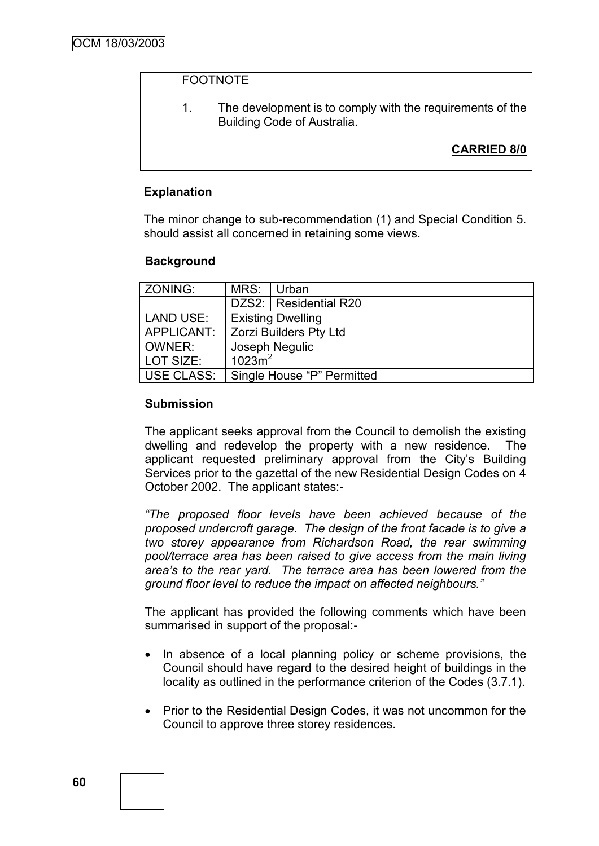### FOOTNOTE

1. The development is to comply with the requirements of the Building Code of Australia.

## **CARRIED 8/0**

### **Explanation**

The minor change to sub-recommendation (1) and Special Condition 5. should assist all concerned in retaining some views.

### **Background**

| ZONING:           | MRS:                       | Urban                         |  |
|-------------------|----------------------------|-------------------------------|--|
|                   |                            | DZS2:   Residential R20       |  |
| <b>LAND USE:</b>  | <b>Existing Dwelling</b>   |                               |  |
| APPLICANT:        |                            | <b>Zorzi Builders Pty Ltd</b> |  |
| OWNER:            |                            | Joseph Negulic                |  |
| LOT SIZE:         | 1023m <sup>2</sup>         |                               |  |
| <b>USE CLASS:</b> | Single House "P" Permitted |                               |  |

### **Submission**

The applicant seeks approval from the Council to demolish the existing dwelling and redevelop the property with a new residence. The applicant requested preliminary approval from the City's Building Services prior to the gazettal of the new Residential Design Codes on 4 October 2002. The applicant states:-

*"The proposed floor levels have been achieved because of the proposed undercroft garage. The design of the front facade is to give a two storey appearance from Richardson Road, the rear swimming pool/terrace area has been raised to give access from the main living area's to the rear yard. The terrace area has been lowered from the ground floor level to reduce the impact on affected neighbours."*

The applicant has provided the following comments which have been summarised in support of the proposal:-

- In absence of a local planning policy or scheme provisions, the Council should have regard to the desired height of buildings in the locality as outlined in the performance criterion of the Codes (3.7.1).
- Prior to the Residential Design Codes, it was not uncommon for the Council to approve three storey residences.

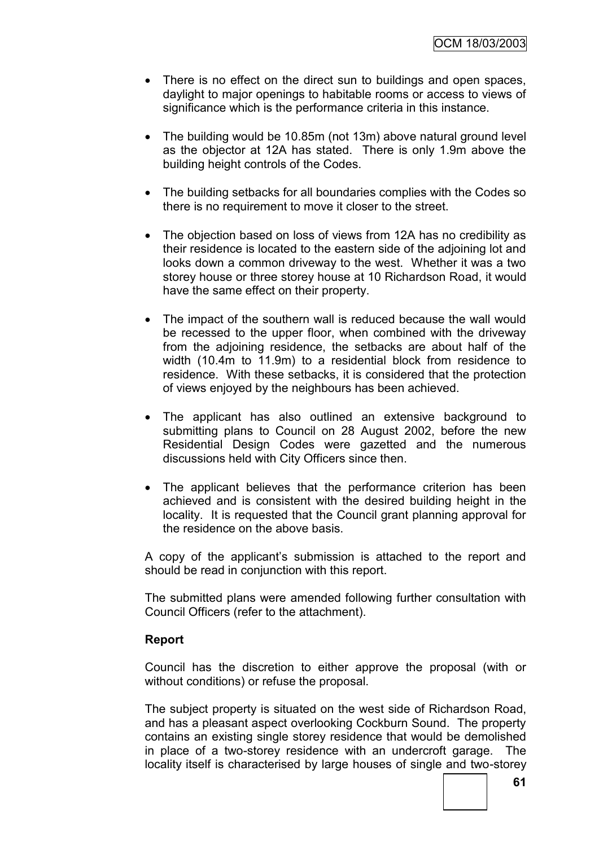- There is no effect on the direct sun to buildings and open spaces, daylight to major openings to habitable rooms or access to views of significance which is the performance criteria in this instance.
- The building would be 10.85m (not 13m) above natural ground level as the objector at 12A has stated. There is only 1.9m above the building height controls of the Codes.
- The building setbacks for all boundaries complies with the Codes so there is no requirement to move it closer to the street.
- The objection based on loss of views from 12A has no credibility as their residence is located to the eastern side of the adjoining lot and looks down a common driveway to the west. Whether it was a two storey house or three storey house at 10 Richardson Road, it would have the same effect on their property.
- The impact of the southern wall is reduced because the wall would be recessed to the upper floor, when combined with the driveway from the adjoining residence, the setbacks are about half of the width (10.4m to 11.9m) to a residential block from residence to residence. With these setbacks, it is considered that the protection of views enjoyed by the neighbours has been achieved.
- The applicant has also outlined an extensive background to submitting plans to Council on 28 August 2002, before the new Residential Design Codes were gazetted and the numerous discussions held with City Officers since then.
- The applicant believes that the performance criterion has been achieved and is consistent with the desired building height in the locality. It is requested that the Council grant planning approval for the residence on the above basis.

A copy of the applicant"s submission is attached to the report and should be read in conjunction with this report.

The submitted plans were amended following further consultation with Council Officers (refer to the attachment).

### **Report**

Council has the discretion to either approve the proposal (with or without conditions) or refuse the proposal.

The subject property is situated on the west side of Richardson Road, and has a pleasant aspect overlooking Cockburn Sound. The property contains an existing single storey residence that would be demolished in place of a two-storey residence with an undercroft garage. The locality itself is characterised by large houses of single and two-storey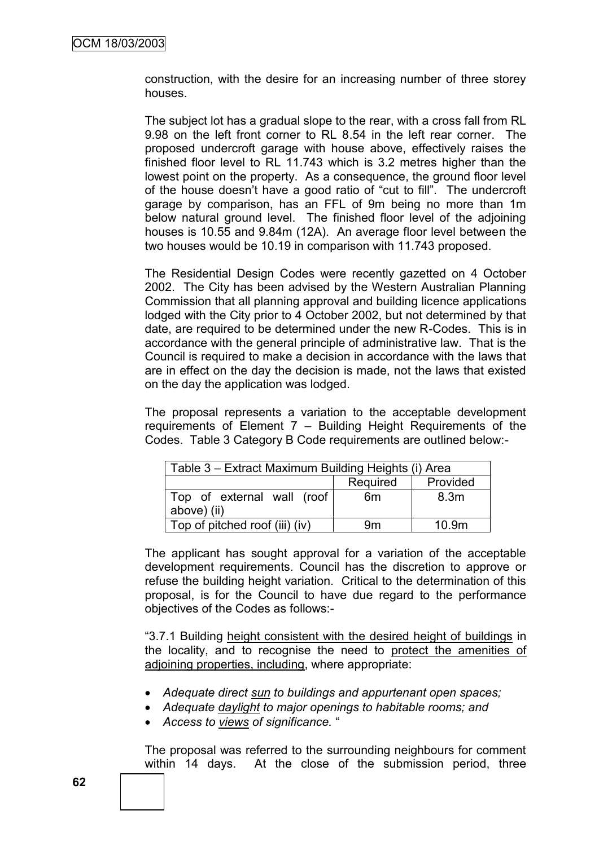construction, with the desire for an increasing number of three storey houses.

The subject lot has a gradual slope to the rear, with a cross fall from RL 9.98 on the left front corner to RL 8.54 in the left rear corner. The proposed undercroft garage with house above, effectively raises the finished floor level to RL 11.743 which is 3.2 metres higher than the lowest point on the property. As a consequence, the ground floor level of the house doesn"t have a good ratio of "cut to fill". The undercroft garage by comparison, has an FFL of 9m being no more than 1m below natural ground level. The finished floor level of the adjoining houses is 10.55 and 9.84m (12A). An average floor level between the two houses would be 10.19 in comparison with 11.743 proposed.

The Residential Design Codes were recently gazetted on 4 October 2002. The City has been advised by the Western Australian Planning Commission that all planning approval and building licence applications lodged with the City prior to 4 October 2002, but not determined by that date, are required to be determined under the new R-Codes. This is in accordance with the general principle of administrative law. That is the Council is required to make a decision in accordance with the laws that are in effect on the day the decision is made, not the laws that existed on the day the application was lodged.

The proposal represents a variation to the acceptable development requirements of Element 7 – Building Height Requirements of the Codes. Table 3 Category B Code requirements are outlined below:-

| Table 3 – Extract Maximum Building Heights (i) Area |          |                   |  |
|-----------------------------------------------------|----------|-------------------|--|
|                                                     | Required | Provided          |  |
| Top of external wall (roof<br>above) (ii)           | 6m       | 8.3 <sub>m</sub>  |  |
| Top of pitched roof (iii) (iv)                      | 9m       | 10.9 <sub>m</sub> |  |

The applicant has sought approval for a variation of the acceptable development requirements. Council has the discretion to approve or refuse the building height variation. Critical to the determination of this proposal, is for the Council to have due regard to the performance objectives of the Codes as follows:-

"3.7.1 Building height consistent with the desired height of buildings in the locality, and to recognise the need to protect the amenities of adjoining properties, including, where appropriate:

- *Adequate direct sun to buildings and appurtenant open spaces;*
- *Adequate daylight to major openings to habitable rooms; and*
- *Access to views of significance.* "

The proposal was referred to the surrounding neighbours for comment within 14 days. At the close of the submission period, three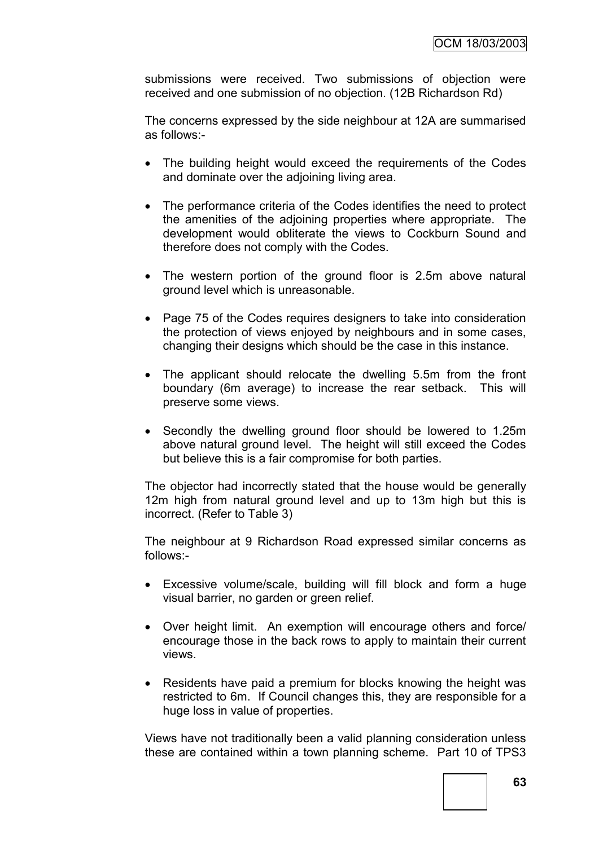submissions were received. Two submissions of objection were received and one submission of no objection. (12B Richardson Rd)

The concerns expressed by the side neighbour at 12A are summarised as follows:-

- The building height would exceed the requirements of the Codes and dominate over the adjoining living area.
- The performance criteria of the Codes identifies the need to protect the amenities of the adjoining properties where appropriate. The development would obliterate the views to Cockburn Sound and therefore does not comply with the Codes.
- The western portion of the ground floor is 2.5m above natural ground level which is unreasonable.
- Page 75 of the Codes requires designers to take into consideration the protection of views enjoyed by neighbours and in some cases, changing their designs which should be the case in this instance.
- The applicant should relocate the dwelling 5.5m from the front boundary (6m average) to increase the rear setback. This will preserve some views.
- Secondly the dwelling ground floor should be lowered to 1.25m above natural ground level. The height will still exceed the Codes but believe this is a fair compromise for both parties.

The objector had incorrectly stated that the house would be generally 12m high from natural ground level and up to 13m high but this is incorrect. (Refer to Table 3)

The neighbour at 9 Richardson Road expressed similar concerns as follows:-

- Excessive volume/scale, building will fill block and form a huge visual barrier, no garden or green relief.
- Over height limit. An exemption will encourage others and force/ encourage those in the back rows to apply to maintain their current views.
- Residents have paid a premium for blocks knowing the height was restricted to 6m. If Council changes this, they are responsible for a huge loss in value of properties.

Views have not traditionally been a valid planning consideration unless these are contained within a town planning scheme. Part 10 of TPS3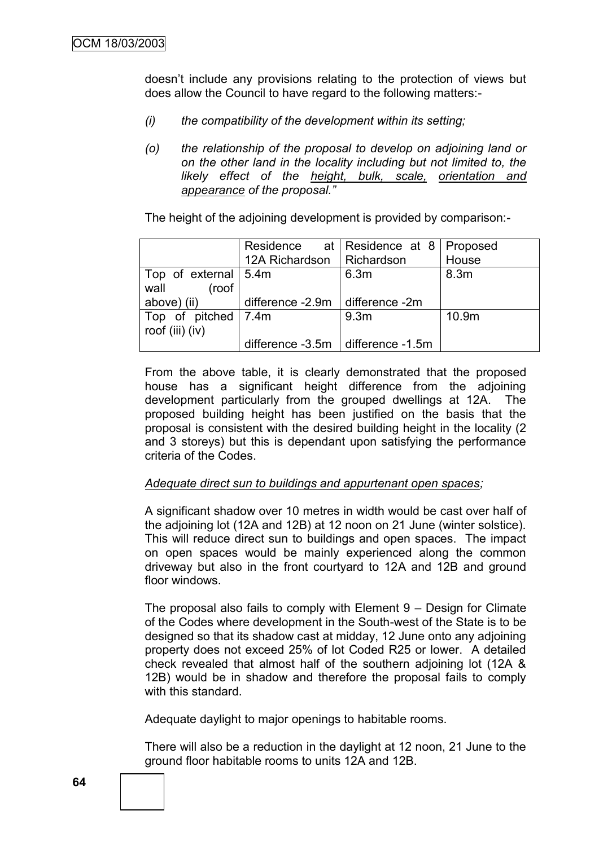doesn"t include any provisions relating to the protection of views but does allow the Council to have regard to the following matters:-

- *(i) the compatibility of the development within its setting;*
- *(o) the relationship of the proposal to develop on adjoining land or on the other land in the locality including but not limited to, the likely effect of the height, bulk, scale, orientation and appearance of the proposal."*

The height of the adjoining development is provided by comparison:-

|                        |                                       | Residence at Residence at 8   Proposed |                  |
|------------------------|---------------------------------------|----------------------------------------|------------------|
|                        | 12A Richardson                        | Richardson                             | House            |
| Top of external   5.4m |                                       | 6.3m                                   | 8.3 <sub>m</sub> |
| wall<br>(roof          |                                       |                                        |                  |
| above) (ii)            | difference $-2.9m$ difference $-2m$   |                                        |                  |
| Top of pitched 7.4m    |                                       | 9.3 <sub>m</sub>                       | 10.9m            |
| roof (iii) (iv)        |                                       |                                        |                  |
|                        | difference $-3.5m$ difference $-1.5m$ |                                        |                  |

From the above table, it is clearly demonstrated that the proposed house has a significant height difference from the adjoining development particularly from the grouped dwellings at 12A. The proposed building height has been justified on the basis that the proposal is consistent with the desired building height in the locality (2 and 3 storeys) but this is dependant upon satisfying the performance criteria of the Codes.

### *Adequate direct sun to buildings and appurtenant open spaces;*

A significant shadow over 10 metres in width would be cast over half of the adjoining lot (12A and 12B) at 12 noon on 21 June (winter solstice). This will reduce direct sun to buildings and open spaces. The impact on open spaces would be mainly experienced along the common driveway but also in the front courtyard to 12A and 12B and ground floor windows.

The proposal also fails to comply with Element 9 – Design for Climate of the Codes where development in the South-west of the State is to be designed so that its shadow cast at midday, 12 June onto any adjoining property does not exceed 25% of lot Coded R25 or lower. A detailed check revealed that almost half of the southern adjoining lot (12A & 12B) would be in shadow and therefore the proposal fails to comply with this standard.

Adequate daylight to major openings to habitable rooms.

There will also be a reduction in the daylight at 12 noon, 21 June to the ground floor habitable rooms to units 12A and 12B.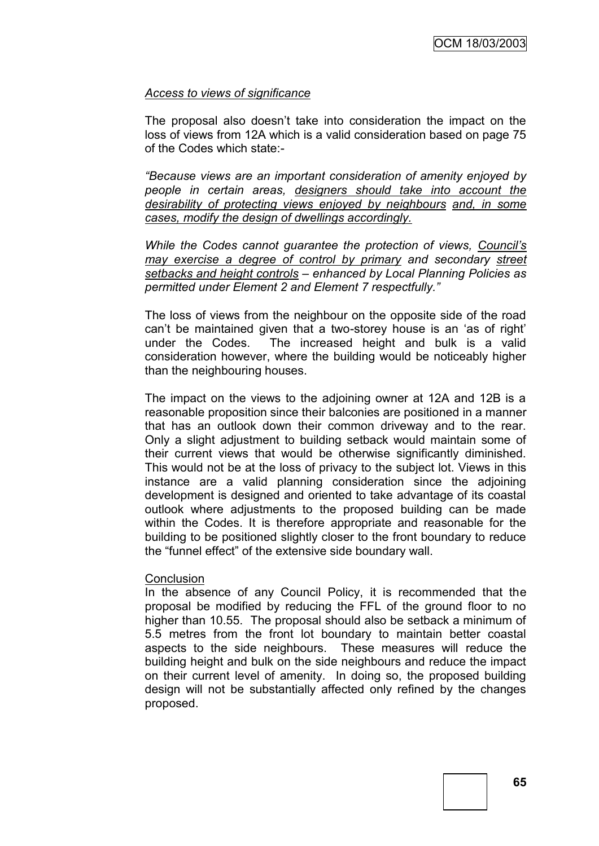### *Access to views of significance*

The proposal also doesn"t take into consideration the impact on the loss of views from 12A which is a valid consideration based on page 75 of the Codes which state:-

*"Because views are an important consideration of amenity enjoyed by people in certain areas, designers should take into account the desirability of protecting views enjoyed by neighbours and, in some cases, modify the design of dwellings accordingly.*

*While the Codes cannot guarantee the protection of views, Council's may exercise a degree of control by primary and secondary street setbacks and height controls – enhanced by Local Planning Policies as permitted under Element 2 and Element 7 respectfully."*

The loss of views from the neighbour on the opposite side of the road can"t be maintained given that a two-storey house is an "as of right" under the Codes. The increased height and bulk is a valid consideration however, where the building would be noticeably higher than the neighbouring houses.

The impact on the views to the adjoining owner at 12A and 12B is a reasonable proposition since their balconies are positioned in a manner that has an outlook down their common driveway and to the rear. Only a slight adjustment to building setback would maintain some of their current views that would be otherwise significantly diminished. This would not be at the loss of privacy to the subject lot. Views in this instance are a valid planning consideration since the adjoining development is designed and oriented to take advantage of its coastal outlook where adjustments to the proposed building can be made within the Codes. It is therefore appropriate and reasonable for the building to be positioned slightly closer to the front boundary to reduce the "funnel effect" of the extensive side boundary wall.

### **Conclusion**

In the absence of any Council Policy, it is recommended that the proposal be modified by reducing the FFL of the ground floor to no higher than 10.55. The proposal should also be setback a minimum of 5.5 metres from the front lot boundary to maintain better coastal aspects to the side neighbours. These measures will reduce the building height and bulk on the side neighbours and reduce the impact on their current level of amenity. In doing so, the proposed building design will not be substantially affected only refined by the changes proposed.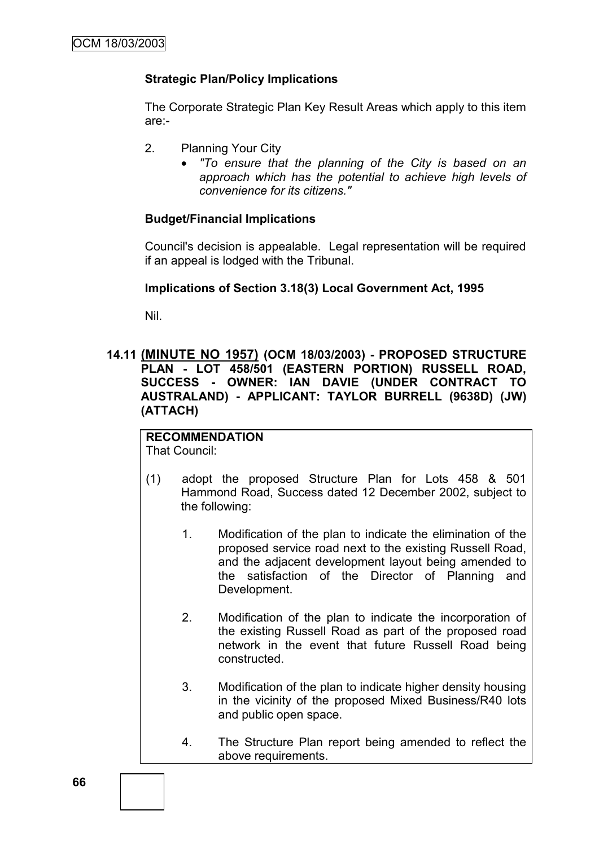## **Strategic Plan/Policy Implications**

The Corporate Strategic Plan Key Result Areas which apply to this item are:-

- 2. Planning Your City
	- *"To ensure that the planning of the City is based on an approach which has the potential to achieve high levels of convenience for its citizens."*

## **Budget/Financial Implications**

Council's decision is appealable. Legal representation will be required if an appeal is lodged with the Tribunal.

### **Implications of Section 3.18(3) Local Government Act, 1995**

Nil.

### **14.11 (MINUTE NO 1957) (OCM 18/03/2003) - PROPOSED STRUCTURE PLAN - LOT 458/501 (EASTERN PORTION) RUSSELL ROAD, SUCCESS - OWNER: IAN DAVIE (UNDER CONTRACT TO AUSTRALAND) - APPLICANT: TAYLOR BURRELL (9638D) (JW) (ATTACH)**

## **RECOMMENDATION**

That Council:

- (1) adopt the proposed Structure Plan for Lots 458 & 501 Hammond Road, Success dated 12 December 2002, subject to the following:
	- 1. Modification of the plan to indicate the elimination of the proposed service road next to the existing Russell Road, and the adjacent development layout being amended to the satisfaction of the Director of Planning and Development.
	- 2. Modification of the plan to indicate the incorporation of the existing Russell Road as part of the proposed road network in the event that future Russell Road being constructed.
	- 3. Modification of the plan to indicate higher density housing in the vicinity of the proposed Mixed Business/R40 lots and public open space.
	- 4. The Structure Plan report being amended to reflect the above requirements.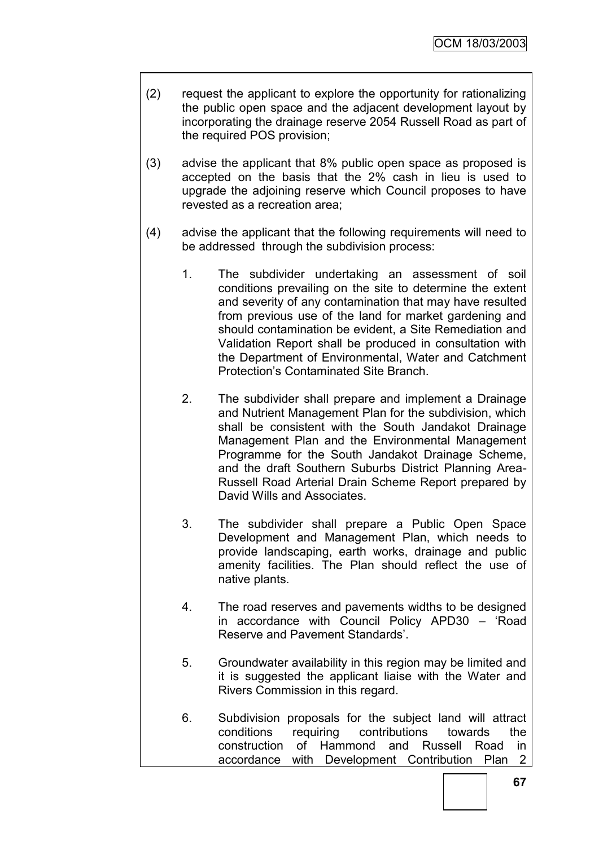- (2) request the applicant to explore the opportunity for rationalizing the public open space and the adjacent development layout by incorporating the drainage reserve 2054 Russell Road as part of the required POS provision;
- (3) advise the applicant that 8% public open space as proposed is accepted on the basis that the 2% cash in lieu is used to upgrade the adjoining reserve which Council proposes to have revested as a recreation area;
- (4) advise the applicant that the following requirements will need to be addressed through the subdivision process:
	- 1. The subdivider undertaking an assessment of soil conditions prevailing on the site to determine the extent and severity of any contamination that may have resulted from previous use of the land for market gardening and should contamination be evident, a Site Remediation and Validation Report shall be produced in consultation with the Department of Environmental, Water and Catchment Protection"s Contaminated Site Branch.
	- 2. The subdivider shall prepare and implement a Drainage and Nutrient Management Plan for the subdivision, which shall be consistent with the South Jandakot Drainage Management Plan and the Environmental Management Programme for the South Jandakot Drainage Scheme, and the draft Southern Suburbs District Planning Area-Russell Road Arterial Drain Scheme Report prepared by David Wills and Associates.
	- 3. The subdivider shall prepare a Public Open Space Development and Management Plan, which needs to provide landscaping, earth works, drainage and public amenity facilities. The Plan should reflect the use of native plants.
	- 4. The road reserves and pavements widths to be designed in accordance with Council Policy APD30 – "Road Reserve and Pavement Standards".
	- 5. Groundwater availability in this region may be limited and it is suggested the applicant liaise with the Water and Rivers Commission in this regard.
	- 6. Subdivision proposals for the subject land will attract conditions requiring contributions towards the construction of Hammond and Russell Road in accordance with Development Contribution Plan 2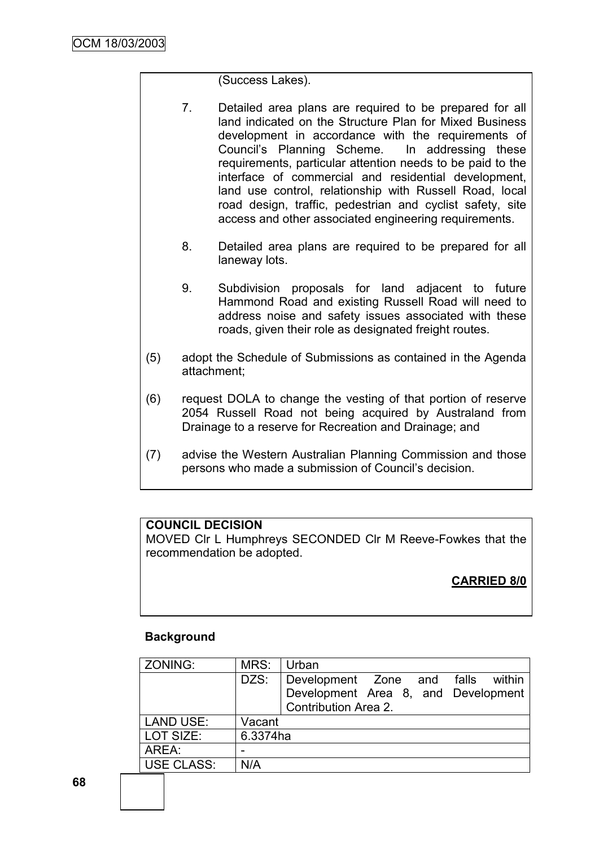(Success Lakes).

- 7. Detailed area plans are required to be prepared for all land indicated on the Structure Plan for Mixed Business development in accordance with the requirements of Council"s Planning Scheme. In addressing these requirements, particular attention needs to be paid to the interface of commercial and residential development, land use control, relationship with Russell Road, local road design, traffic, pedestrian and cyclist safety, site access and other associated engineering requirements.
- 8. Detailed area plans are required to be prepared for all laneway lots.
- 9. Subdivision proposals for land adjacent to future Hammond Road and existing Russell Road will need to address noise and safety issues associated with these roads, given their role as designated freight routes.
- (5) adopt the Schedule of Submissions as contained in the Agenda attachment;
- (6) request DOLA to change the vesting of that portion of reserve 2054 Russell Road not being acquired by Australand from Drainage to a reserve for Recreation and Drainage; and
- (7) advise the Western Australian Planning Commission and those persons who made a submission of Council"s decision.

## **COUNCIL DECISION**

MOVED Clr L Humphreys SECONDED Clr M Reeve-Fowkes that the recommendation be adopted.

## **CARRIED 8/0**

## **Background**

| MRS:     | Urban                               |
|----------|-------------------------------------|
| DZS:     | Development Zone and falls within   |
|          | Development Area 8, and Development |
|          | Contribution Area 2.                |
| Vacant   |                                     |
| 6.3374ha |                                     |
|          |                                     |
| N/A      |                                     |
|          |                                     |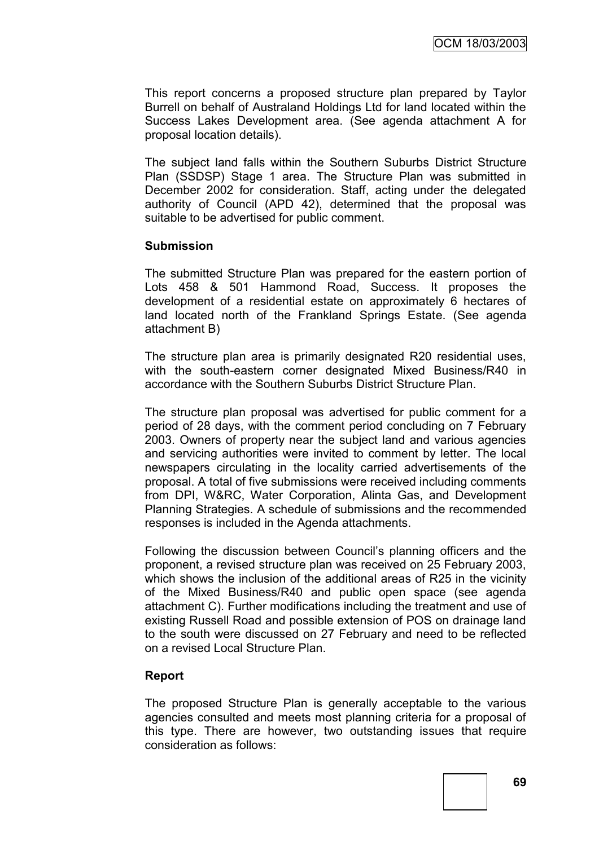This report concerns a proposed structure plan prepared by Taylor Burrell on behalf of Australand Holdings Ltd for land located within the Success Lakes Development area. (See agenda attachment A for proposal location details).

The subject land falls within the Southern Suburbs District Structure Plan (SSDSP) Stage 1 area. The Structure Plan was submitted in December 2002 for consideration. Staff, acting under the delegated authority of Council (APD 42), determined that the proposal was suitable to be advertised for public comment.

#### **Submission**

The submitted Structure Plan was prepared for the eastern portion of Lots 458 & 501 Hammond Road, Success. It proposes the development of a residential estate on approximately 6 hectares of land located north of the Frankland Springs Estate. (See agenda attachment B)

The structure plan area is primarily designated R20 residential uses, with the south-eastern corner designated Mixed Business/R40 in accordance with the Southern Suburbs District Structure Plan.

The structure plan proposal was advertised for public comment for a period of 28 days, with the comment period concluding on 7 February 2003. Owners of property near the subject land and various agencies and servicing authorities were invited to comment by letter. The local newspapers circulating in the locality carried advertisements of the proposal. A total of five submissions were received including comments from DPI, W&RC, Water Corporation, Alinta Gas, and Development Planning Strategies. A schedule of submissions and the recommended responses is included in the Agenda attachments.

Following the discussion between Council"s planning officers and the proponent, a revised structure plan was received on 25 February 2003, which shows the inclusion of the additional areas of R25 in the vicinity of the Mixed Business/R40 and public open space (see agenda attachment C). Further modifications including the treatment and use of existing Russell Road and possible extension of POS on drainage land to the south were discussed on 27 February and need to be reflected on a revised Local Structure Plan.

#### **Report**

The proposed Structure Plan is generally acceptable to the various agencies consulted and meets most planning criteria for a proposal of this type. There are however, two outstanding issues that require consideration as follows: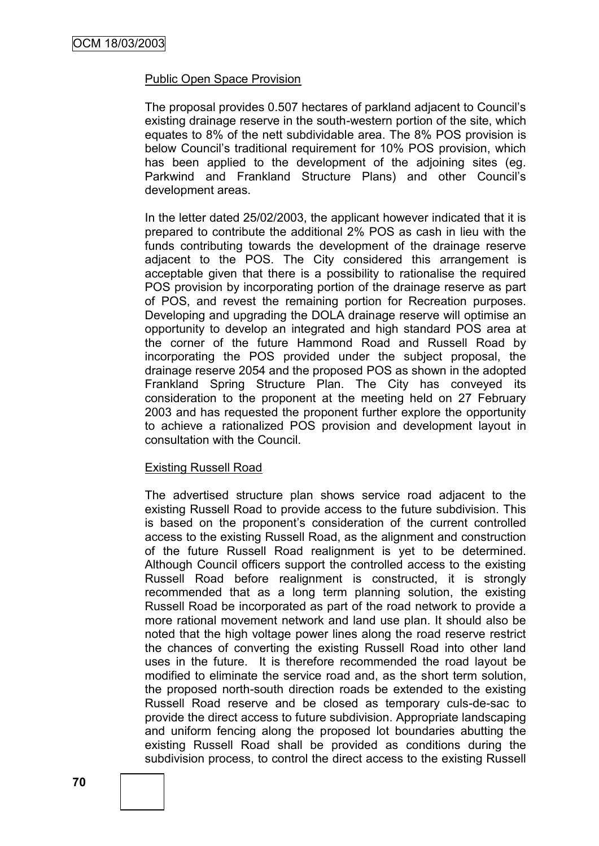#### Public Open Space Provision

The proposal provides 0.507 hectares of parkland adjacent to Council"s existing drainage reserve in the south-western portion of the site, which equates to 8% of the nett subdividable area. The 8% POS provision is below Council"s traditional requirement for 10% POS provision, which has been applied to the development of the adjoining sites (eg. Parkwind and Frankland Structure Plans) and other Council"s development areas.

In the letter dated 25/02/2003, the applicant however indicated that it is prepared to contribute the additional 2% POS as cash in lieu with the funds contributing towards the development of the drainage reserve adjacent to the POS. The City considered this arrangement is acceptable given that there is a possibility to rationalise the required POS provision by incorporating portion of the drainage reserve as part of POS, and revest the remaining portion for Recreation purposes. Developing and upgrading the DOLA drainage reserve will optimise an opportunity to develop an integrated and high standard POS area at the corner of the future Hammond Road and Russell Road by incorporating the POS provided under the subject proposal, the drainage reserve 2054 and the proposed POS as shown in the adopted Frankland Spring Structure Plan. The City has conveyed its consideration to the proponent at the meeting held on 27 February 2003 and has requested the proponent further explore the opportunity to achieve a rationalized POS provision and development layout in consultation with the Council.

#### Existing Russell Road

The advertised structure plan shows service road adjacent to the existing Russell Road to provide access to the future subdivision. This is based on the proponent's consideration of the current controlled access to the existing Russell Road, as the alignment and construction of the future Russell Road realignment is yet to be determined. Although Council officers support the controlled access to the existing Russell Road before realignment is constructed, it is strongly recommended that as a long term planning solution, the existing Russell Road be incorporated as part of the road network to provide a more rational movement network and land use plan. It should also be noted that the high voltage power lines along the road reserve restrict the chances of converting the existing Russell Road into other land uses in the future. It is therefore recommended the road layout be modified to eliminate the service road and, as the short term solution, the proposed north-south direction roads be extended to the existing Russell Road reserve and be closed as temporary culs-de-sac to provide the direct access to future subdivision. Appropriate landscaping and uniform fencing along the proposed lot boundaries abutting the existing Russell Road shall be provided as conditions during the subdivision process, to control the direct access to the existing Russell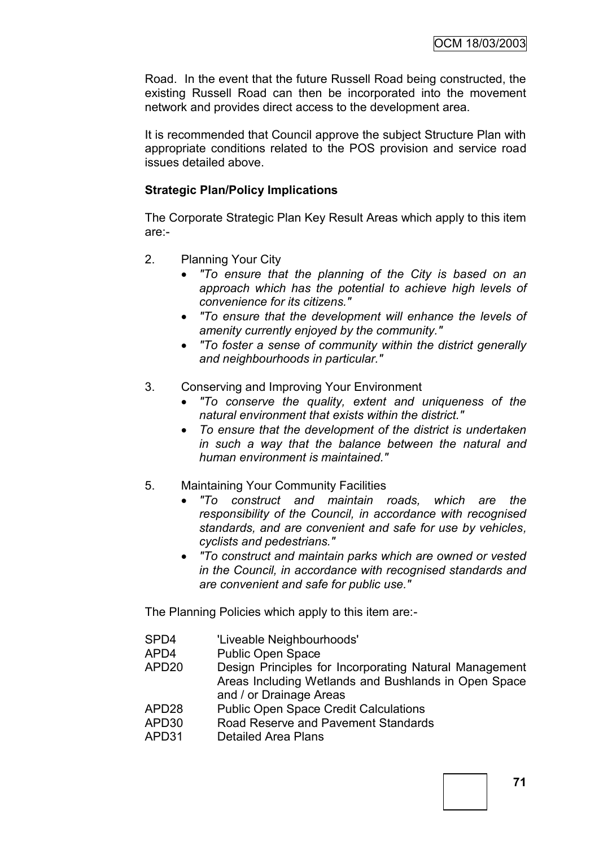Road. In the event that the future Russell Road being constructed, the existing Russell Road can then be incorporated into the movement network and provides direct access to the development area.

It is recommended that Council approve the subject Structure Plan with appropriate conditions related to the POS provision and service road issues detailed above.

#### **Strategic Plan/Policy Implications**

The Corporate Strategic Plan Key Result Areas which apply to this item are:-

- 2. Planning Your City
	- *"To ensure that the planning of the City is based on an approach which has the potential to achieve high levels of convenience for its citizens."*
	- *"To ensure that the development will enhance the levels of amenity currently enjoyed by the community."*
	- *"To foster a sense of community within the district generally and neighbourhoods in particular."*
- 3. Conserving and Improving Your Environment
	- *"To conserve the quality, extent and uniqueness of the natural environment that exists within the district."*
	- *To ensure that the development of the district is undertaken in such a way that the balance between the natural and human environment is maintained."*
- 5. Maintaining Your Community Facilities
	- *"To construct and maintain roads, which are the responsibility of the Council, in accordance with recognised standards, and are convenient and safe for use by vehicles, cyclists and pedestrians."*
	- *"To construct and maintain parks which are owned or vested in the Council, in accordance with recognised standards and are convenient and safe for public use."*

The Planning Policies which apply to this item are:-

- SPD4 'Liveable Neighbourhoods'
- APD4 Public Open Space
- APD20 Design Principles for Incorporating Natural Management Areas Including Wetlands and Bushlands in Open Space and / or Drainage Areas
- APD28 Public Open Space Credit Calculations
- APD30 Road Reserve and Pavement Standards
- APD31 Detailed Area Plans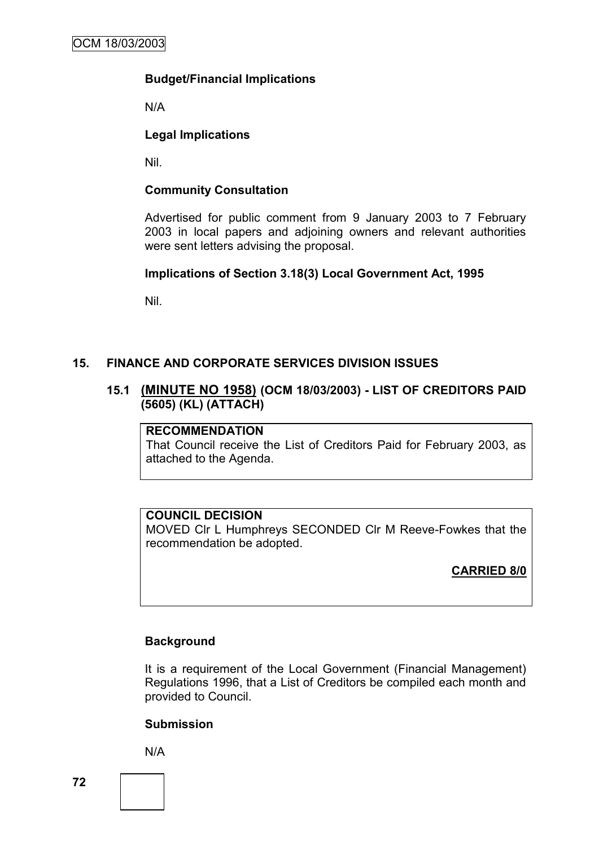## **Budget/Financial Implications**

N/A

## **Legal Implications**

Nil.

## **Community Consultation**

Advertised for public comment from 9 January 2003 to 7 February 2003 in local papers and adjoining owners and relevant authorities were sent letters advising the proposal.

#### **Implications of Section 3.18(3) Local Government Act, 1995**

Nil.

## **15. FINANCE AND CORPORATE SERVICES DIVISION ISSUES**

## **15.1 (MINUTE NO 1958) (OCM 18/03/2003) - LIST OF CREDITORS PAID (5605) (KL) (ATTACH)**

#### **RECOMMENDATION**

That Council receive the List of Creditors Paid for February 2003, as attached to the Agenda.

#### **COUNCIL DECISION**

MOVED Clr L Humphreys SECONDED Clr M Reeve-Fowkes that the recommendation be adopted.

**CARRIED 8/0**

#### **Background**

It is a requirement of the Local Government (Financial Management) Regulations 1996, that a List of Creditors be compiled each month and provided to Council.

#### **Submission**

N/A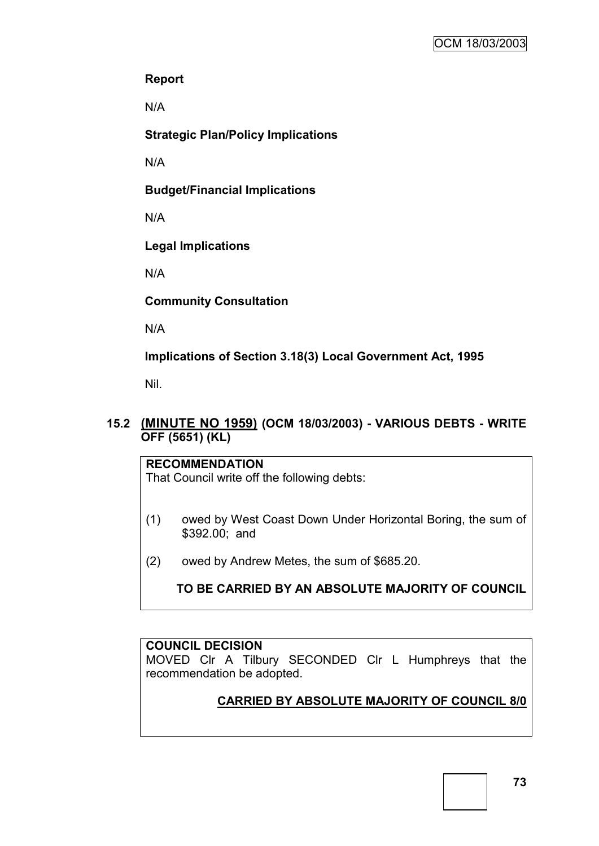### **Report**

N/A

**Strategic Plan/Policy Implications**

N/A

**Budget/Financial Implications**

N/A

**Legal Implications**

N/A

**Community Consultation**

N/A

**Implications of Section 3.18(3) Local Government Act, 1995**

Nil.

## **15.2 (MINUTE NO 1959) (OCM 18/03/2003) - VARIOUS DEBTS - WRITE OFF (5651) (KL)**

## **RECOMMENDATION** That Council write off the following debts:

- (1) owed by West Coast Down Under Horizontal Boring, the sum of \$392.00; and
- (2) owed by Andrew Metes, the sum of \$685.20.

**TO BE CARRIED BY AN ABSOLUTE MAJORITY OF COUNCIL**

## **COUNCIL DECISION**

MOVED Clr A Tilbury SECONDED Clr L Humphreys that the recommendation be adopted.

# **CARRIED BY ABSOLUTE MAJORITY OF COUNCIL 8/0**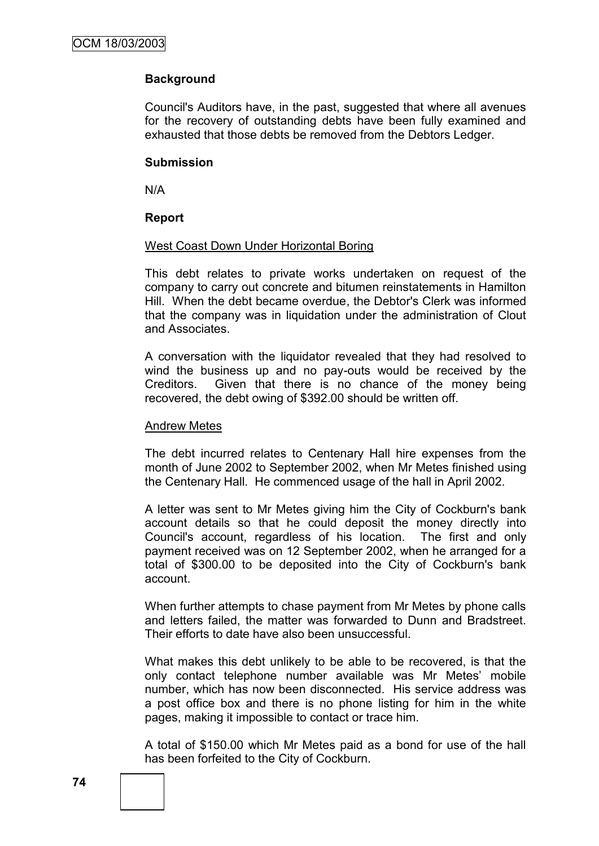## **Background**

Council's Auditors have, in the past, suggested that where all avenues for the recovery of outstanding debts have been fully examined and exhausted that those debts be removed from the Debtors Ledger.

#### **Submission**

N/A

#### **Report**

#### West Coast Down Under Horizontal Boring

This debt relates to private works undertaken on request of the company to carry out concrete and bitumen reinstatements in Hamilton Hill. When the debt became overdue, the Debtor's Clerk was informed that the company was in liquidation under the administration of Clout and Associates.

A conversation with the liquidator revealed that they had resolved to wind the business up and no pay-outs would be received by the Creditors. Given that there is no chance of the money being recovered, the debt owing of \$392.00 should be written off.

#### Andrew Metes

The debt incurred relates to Centenary Hall hire expenses from the month of June 2002 to September 2002, when Mr Metes finished using the Centenary Hall. He commenced usage of the hall in April 2002.

A letter was sent to Mr Metes giving him the City of Cockburn's bank account details so that he could deposit the money directly into Council's account, regardless of his location. The first and only payment received was on 12 September 2002, when he arranged for a total of \$300.00 to be deposited into the City of Cockburn's bank account.

When further attempts to chase payment from Mr Metes by phone calls and letters failed, the matter was forwarded to Dunn and Bradstreet. Their efforts to date have also been unsuccessful.

What makes this debt unlikely to be able to be recovered, is that the only contact telephone number available was Mr Metes" mobile number, which has now been disconnected. His service address was a post office box and there is no phone listing for him in the white pages, making it impossible to contact or trace him.

A total of \$150.00 which Mr Metes paid as a bond for use of the hall has been forfeited to the City of Cockburn.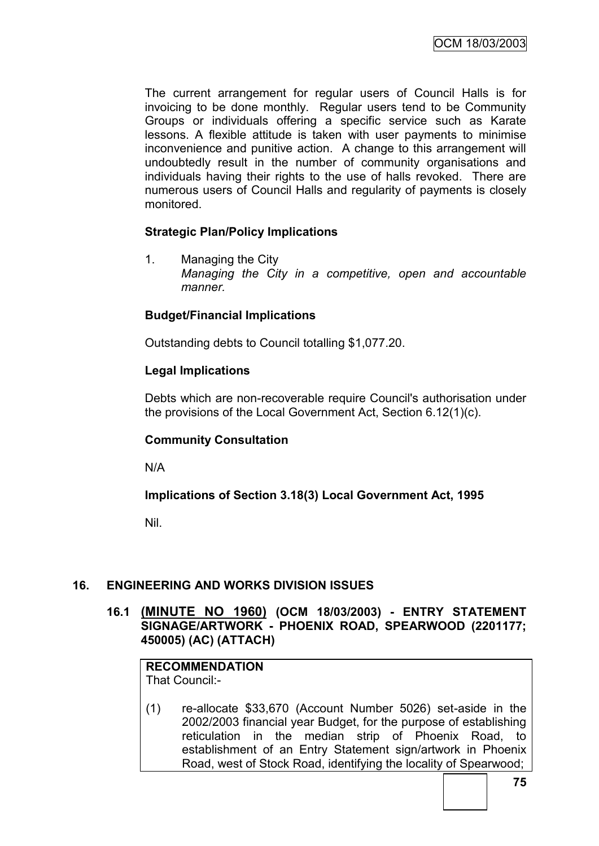The current arrangement for regular users of Council Halls is for invoicing to be done monthly. Regular users tend to be Community Groups or individuals offering a specific service such as Karate lessons. A flexible attitude is taken with user payments to minimise inconvenience and punitive action. A change to this arrangement will undoubtedly result in the number of community organisations and individuals having their rights to the use of halls revoked. There are numerous users of Council Halls and regularity of payments is closely monitored.

## **Strategic Plan/Policy Implications**

1. Managing the City *Managing the City in a competitive, open and accountable manner.*

## **Budget/Financial Implications**

Outstanding debts to Council totalling \$1,077.20.

#### **Legal Implications**

Debts which are non-recoverable require Council's authorisation under the provisions of the Local Government Act, Section 6.12(1)(c).

## **Community Consultation**

N/A

## **Implications of Section 3.18(3) Local Government Act, 1995**

Nil.

## **16. ENGINEERING AND WORKS DIVISION ISSUES**

**16.1 (MINUTE NO 1960) (OCM 18/03/2003) - ENTRY STATEMENT SIGNAGE/ARTWORK - PHOENIX ROAD, SPEARWOOD (2201177; 450005) (AC) (ATTACH)**

# **RECOMMENDATION**

That Council:-

(1) re-allocate \$33,670 (Account Number 5026) set-aside in the 2002/2003 financial year Budget, for the purpose of establishing reticulation in the median strip of Phoenix Road, to establishment of an Entry Statement sign/artwork in Phoenix Road, west of Stock Road, identifying the locality of Spearwood;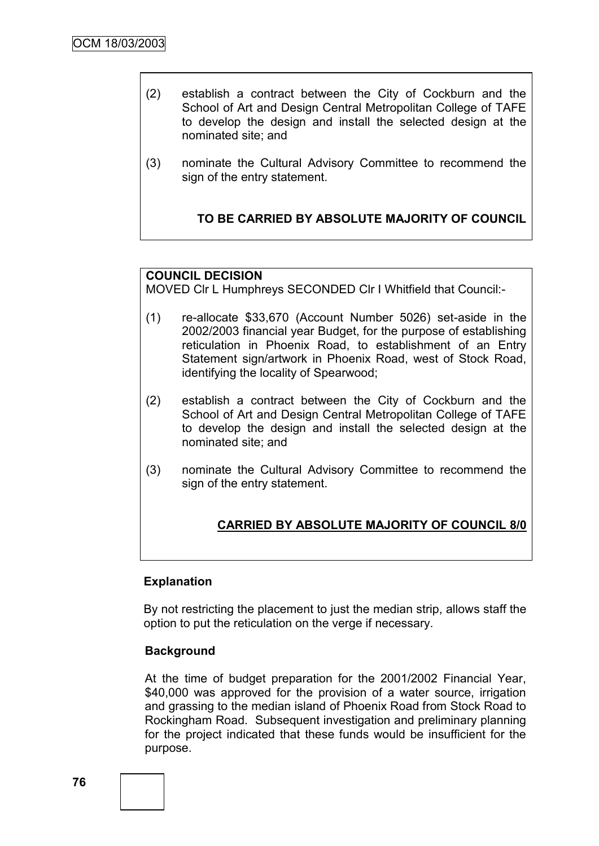- (2) establish a contract between the City of Cockburn and the School of Art and Design Central Metropolitan College of TAFE to develop the design and install the selected design at the nominated site; and
- (3) nominate the Cultural Advisory Committee to recommend the sign of the entry statement.

## **TO BE CARRIED BY ABSOLUTE MAJORITY OF COUNCIL**

## **COUNCIL DECISION**

MOVED Clr L Humphreys SECONDED Clr I Whitfield that Council:-

- (1) re-allocate \$33,670 (Account Number 5026) set-aside in the 2002/2003 financial year Budget, for the purpose of establishing reticulation in Phoenix Road, to establishment of an Entry Statement sign/artwork in Phoenix Road, west of Stock Road, identifying the locality of Spearwood;
- (2) establish a contract between the City of Cockburn and the School of Art and Design Central Metropolitan College of TAFE to develop the design and install the selected design at the nominated site; and
- (3) nominate the Cultural Advisory Committee to recommend the sign of the entry statement.

## **CARRIED BY ABSOLUTE MAJORITY OF COUNCIL 8/0**

#### **Explanation**

By not restricting the placement to just the median strip, allows staff the option to put the reticulation on the verge if necessary.

#### **Background**

At the time of budget preparation for the 2001/2002 Financial Year, \$40,000 was approved for the provision of a water source, irrigation and grassing to the median island of Phoenix Road from Stock Road to Rockingham Road. Subsequent investigation and preliminary planning for the project indicated that these funds would be insufficient for the purpose.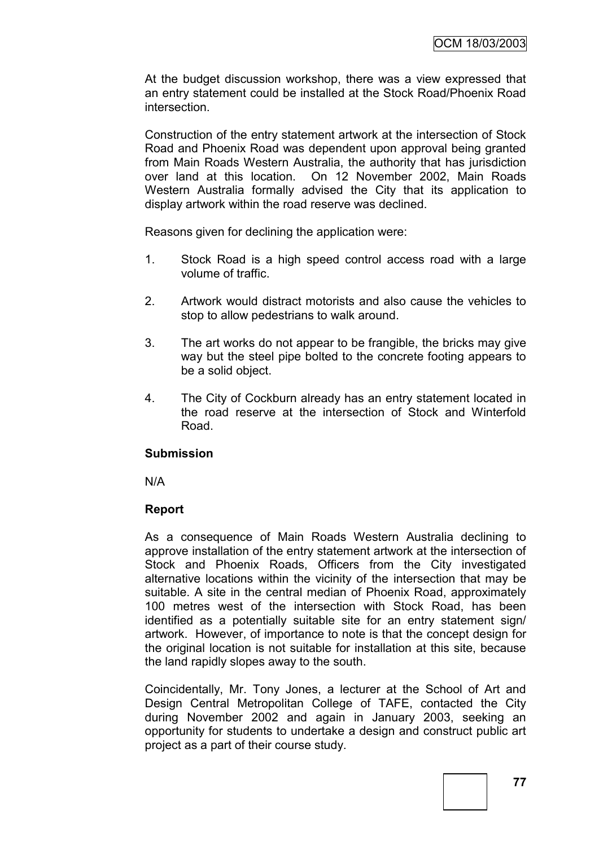At the budget discussion workshop, there was a view expressed that an entry statement could be installed at the Stock Road/Phoenix Road intersection.

Construction of the entry statement artwork at the intersection of Stock Road and Phoenix Road was dependent upon approval being granted from Main Roads Western Australia, the authority that has jurisdiction over land at this location. On 12 November 2002, Main Roads Western Australia formally advised the City that its application to display artwork within the road reserve was declined.

Reasons given for declining the application were:

- 1. Stock Road is a high speed control access road with a large volume of traffic.
- 2. Artwork would distract motorists and also cause the vehicles to stop to allow pedestrians to walk around.
- 3. The art works do not appear to be frangible, the bricks may give way but the steel pipe bolted to the concrete footing appears to be a solid object.
- 4. The City of Cockburn already has an entry statement located in the road reserve at the intersection of Stock and Winterfold Road.

#### **Submission**

N/A

## **Report**

As a consequence of Main Roads Western Australia declining to approve installation of the entry statement artwork at the intersection of Stock and Phoenix Roads, Officers from the City investigated alternative locations within the vicinity of the intersection that may be suitable. A site in the central median of Phoenix Road, approximately 100 metres west of the intersection with Stock Road, has been identified as a potentially suitable site for an entry statement sign/ artwork. However, of importance to note is that the concept design for the original location is not suitable for installation at this site, because the land rapidly slopes away to the south.

Coincidentally, Mr. Tony Jones, a lecturer at the School of Art and Design Central Metropolitan College of TAFE, contacted the City during November 2002 and again in January 2003, seeking an opportunity for students to undertake a design and construct public art project as a part of their course study.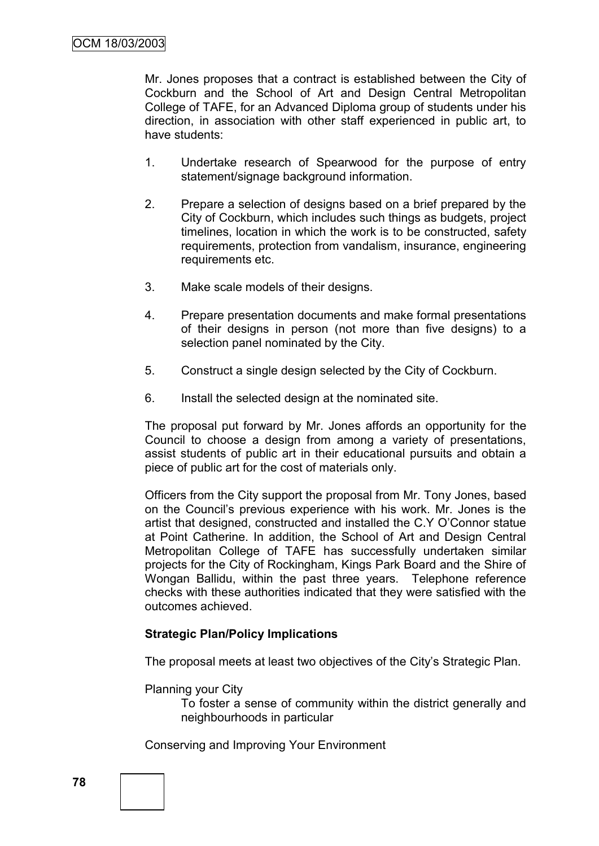Mr. Jones proposes that a contract is established between the City of Cockburn and the School of Art and Design Central Metropolitan College of TAFE, for an Advanced Diploma group of students under his direction, in association with other staff experienced in public art, to have students:

- 1. Undertake research of Spearwood for the purpose of entry statement/signage background information.
- 2. Prepare a selection of designs based on a brief prepared by the City of Cockburn, which includes such things as budgets, project timelines, location in which the work is to be constructed, safety requirements, protection from vandalism, insurance, engineering requirements etc.
- 3. Make scale models of their designs.
- 4. Prepare presentation documents and make formal presentations of their designs in person (not more than five designs) to a selection panel nominated by the City.
- 5. Construct a single design selected by the City of Cockburn.
- 6. Install the selected design at the nominated site.

The proposal put forward by Mr. Jones affords an opportunity for the Council to choose a design from among a variety of presentations, assist students of public art in their educational pursuits and obtain a piece of public art for the cost of materials only.

Officers from the City support the proposal from Mr. Tony Jones, based on the Council"s previous experience with his work. Mr. Jones is the artist that designed, constructed and installed the C.Y O"Connor statue at Point Catherine. In addition, the School of Art and Design Central Metropolitan College of TAFE has successfully undertaken similar projects for the City of Rockingham, Kings Park Board and the Shire of Wongan Ballidu, within the past three years. Telephone reference checks with these authorities indicated that they were satisfied with the outcomes achieved.

#### **Strategic Plan/Policy Implications**

The proposal meets at least two objectives of the City"s Strategic Plan.

Planning your City

To foster a sense of community within the district generally and neighbourhoods in particular

Conserving and Improving Your Environment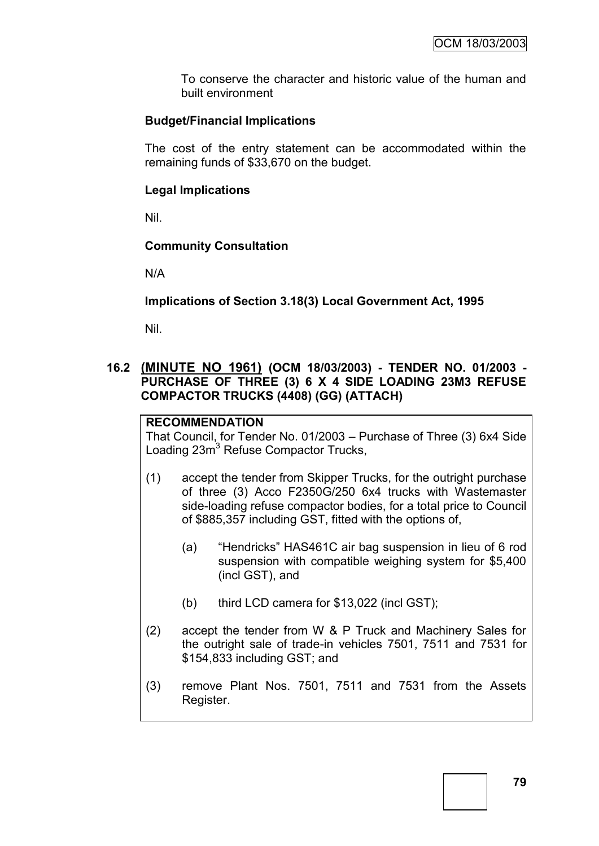To conserve the character and historic value of the human and built environment

## **Budget/Financial Implications**

The cost of the entry statement can be accommodated within the remaining funds of \$33,670 on the budget.

#### **Legal Implications**

Nil.

## **Community Consultation**

N/A

## **Implications of Section 3.18(3) Local Government Act, 1995**

Nil.

## **16.2 (MINUTE NO 1961) (OCM 18/03/2003) - TENDER NO. 01/2003 - PURCHASE OF THREE (3) 6 X 4 SIDE LOADING 23M3 REFUSE COMPACTOR TRUCKS (4408) (GG) (ATTACH)**

#### **RECOMMENDATION**

That Council, for Tender No. 01/2003 – Purchase of Three (3) 6x4 Side Loading 23m<sup>3</sup> Refuse Compactor Trucks,

- (1) accept the tender from Skipper Trucks, for the outright purchase of three (3) Acco F2350G/250 6x4 trucks with Wastemaster side-loading refuse compactor bodies, for a total price to Council of \$885,357 including GST, fitted with the options of,
	- (a) "Hendricks" HAS461C air bag suspension in lieu of 6 rod suspension with compatible weighing system for \$5,400 (incl GST), and
	- (b) third LCD camera for \$13,022 (incl GST);
- (2) accept the tender from W & P Truck and Machinery Sales for the outright sale of trade-in vehicles 7501, 7511 and 7531 for \$154,833 including GST; and
- (3) remove Plant Nos. 7501, 7511 and 7531 from the Assets Register.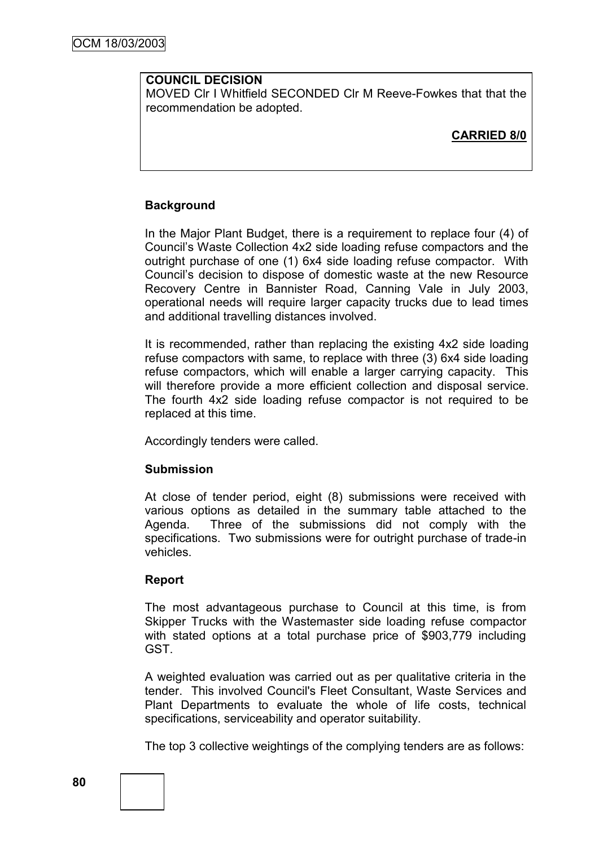#### **COUNCIL DECISION**

MOVED Clr I Whitfield SECONDED Clr M Reeve-Fowkes that that the recommendation be adopted.

**CARRIED 8/0**

## **Background**

In the Major Plant Budget, there is a requirement to replace four (4) of Council"s Waste Collection 4x2 side loading refuse compactors and the outright purchase of one (1) 6x4 side loading refuse compactor. With Council"s decision to dispose of domestic waste at the new Resource Recovery Centre in Bannister Road, Canning Vale in July 2003, operational needs will require larger capacity trucks due to lead times and additional travelling distances involved.

It is recommended, rather than replacing the existing 4x2 side loading refuse compactors with same, to replace with three (3) 6x4 side loading refuse compactors, which will enable a larger carrying capacity. This will therefore provide a more efficient collection and disposal service. The fourth 4x2 side loading refuse compactor is not required to be replaced at this time.

Accordingly tenders were called.

#### **Submission**

At close of tender period, eight (8) submissions were received with various options as detailed in the summary table attached to the Agenda. Three of the submissions did not comply with the specifications. Two submissions were for outright purchase of trade-in vehicles.

#### **Report**

The most advantageous purchase to Council at this time, is from Skipper Trucks with the Wastemaster side loading refuse compactor with stated options at a total purchase price of \$903,779 including GST.

A weighted evaluation was carried out as per qualitative criteria in the tender. This involved Council's Fleet Consultant, Waste Services and Plant Departments to evaluate the whole of life costs, technical specifications, serviceability and operator suitability.

The top 3 collective weightings of the complying tenders are as follows: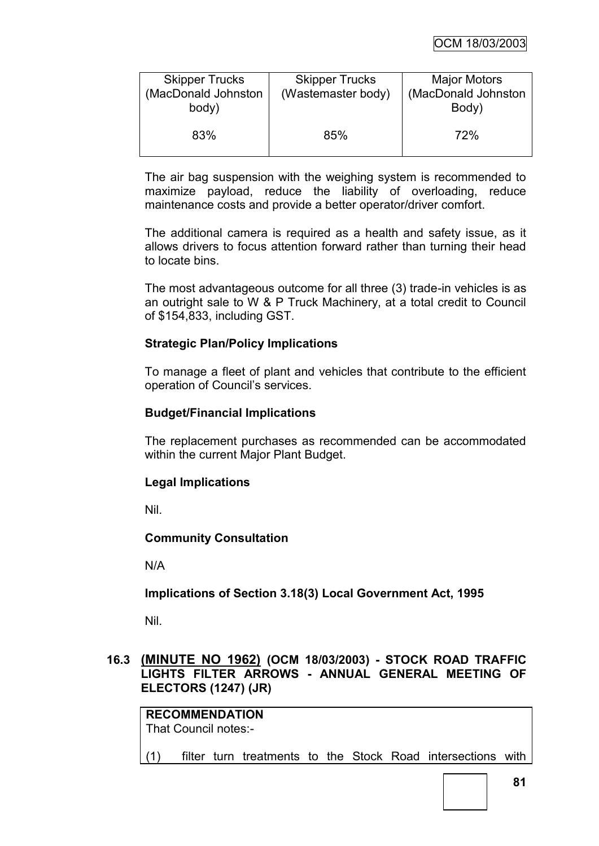| <b>Skipper Trucks</b><br>(MacDonald Johnston<br>body) | <b>Skipper Trucks</b><br>(Wastemaster body) | <b>Major Motors</b><br>(MacDonald Johnston<br>Body) |
|-------------------------------------------------------|---------------------------------------------|-----------------------------------------------------|
| 83%                                                   | 85%                                         | 72%                                                 |

The air bag suspension with the weighing system is recommended to maximize payload, reduce the liability of overloading, reduce maintenance costs and provide a better operator/driver comfort.

The additional camera is required as a health and safety issue, as it allows drivers to focus attention forward rather than turning their head to locate bins.

The most advantageous outcome for all three (3) trade-in vehicles is as an outright sale to W & P Truck Machinery, at a total credit to Council of \$154,833, including GST.

## **Strategic Plan/Policy Implications**

To manage a fleet of plant and vehicles that contribute to the efficient operation of Council"s services.

#### **Budget/Financial Implications**

The replacement purchases as recommended can be accommodated within the current Major Plant Budget.

## **Legal Implications**

Nil.

#### **Community Consultation**

N/A

## **Implications of Section 3.18(3) Local Government Act, 1995**

Nil.

### **16.3 (MINUTE NO 1962) (OCM 18/03/2003) - STOCK ROAD TRAFFIC LIGHTS FILTER ARROWS - ANNUAL GENERAL MEETING OF ELECTORS (1247) (JR)**

**RECOMMENDATION** That Council notes:- (1) filter turn treatments to the Stock Road intersections with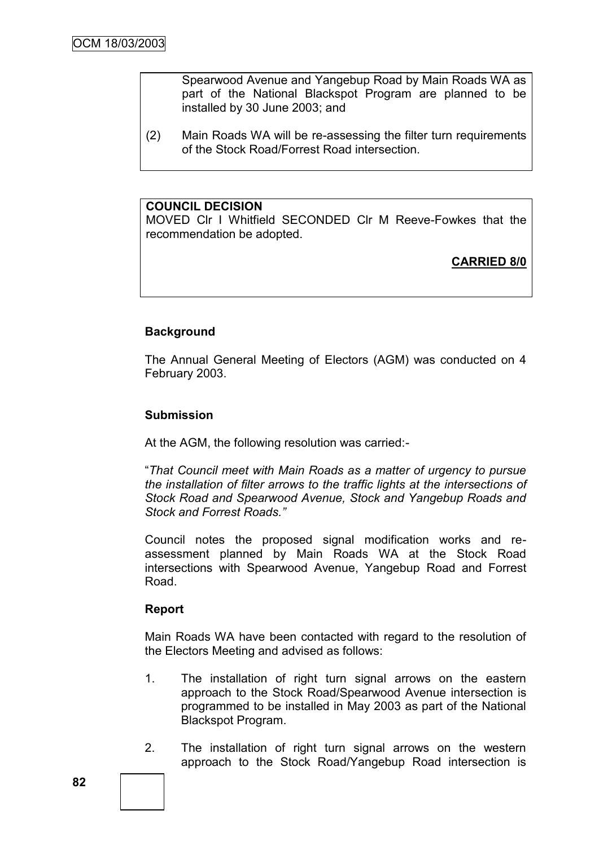Spearwood Avenue and Yangebup Road by Main Roads WA as part of the National Blackspot Program are planned to be installed by 30 June 2003; and

(2) Main Roads WA will be re-assessing the filter turn requirements of the Stock Road/Forrest Road intersection.

#### **COUNCIL DECISION**

MOVED Clr I Whitfield SECONDED Clr M Reeve-Fowkes that the recommendation be adopted.

**CARRIED 8/0**

## **Background**

The Annual General Meeting of Electors (AGM) was conducted on 4 February 2003.

#### **Submission**

At the AGM, the following resolution was carried:-

"*That Council meet with Main Roads as a matter of urgency to pursue the installation of filter arrows to the traffic lights at the intersections of Stock Road and Spearwood Avenue, Stock and Yangebup Roads and Stock and Forrest Roads."*

Council notes the proposed signal modification works and reassessment planned by Main Roads WA at the Stock Road intersections with Spearwood Avenue, Yangebup Road and Forrest Road.

#### **Report**

Main Roads WA have been contacted with regard to the resolution of the Electors Meeting and advised as follows:

- 1. The installation of right turn signal arrows on the eastern approach to the Stock Road/Spearwood Avenue intersection is programmed to be installed in May 2003 as part of the National Blackspot Program.
- 2. The installation of right turn signal arrows on the western approach to the Stock Road/Yangebup Road intersection is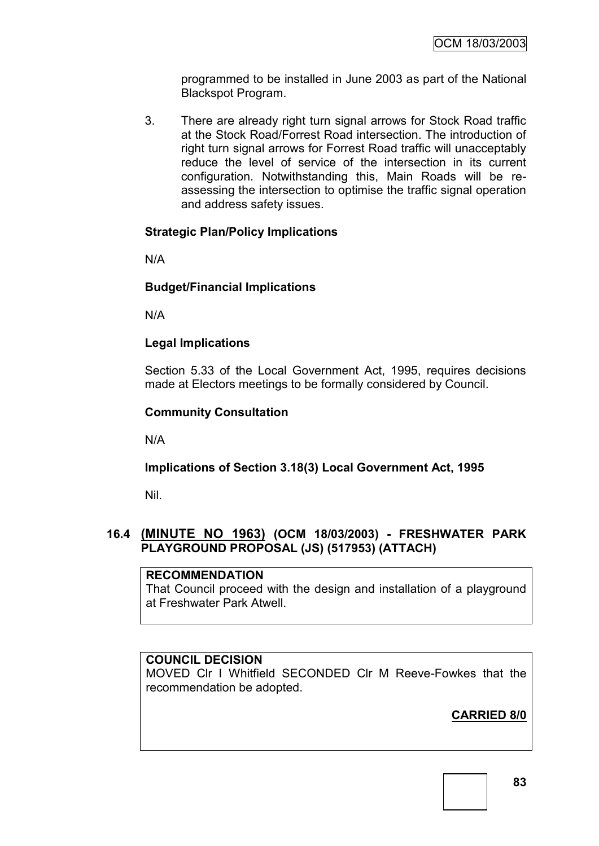programmed to be installed in June 2003 as part of the National Blackspot Program.

3. There are already right turn signal arrows for Stock Road traffic at the Stock Road/Forrest Road intersection. The introduction of right turn signal arrows for Forrest Road traffic will unacceptably reduce the level of service of the intersection in its current configuration. Notwithstanding this, Main Roads will be reassessing the intersection to optimise the traffic signal operation and address safety issues.

## **Strategic Plan/Policy Implications**

N/A

## **Budget/Financial Implications**

N/A

## **Legal Implications**

Section 5.33 of the Local Government Act, 1995, requires decisions made at Electors meetings to be formally considered by Council.

#### **Community Consultation**

N/A

#### **Implications of Section 3.18(3) Local Government Act, 1995**

Nil.

## **16.4 (MINUTE NO 1963) (OCM 18/03/2003) - FRESHWATER PARK PLAYGROUND PROPOSAL (JS) (517953) (ATTACH)**

#### **RECOMMENDATION**

That Council proceed with the design and installation of a playground at Freshwater Park Atwell.

### **COUNCIL DECISION**

MOVED Clr I Whitfield SECONDED Clr M Reeve-Fowkes that the recommendation be adopted.

# **CARRIED 8/0**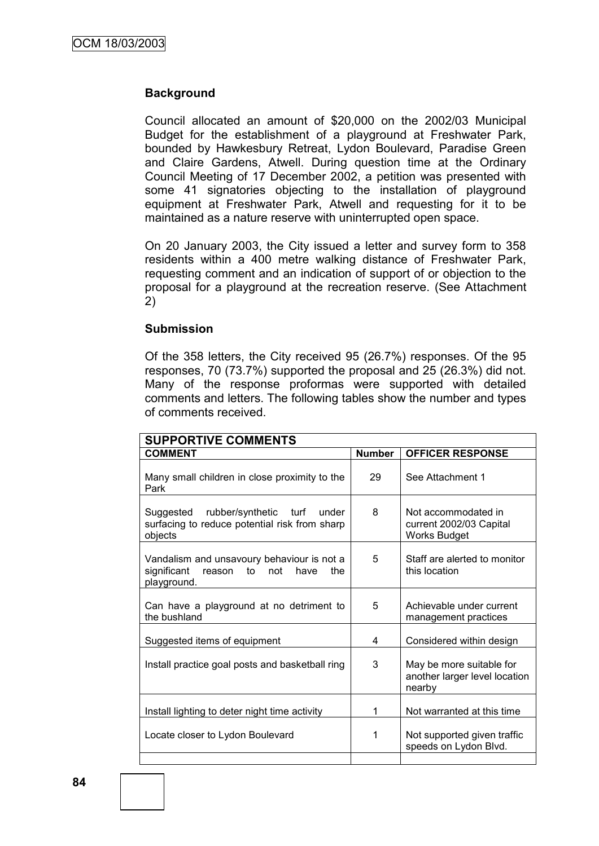#### **Background**

Council allocated an amount of \$20,000 on the 2002/03 Municipal Budget for the establishment of a playground at Freshwater Park, bounded by Hawkesbury Retreat, Lydon Boulevard, Paradise Green and Claire Gardens, Atwell. During question time at the Ordinary Council Meeting of 17 December 2002, a petition was presented with some 41 signatories objecting to the installation of playground equipment at Freshwater Park, Atwell and requesting for it to be maintained as a nature reserve with uninterrupted open space.

On 20 January 2003, the City issued a letter and survey form to 358 residents within a 400 metre walking distance of Freshwater Park, requesting comment and an indication of support of or objection to the proposal for a playground at the recreation reserve. (See Attachment 2)

#### **Submission**

Of the 358 letters, the City received 95 (26.7%) responses. Of the 95 responses, 70 (73.7%) supported the proposal and 25 (26.3%) did not. Many of the response proformas were supported with detailed comments and letters. The following tables show the number and types of comments received.

| <b>SUPPORTIVE COMMENTS</b>                                                                               |               |                                                                       |  |  |
|----------------------------------------------------------------------------------------------------------|---------------|-----------------------------------------------------------------------|--|--|
| <b>COMMENT</b>                                                                                           | <b>Number</b> | <b>OFFICER RESPONSE</b>                                               |  |  |
| Many small children in close proximity to the<br>Park                                                    | 29            | See Attachment 1                                                      |  |  |
| rubber/synthetic turf under<br>Suggested<br>surfacing to reduce potential risk from sharp<br>objects     | 8             | Not accommodated in<br>current 2002/03 Capital<br><b>Works Budget</b> |  |  |
| Vandalism and unsavoury behaviour is not a<br>significant<br>reason to not<br>have<br>the<br>playground. | 5             | Staff are alerted to monitor<br>this location                         |  |  |
| Can have a playground at no detriment to<br>the bushland                                                 | 5             | Achievable under current<br>management practices                      |  |  |
| Suggested items of equipment                                                                             | 4             | Considered within design                                              |  |  |
| Install practice goal posts and basketball ring                                                          | 3             | May be more suitable for<br>another larger level location<br>nearby   |  |  |
| Install lighting to deter night time activity                                                            | 1             | Not warranted at this time                                            |  |  |
| Locate closer to Lydon Boulevard                                                                         | 1             | Not supported given traffic<br>speeds on Lydon Blvd.                  |  |  |
|                                                                                                          |               |                                                                       |  |  |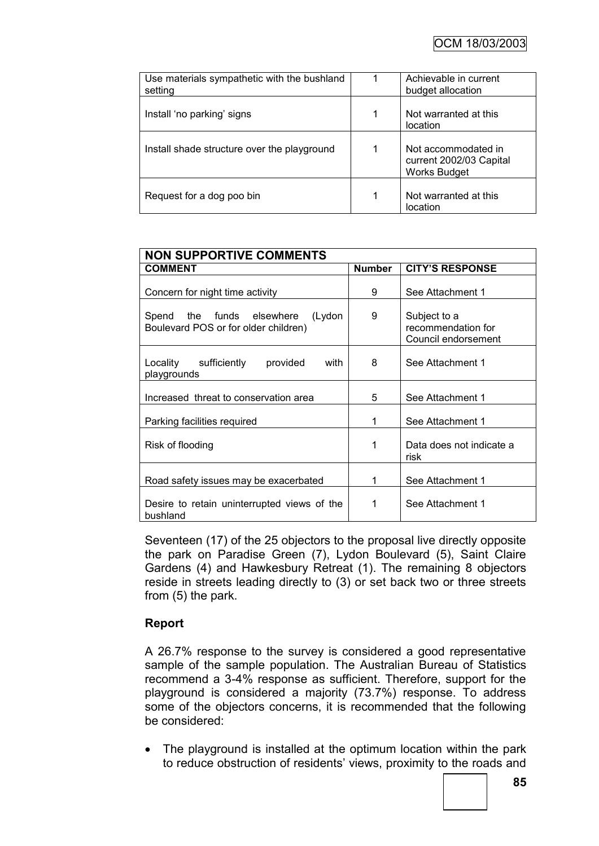| Use materials sympathetic with the bushland<br>setting |   | Achievable in current<br>budget allocation                            |
|--------------------------------------------------------|---|-----------------------------------------------------------------------|
| Install 'no parking' signs                             | 1 | Not warranted at this<br>location                                     |
| Install shade structure over the playground            | 1 | Not accommodated in<br>current 2002/03 Capital<br><b>Works Budget</b> |
| Request for a dog poo bin                              | 1 | Not warranted at this<br>location                                     |

| <b>NON SUPPORTIVE COMMENTS</b>                                              |               |                                                           |  |  |  |
|-----------------------------------------------------------------------------|---------------|-----------------------------------------------------------|--|--|--|
| <b>COMMENT</b>                                                              | <b>Number</b> | <b>CITY'S RESPONSE</b>                                    |  |  |  |
| Concern for night time activity                                             | 9             | See Attachment 1                                          |  |  |  |
| Spend the funds elsewhere<br>(Lydon<br>Boulevard POS or for older children) | 9             | Subject to a<br>recommendation for<br>Council endorsement |  |  |  |
| sufficiently<br>with<br>Locality<br>provided<br>playgrounds                 | 8             | See Attachment 1                                          |  |  |  |
| Increased threat to conservation area                                       | 5             | See Attachment 1                                          |  |  |  |
| Parking facilities required                                                 | 1             | See Attachment 1                                          |  |  |  |
| Risk of flooding                                                            | 1             | Data does not indicate a<br>risk                          |  |  |  |
| Road safety issues may be exacerbated                                       | 1             | See Attachment 1                                          |  |  |  |
| Desire to retain uninterrupted views of the<br>bushland                     | 1             | See Attachment 1                                          |  |  |  |

Seventeen (17) of the 25 objectors to the proposal live directly opposite the park on Paradise Green (7), Lydon Boulevard (5), Saint Claire Gardens (4) and Hawkesbury Retreat (1). The remaining 8 objectors reside in streets leading directly to (3) or set back two or three streets from (5) the park.

## **Report**

A 26.7% response to the survey is considered a good representative sample of the sample population. The Australian Bureau of Statistics recommend a 3-4% response as sufficient. Therefore, support for the playground is considered a majority (73.7%) response. To address some of the objectors concerns, it is recommended that the following be considered:

• The playground is installed at the optimum location within the park to reduce obstruction of residents' views, proximity to the roads and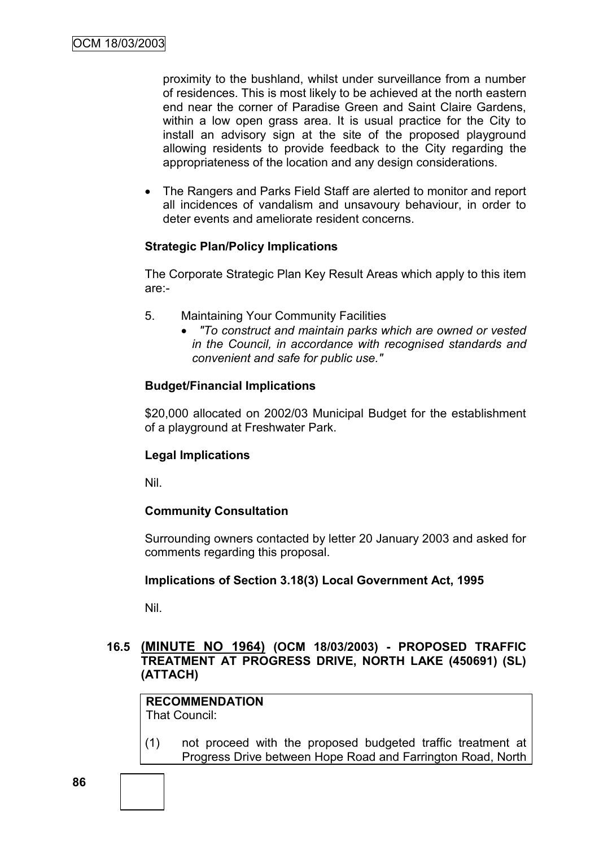proximity to the bushland, whilst under surveillance from a number of residences. This is most likely to be achieved at the north eastern end near the corner of Paradise Green and Saint Claire Gardens, within a low open grass area. It is usual practice for the City to install an advisory sign at the site of the proposed playground allowing residents to provide feedback to the City regarding the appropriateness of the location and any design considerations.

 The Rangers and Parks Field Staff are alerted to monitor and report all incidences of vandalism and unsavoury behaviour, in order to deter events and ameliorate resident concerns.

#### **Strategic Plan/Policy Implications**

The Corporate Strategic Plan Key Result Areas which apply to this item are:-

- 5. Maintaining Your Community Facilities
	- *"To construct and maintain parks which are owned or vested in the Council, in accordance with recognised standards and convenient and safe for public use."*

#### **Budget/Financial Implications**

\$20,000 allocated on 2002/03 Municipal Budget for the establishment of a playground at Freshwater Park.

#### **Legal Implications**

Nil.

#### **Community Consultation**

Surrounding owners contacted by letter 20 January 2003 and asked for comments regarding this proposal.

#### **Implications of Section 3.18(3) Local Government Act, 1995**

Nil.

#### **16.5 (MINUTE NO 1964) (OCM 18/03/2003) - PROPOSED TRAFFIC TREATMENT AT PROGRESS DRIVE, NORTH LAKE (450691) (SL) (ATTACH)**

**RECOMMENDATION** That Council:

(1) not proceed with the proposed budgeted traffic treatment at Progress Drive between Hope Road and Farrington Road, North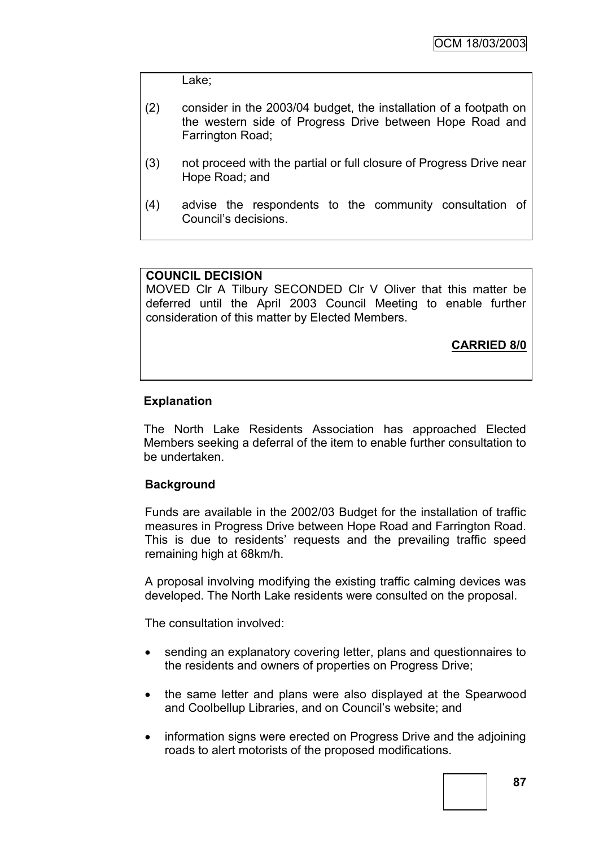Lake;

- (2) consider in the 2003/04 budget, the installation of a footpath on the western side of Progress Drive between Hope Road and Farrington Road;
- (3) not proceed with the partial or full closure of Progress Drive near Hope Road; and
- (4) advise the respondents to the community consultation of Council"s decisions.

#### **COUNCIL DECISION**

MOVED Clr A Tilbury SECONDED Clr V Oliver that this matter be deferred until the April 2003 Council Meeting to enable further consideration of this matter by Elected Members.

**CARRIED 8/0**

#### **Explanation**

The North Lake Residents Association has approached Elected Members seeking a deferral of the item to enable further consultation to be undertaken.

#### **Background**

Funds are available in the 2002/03 Budget for the installation of traffic measures in Progress Drive between Hope Road and Farrington Road. This is due to residents' requests and the prevailing traffic speed remaining high at 68km/h.

A proposal involving modifying the existing traffic calming devices was developed. The North Lake residents were consulted on the proposal.

The consultation involved:

- sending an explanatory covering letter, plans and questionnaires to the residents and owners of properties on Progress Drive;
- the same letter and plans were also displayed at the Spearwood and Coolbellup Libraries, and on Council"s website; and
- information signs were erected on Progress Drive and the adjoining roads to alert motorists of the proposed modifications.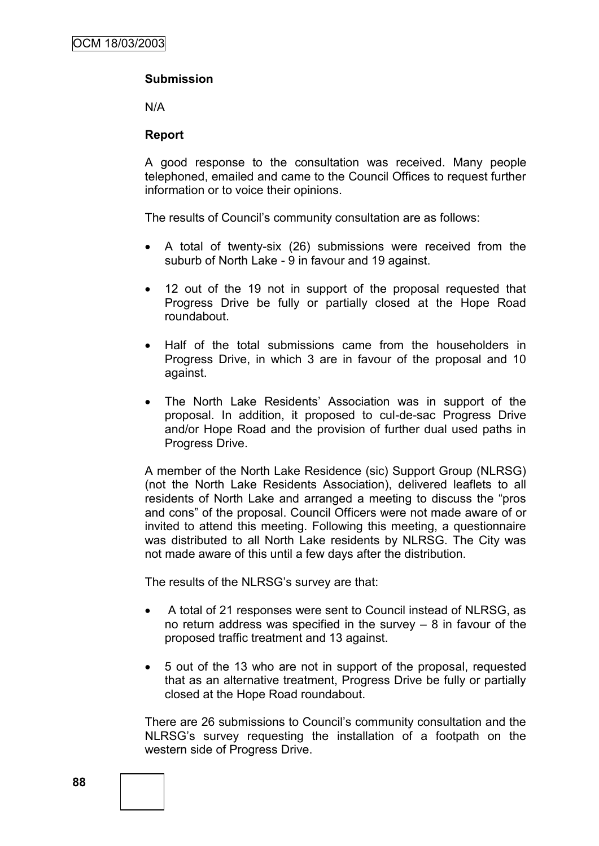## **Submission**

N/A

#### **Report**

A good response to the consultation was received. Many people telephoned, emailed and came to the Council Offices to request further information or to voice their opinions.

The results of Council"s community consultation are as follows:

- A total of twenty-six (26) submissions were received from the suburb of North Lake - 9 in favour and 19 against.
- 12 out of the 19 not in support of the proposal requested that Progress Drive be fully or partially closed at the Hope Road roundabout.
- Half of the total submissions came from the householders in Progress Drive, in which 3 are in favour of the proposal and 10 against.
- The North Lake Residents' Association was in support of the proposal. In addition, it proposed to cul-de-sac Progress Drive and/or Hope Road and the provision of further dual used paths in Progress Drive.

A member of the North Lake Residence (sic) Support Group (NLRSG) (not the North Lake Residents Association), delivered leaflets to all residents of North Lake and arranged a meeting to discuss the "pros and cons" of the proposal. Council Officers were not made aware of or invited to attend this meeting. Following this meeting, a questionnaire was distributed to all North Lake residents by NLRSG. The City was not made aware of this until a few days after the distribution.

The results of the NLRSG"s survey are that:

- A total of 21 responses were sent to Council instead of NLRSG, as no return address was specified in the survey – 8 in favour of the proposed traffic treatment and 13 against.
- 5 out of the 13 who are not in support of the proposal, requested that as an alternative treatment, Progress Drive be fully or partially closed at the Hope Road roundabout.

There are 26 submissions to Council"s community consultation and the NLRSG"s survey requesting the installation of a footpath on the western side of Progress Drive.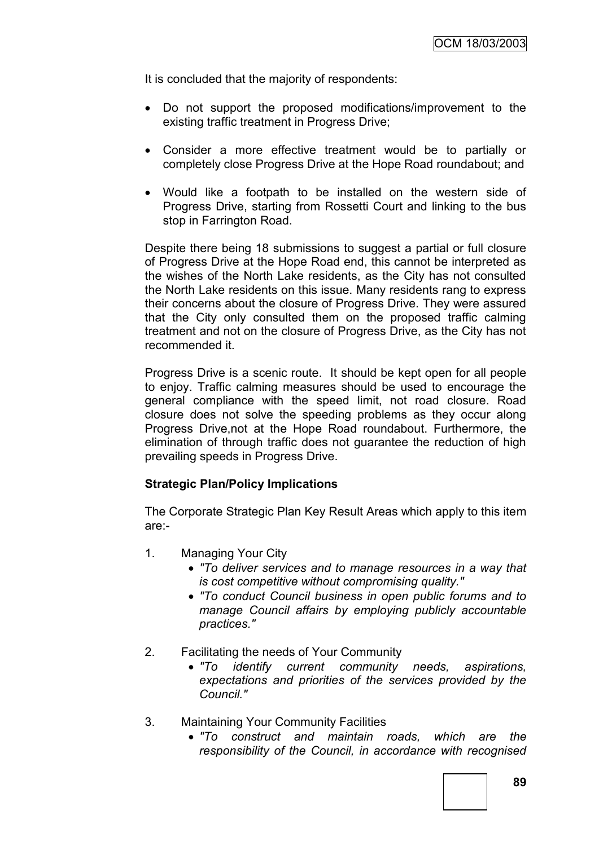It is concluded that the majority of respondents:

- Do not support the proposed modifications/improvement to the existing traffic treatment in Progress Drive;
- Consider a more effective treatment would be to partially or completely close Progress Drive at the Hope Road roundabout; and
- Would like a footpath to be installed on the western side of Progress Drive, starting from Rossetti Court and linking to the bus stop in Farrington Road.

Despite there being 18 submissions to suggest a partial or full closure of Progress Drive at the Hope Road end, this cannot be interpreted as the wishes of the North Lake residents, as the City has not consulted the North Lake residents on this issue. Many residents rang to express their concerns about the closure of Progress Drive. They were assured that the City only consulted them on the proposed traffic calming treatment and not on the closure of Progress Drive, as the City has not recommended it.

Progress Drive is a scenic route. It should be kept open for all people to enjoy. Traffic calming measures should be used to encourage the general compliance with the speed limit, not road closure. Road closure does not solve the speeding problems as they occur along Progress Drive,not at the Hope Road roundabout. Furthermore, the elimination of through traffic does not guarantee the reduction of high prevailing speeds in Progress Drive.

#### **Strategic Plan/Policy Implications**

The Corporate Strategic Plan Key Result Areas which apply to this item are:-

- 1. Managing Your City
	- *"To deliver services and to manage resources in a way that is cost competitive without compromising quality."*
	- *"To conduct Council business in open public forums and to manage Council affairs by employing publicly accountable practices."*
- 2. Facilitating the needs of Your Community
	- *"To identify current community needs, aspirations, expectations and priorities of the services provided by the Council."*
- 3. Maintaining Your Community Facilities
	- *"To construct and maintain roads, which are the responsibility of the Council, in accordance with recognised*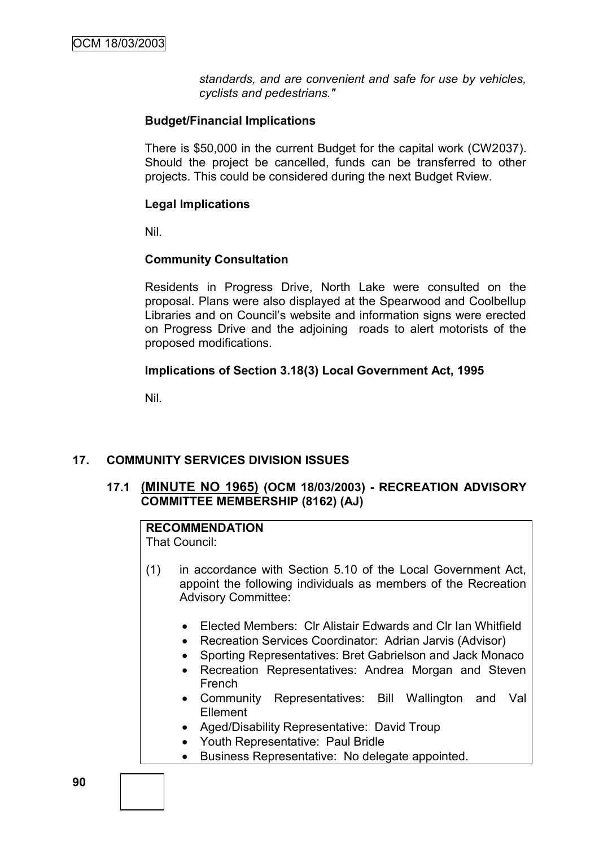*standards, and are convenient and safe for use by vehicles, cyclists and pedestrians."*

#### **Budget/Financial Implications**

There is \$50,000 in the current Budget for the capital work (CW2037). Should the project be cancelled, funds can be transferred to other projects. This could be considered during the next Budget Rview.

## **Legal Implications**

Nil.

## **Community Consultation**

Residents in Progress Drive, North Lake were consulted on the proposal. Plans were also displayed at the Spearwood and Coolbellup Libraries and on Council"s website and information signs were erected on Progress Drive and the adjoining roads to alert motorists of the proposed modifications.

## **Implications of Section 3.18(3) Local Government Act, 1995**

Nil.

## **17. COMMUNITY SERVICES DIVISION ISSUES**

## **17.1 (MINUTE NO 1965) (OCM 18/03/2003) - RECREATION ADVISORY COMMITTEE MEMBERSHIP (8162) (AJ)**

# **RECOMMENDATION**

That Council:

- (1) in accordance with Section 5.10 of the Local Government Act, appoint the following individuals as members of the Recreation Advisory Committee:
	- Elected Members: Clr Alistair Edwards and Clr Ian Whitfield
	- Recreation Services Coordinator: Adrian Jarvis (Advisor)
	- Sporting Representatives: Bret Gabrielson and Jack Monaco
	- Recreation Representatives: Andrea Morgan and Steven French
	- Community Representatives: Bill Wallington and Val Ellement
	- Aged/Disability Representative: David Troup
	- Youth Representative: Paul Bridle
	- Business Representative: No delegate appointed.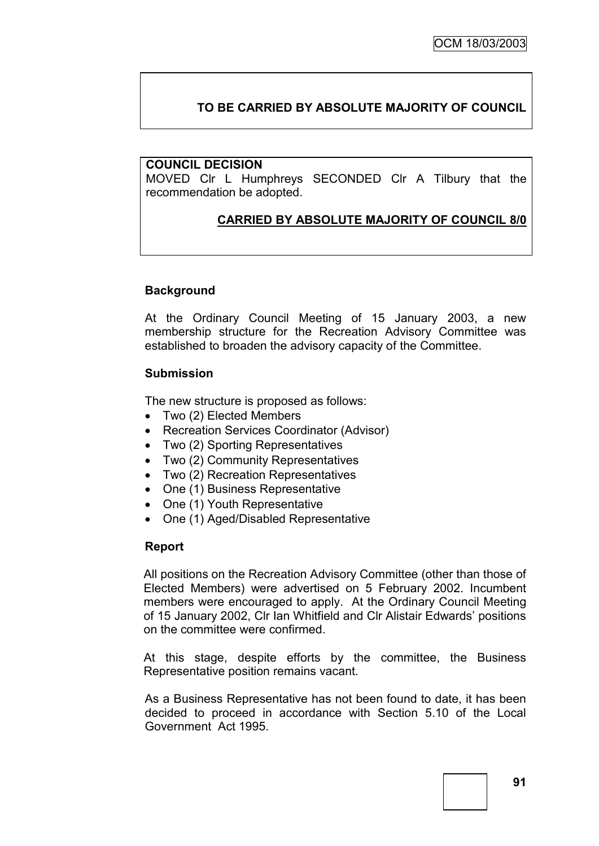# **TO BE CARRIED BY ABSOLUTE MAJORITY OF COUNCIL**

#### **COUNCIL DECISION**

MOVED Clr L Humphreys SECONDED Clr A Tilbury that the recommendation be adopted.

## **CARRIED BY ABSOLUTE MAJORITY OF COUNCIL 8/0**

#### **Background**

At the Ordinary Council Meeting of 15 January 2003, a new membership structure for the Recreation Advisory Committee was established to broaden the advisory capacity of the Committee.

#### **Submission**

The new structure is proposed as follows:

- Two (2) Elected Members
- Recreation Services Coordinator (Advisor)
- Two (2) Sporting Representatives
- Two (2) Community Representatives
- Two (2) Recreation Representatives
- One (1) Business Representative
- One (1) Youth Representative
- One (1) Aged/Disabled Representative

#### **Report**

All positions on the Recreation Advisory Committee (other than those of Elected Members) were advertised on 5 February 2002. Incumbent members were encouraged to apply. At the Ordinary Council Meeting of 15 January 2002, Clr Ian Whitfield and Clr Alistair Edwards" positions on the committee were confirmed.

At this stage, despite efforts by the committee, the Business Representative position remains vacant.

As a Business Representative has not been found to date, it has been decided to proceed in accordance with Section 5.10 of the Local Government Act 1995.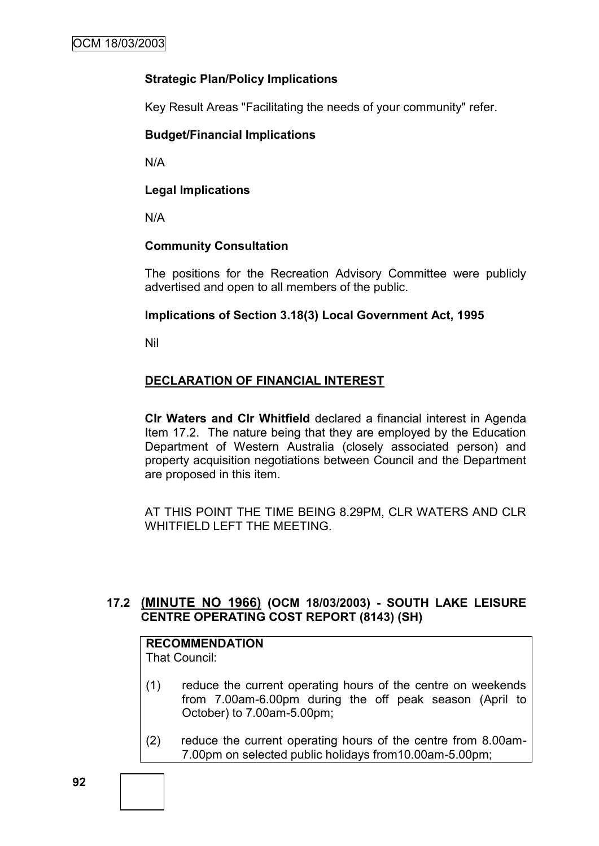## **Strategic Plan/Policy Implications**

Key Result Areas "Facilitating the needs of your community" refer.

#### **Budget/Financial Implications**

N/A

## **Legal Implications**

N/A

## **Community Consultation**

The positions for the Recreation Advisory Committee were publicly advertised and open to all members of the public.

## **Implications of Section 3.18(3) Local Government Act, 1995**

Nil

## **DECLARATION OF FINANCIAL INTEREST**

**Clr Waters and Clr Whitfield** declared a financial interest in Agenda Item 17.2. The nature being that they are employed by the Education Department of Western Australia (closely associated person) and property acquisition negotiations between Council and the Department are proposed in this item.

AT THIS POINT THE TIME BEING 8.29PM, CLR WATERS AND CLR WHITFIFLD LEFT THE MEETING.

## **17.2 (MINUTE NO 1966) (OCM 18/03/2003) - SOUTH LAKE LEISURE CENTRE OPERATING COST REPORT (8143) (SH)**

## **RECOMMENDATION**

That Council:

- (1) reduce the current operating hours of the centre on weekends from 7.00am-6.00pm during the off peak season (April to October) to 7.00am-5.00pm;
- (2) reduce the current operating hours of the centre from 8.00am-7.00pm on selected public holidays from10.00am-5.00pm;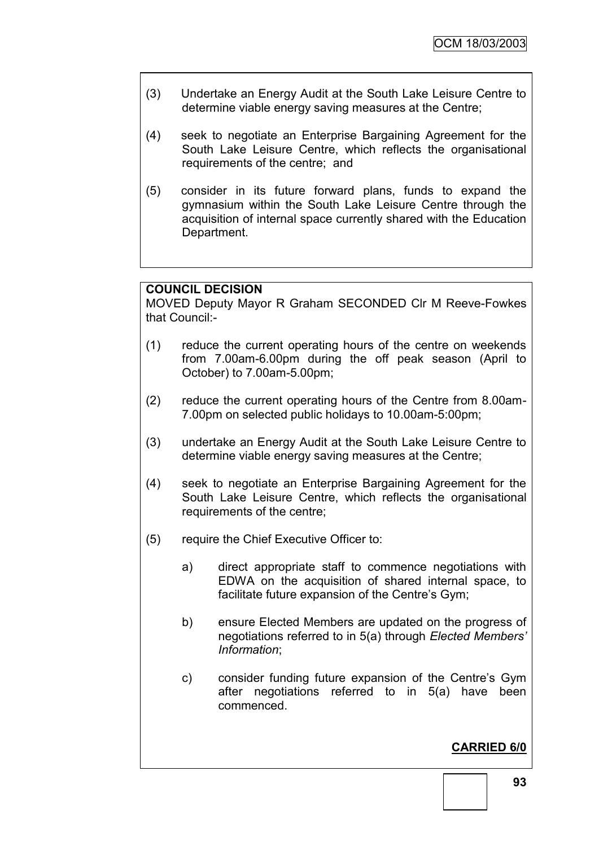- (3) Undertake an Energy Audit at the South Lake Leisure Centre to determine viable energy saving measures at the Centre;
- (4) seek to negotiate an Enterprise Bargaining Agreement for the South Lake Leisure Centre, which reflects the organisational requirements of the centre; and
- (5) consider in its future forward plans, funds to expand the gymnasium within the South Lake Leisure Centre through the acquisition of internal space currently shared with the Education Department.

## **COUNCIL DECISION**

MOVED Deputy Mayor R Graham SECONDED Clr M Reeve-Fowkes that Council:-

- (1) reduce the current operating hours of the centre on weekends from 7.00am-6.00pm during the off peak season (April to October) to 7.00am-5.00pm;
- (2) reduce the current operating hours of the Centre from 8.00am-7.00pm on selected public holidays to 10.00am-5:00pm;
- (3) undertake an Energy Audit at the South Lake Leisure Centre to determine viable energy saving measures at the Centre;
- (4) seek to negotiate an Enterprise Bargaining Agreement for the South Lake Leisure Centre, which reflects the organisational requirements of the centre;
- (5) require the Chief Executive Officer to:
	- a) direct appropriate staff to commence negotiations with EDWA on the acquisition of shared internal space, to facilitate future expansion of the Centre's Gym;
	- b) ensure Elected Members are updated on the progress of negotiations referred to in 5(a) through *Elected Members' Information*;
	- c) consider funding future expansion of the Centre"s Gym after negotiations referred to in 5(a) have been commenced.

## **CARRIED 6/0**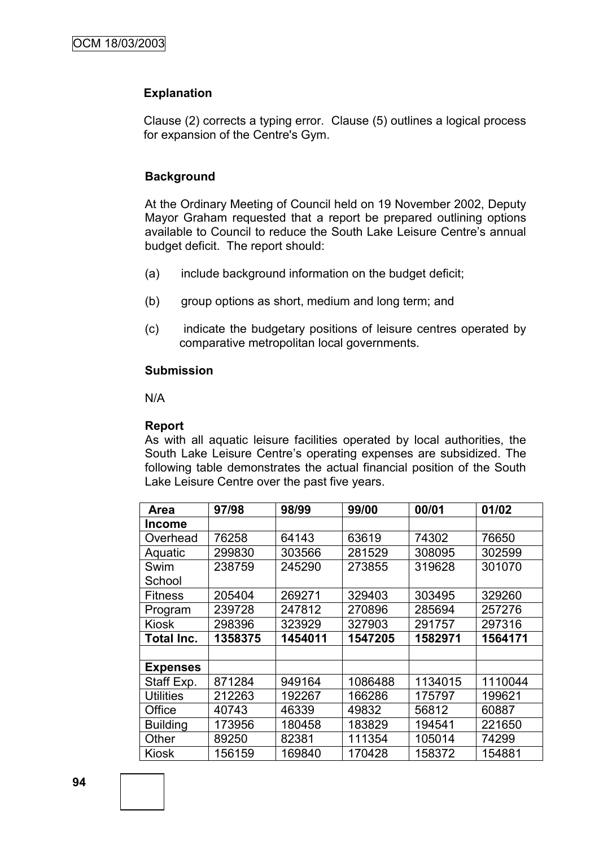#### **Explanation**

Clause (2) corrects a typing error. Clause (5) outlines a logical process for expansion of the Centre's Gym.

#### **Background**

At the Ordinary Meeting of Council held on 19 November 2002, Deputy Mayor Graham requested that a report be prepared outlining options available to Council to reduce the South Lake Leisure Centre"s annual budget deficit. The report should:

- (a) include background information on the budget deficit;
- (b) group options as short, medium and long term; and
- (c) indicate the budgetary positions of leisure centres operated by comparative metropolitan local governments.

#### **Submission**

N/A

#### **Report**

As with all aquatic leisure facilities operated by local authorities, the South Lake Leisure Centre's operating expenses are subsidized. The following table demonstrates the actual financial position of the South Lake Leisure Centre over the past five years.

| <b>Area</b>       | 97/98   | 98/99   | 99/00   | 00/01   | 01/02   |
|-------------------|---------|---------|---------|---------|---------|
| <b>Income</b>     |         |         |         |         |         |
| Overhead          | 76258   | 64143   | 63619   | 74302   | 76650   |
| Aquatic           | 299830  | 303566  | 281529  | 308095  | 302599  |
| Swim              | 238759  | 245290  | 273855  | 319628  | 301070  |
| School            |         |         |         |         |         |
| <b>Fitness</b>    | 205404  | 269271  | 329403  | 303495  | 329260  |
| Program           | 239728  | 247812  | 270896  | 285694  | 257276  |
| <b>Kiosk</b>      | 298396  | 323929  | 327903  | 291757  | 297316  |
| <b>Total Inc.</b> | 1358375 | 1454011 | 1547205 | 1582971 | 1564171 |
|                   |         |         |         |         |         |
| <b>Expenses</b>   |         |         |         |         |         |
| Staff Exp.        | 871284  | 949164  | 1086488 | 1134015 | 1110044 |
| <b>Utilities</b>  | 212263  | 192267  | 166286  | 175797  | 199621  |
| Office            | 40743   | 46339   | 49832   | 56812   | 60887   |
| <b>Building</b>   | 173956  | 180458  | 183829  | 194541  | 221650  |
| Other             | 89250   | 82381   | 111354  | 105014  | 74299   |
| <b>Kiosk</b>      | 156159  | 169840  | 170428  | 158372  | 154881  |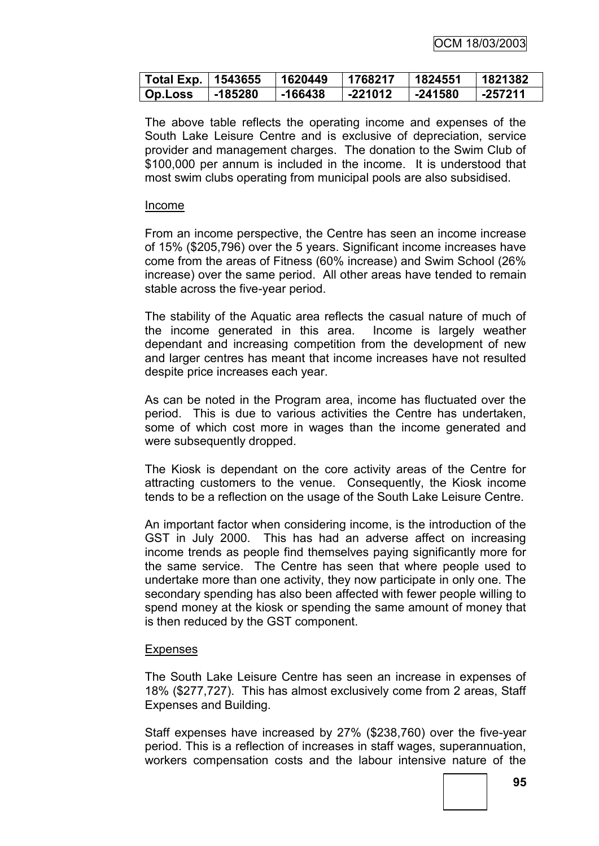| Total Exp.   1543655 |         | 1620449   | 1768217 | 1824551 | 1821382 |
|----------------------|---------|-----------|---------|---------|---------|
| <b>Op.Loss</b>       | -185280 | $-166438$ | -221012 | -241580 | -257211 |

The above table reflects the operating income and expenses of the South Lake Leisure Centre and is exclusive of depreciation, service provider and management charges. The donation to the Swim Club of \$100,000 per annum is included in the income. It is understood that most swim clubs operating from municipal pools are also subsidised.

#### Income

From an income perspective, the Centre has seen an income increase of 15% (\$205,796) over the 5 years. Significant income increases have come from the areas of Fitness (60% increase) and Swim School (26% increase) over the same period. All other areas have tended to remain stable across the five-year period.

The stability of the Aquatic area reflects the casual nature of much of the income generated in this area. Income is largely weather dependant and increasing competition from the development of new and larger centres has meant that income increases have not resulted despite price increases each year.

As can be noted in the Program area, income has fluctuated over the period. This is due to various activities the Centre has undertaken, some of which cost more in wages than the income generated and were subsequently dropped.

The Kiosk is dependant on the core activity areas of the Centre for attracting customers to the venue. Consequently, the Kiosk income tends to be a reflection on the usage of the South Lake Leisure Centre.

An important factor when considering income, is the introduction of the GST in July 2000. This has had an adverse affect on increasing income trends as people find themselves paying significantly more for the same service. The Centre has seen that where people used to undertake more than one activity, they now participate in only one. The secondary spending has also been affected with fewer people willing to spend money at the kiosk or spending the same amount of money that is then reduced by the GST component.

#### **Expenses**

The South Lake Leisure Centre has seen an increase in expenses of 18% (\$277,727). This has almost exclusively come from 2 areas, Staff Expenses and Building.

Staff expenses have increased by 27% (\$238,760) over the five-year period. This is a reflection of increases in staff wages, superannuation, workers compensation costs and the labour intensive nature of the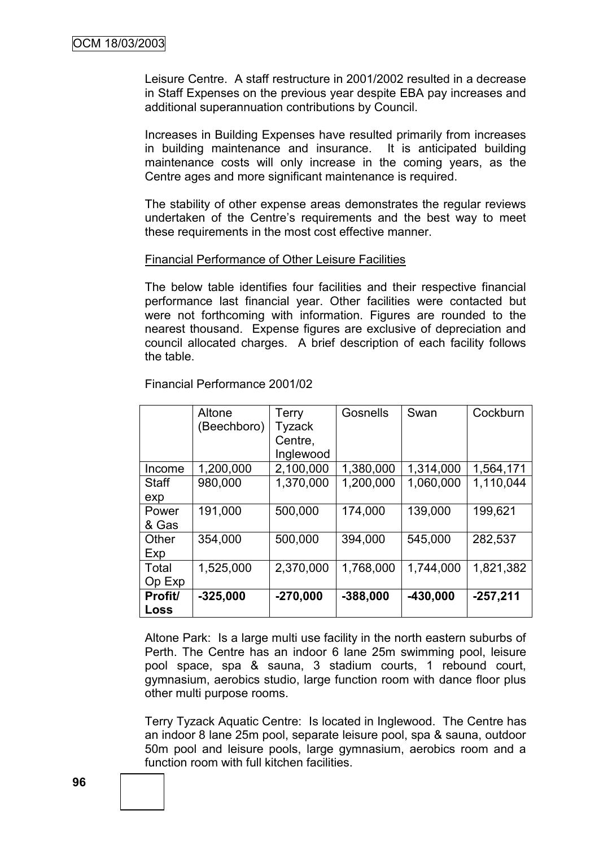Leisure Centre. A staff restructure in 2001/2002 resulted in a decrease in Staff Expenses on the previous year despite EBA pay increases and additional superannuation contributions by Council.

Increases in Building Expenses have resulted primarily from increases in building maintenance and insurance. It is anticipated building maintenance costs will only increase in the coming years, as the Centre ages and more significant maintenance is required.

The stability of other expense areas demonstrates the regular reviews undertaken of the Centre"s requirements and the best way to meet these requirements in the most cost effective manner.

#### Financial Performance of Other Leisure Facilities

The below table identifies four facilities and their respective financial performance last financial year. Other facilities were contacted but were not forthcoming with information. Figures are rounded to the nearest thousand. Expense figures are exclusive of depreciation and council allocated charges. A brief description of each facility follows the table.

|                     | Altone<br>(Beechboro) | <b>Terry</b><br>Tyzack<br>Centre,<br>Inglewood | Gosnells   | Swan       | Cockburn   |
|---------------------|-----------------------|------------------------------------------------|------------|------------|------------|
| Income              | 1,200,000             | 2,100,000                                      | 1,380,000  | 1,314,000  | 1,564,171  |
| <b>Staff</b><br>exp | 980,000               | 1,370,000                                      | 1,200,000  | 1,060,000  | 1,110,044  |
| Power<br>& Gas      | 191,000               | 500,000                                        | 174,000    | 139,000    | 199,621    |
| Other<br>Exp        | 354,000               | 500,000                                        | 394,000    | 545,000    | 282,537    |
| Total<br>Op Exp     | 1,525,000             | 2,370,000                                      | 1,768,000  | 1,744,000  | 1,821,382  |
| Profit/<br>Loss     | $-325,000$            | $-270,000$                                     | $-388,000$ | $-430,000$ | $-257,211$ |

Financial Performance 2001/02

Altone Park: Is a large multi use facility in the north eastern suburbs of Perth. The Centre has an indoor 6 lane 25m swimming pool, leisure pool space, spa & sauna, 3 stadium courts, 1 rebound court, gymnasium, aerobics studio, large function room with dance floor plus other multi purpose rooms.

Terry Tyzack Aquatic Centre: Is located in Inglewood. The Centre has an indoor 8 lane 25m pool, separate leisure pool, spa & sauna, outdoor 50m pool and leisure pools, large gymnasium, aerobics room and a function room with full kitchen facilities.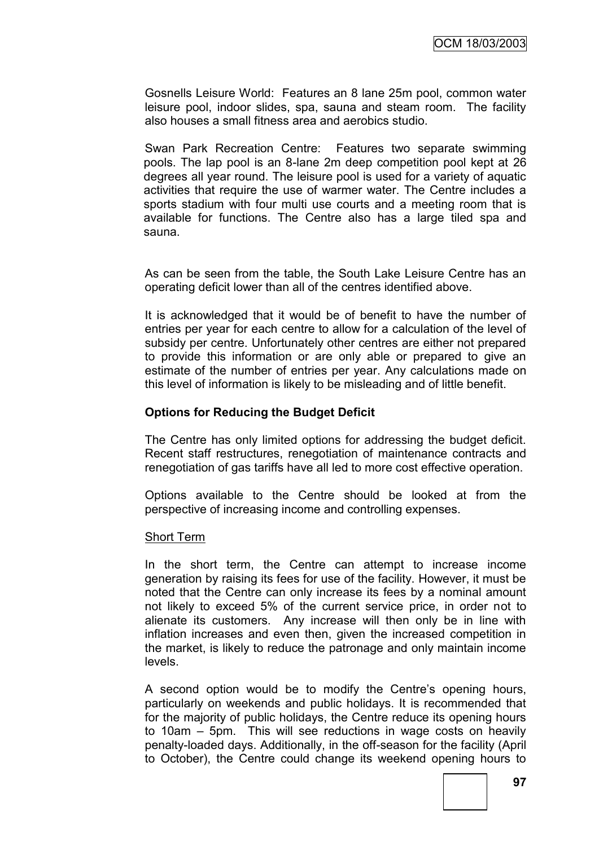Gosnells Leisure World: Features an 8 lane 25m pool, common water leisure pool, indoor slides, spa, sauna and steam room. The facility also houses a small fitness area and aerobics studio.

Swan Park Recreation Centre: Features two separate swimming pools. The lap pool is an 8-lane 2m deep competition pool kept at 26 degrees all year round. The leisure pool is used for a variety of aquatic activities that require the use of warmer water. The Centre includes a sports stadium with four multi use courts and a meeting room that is available for functions. The Centre also has a large tiled spa and sauna.

As can be seen from the table, the South Lake Leisure Centre has an operating deficit lower than all of the centres identified above.

It is acknowledged that it would be of benefit to have the number of entries per year for each centre to allow for a calculation of the level of subsidy per centre. Unfortunately other centres are either not prepared to provide this information or are only able or prepared to give an estimate of the number of entries per year. Any calculations made on this level of information is likely to be misleading and of little benefit.

#### **Options for Reducing the Budget Deficit**

The Centre has only limited options for addressing the budget deficit. Recent staff restructures, renegotiation of maintenance contracts and renegotiation of gas tariffs have all led to more cost effective operation.

Options available to the Centre should be looked at from the perspective of increasing income and controlling expenses.

#### Short Term

In the short term, the Centre can attempt to increase income generation by raising its fees for use of the facility. However, it must be noted that the Centre can only increase its fees by a nominal amount not likely to exceed 5% of the current service price, in order not to alienate its customers. Any increase will then only be in line with inflation increases and even then, given the increased competition in the market, is likely to reduce the patronage and only maintain income levels.

A second option would be to modify the Centre's opening hours, particularly on weekends and public holidays. It is recommended that for the majority of public holidays, the Centre reduce its opening hours to 10am – 5pm. This will see reductions in wage costs on heavily penalty-loaded days. Additionally, in the off-season for the facility (April to October), the Centre could change its weekend opening hours to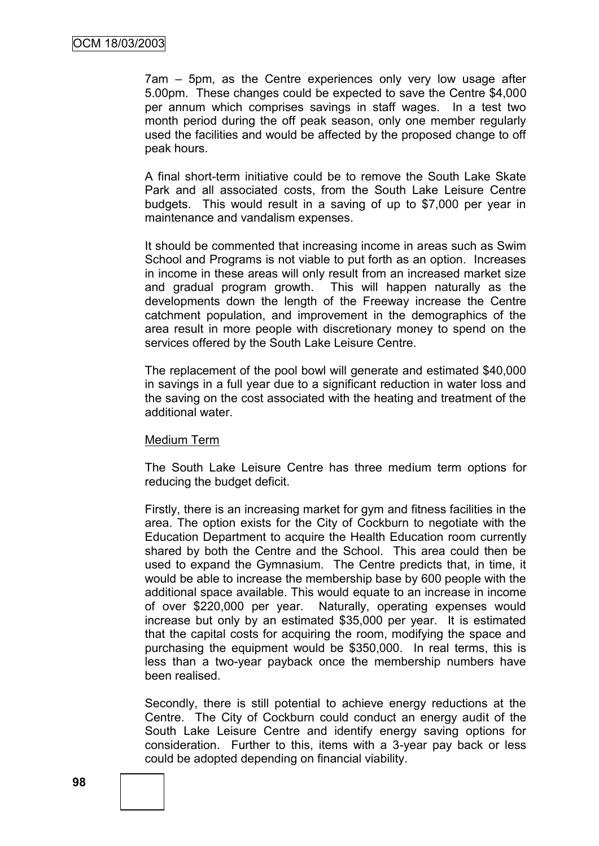7am – 5pm, as the Centre experiences only very low usage after 5.00pm. These changes could be expected to save the Centre \$4,000 per annum which comprises savings in staff wages. In a test two month period during the off peak season, only one member regularly used the facilities and would be affected by the proposed change to off peak hours.

A final short-term initiative could be to remove the South Lake Skate Park and all associated costs, from the South Lake Leisure Centre budgets. This would result in a saving of up to \$7,000 per year in maintenance and vandalism expenses.

It should be commented that increasing income in areas such as Swim School and Programs is not viable to put forth as an option. Increases in income in these areas will only result from an increased market size and gradual program growth. This will happen naturally as the developments down the length of the Freeway increase the Centre catchment population, and improvement in the demographics of the area result in more people with discretionary money to spend on the services offered by the South Lake Leisure Centre.

The replacement of the pool bowl will generate and estimated \$40,000 in savings in a full year due to a significant reduction in water loss and the saving on the cost associated with the heating and treatment of the additional water.

#### Medium Term

The South Lake Leisure Centre has three medium term options for reducing the budget deficit.

Firstly, there is an increasing market for gym and fitness facilities in the area. The option exists for the City of Cockburn to negotiate with the Education Department to acquire the Health Education room currently shared by both the Centre and the School. This area could then be used to expand the Gymnasium. The Centre predicts that, in time, it would be able to increase the membership base by 600 people with the additional space available. This would equate to an increase in income of over \$220,000 per year. Naturally, operating expenses would increase but only by an estimated \$35,000 per year. It is estimated that the capital costs for acquiring the room, modifying the space and purchasing the equipment would be \$350,000. In real terms, this is less than a two-year payback once the membership numbers have been realised.

Secondly, there is still potential to achieve energy reductions at the Centre. The City of Cockburn could conduct an energy audit of the South Lake Leisure Centre and identify energy saving options for consideration. Further to this, items with a 3-year pay back or less could be adopted depending on financial viability.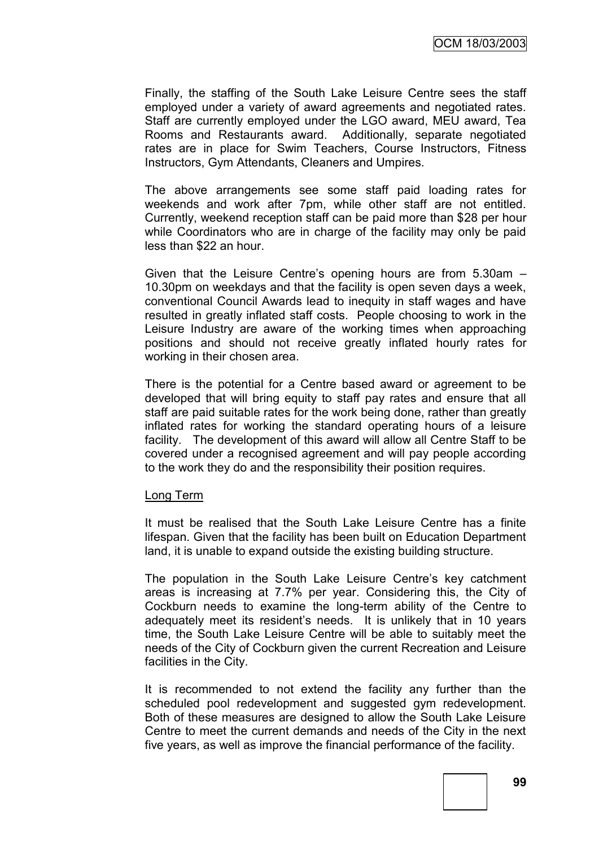Finally, the staffing of the South Lake Leisure Centre sees the staff employed under a variety of award agreements and negotiated rates. Staff are currently employed under the LGO award, MEU award, Tea Rooms and Restaurants award. Additionally, separate negotiated rates are in place for Swim Teachers, Course Instructors, Fitness Instructors, Gym Attendants, Cleaners and Umpires.

The above arrangements see some staff paid loading rates for weekends and work after 7pm, while other staff are not entitled. Currently, weekend reception staff can be paid more than \$28 per hour while Coordinators who are in charge of the facility may only be paid less than \$22 an hour.

Given that the Leisure Centre"s opening hours are from 5.30am – 10.30pm on weekdays and that the facility is open seven days a week, conventional Council Awards lead to inequity in staff wages and have resulted in greatly inflated staff costs. People choosing to work in the Leisure Industry are aware of the working times when approaching positions and should not receive greatly inflated hourly rates for working in their chosen area.

There is the potential for a Centre based award or agreement to be developed that will bring equity to staff pay rates and ensure that all staff are paid suitable rates for the work being done, rather than greatly inflated rates for working the standard operating hours of a leisure facility. The development of this award will allow all Centre Staff to be covered under a recognised agreement and will pay people according to the work they do and the responsibility their position requires.

#### Long Term

It must be realised that the South Lake Leisure Centre has a finite lifespan. Given that the facility has been built on Education Department land, it is unable to expand outside the existing building structure.

The population in the South Lake Leisure Centre's key catchment areas is increasing at 7.7% per year. Considering this, the City of Cockburn needs to examine the long-term ability of the Centre to adequately meet its resident's needs. It is unlikely that in 10 years time, the South Lake Leisure Centre will be able to suitably meet the needs of the City of Cockburn given the current Recreation and Leisure facilities in the City.

It is recommended to not extend the facility any further than the scheduled pool redevelopment and suggested gym redevelopment. Both of these measures are designed to allow the South Lake Leisure Centre to meet the current demands and needs of the City in the next five years, as well as improve the financial performance of the facility.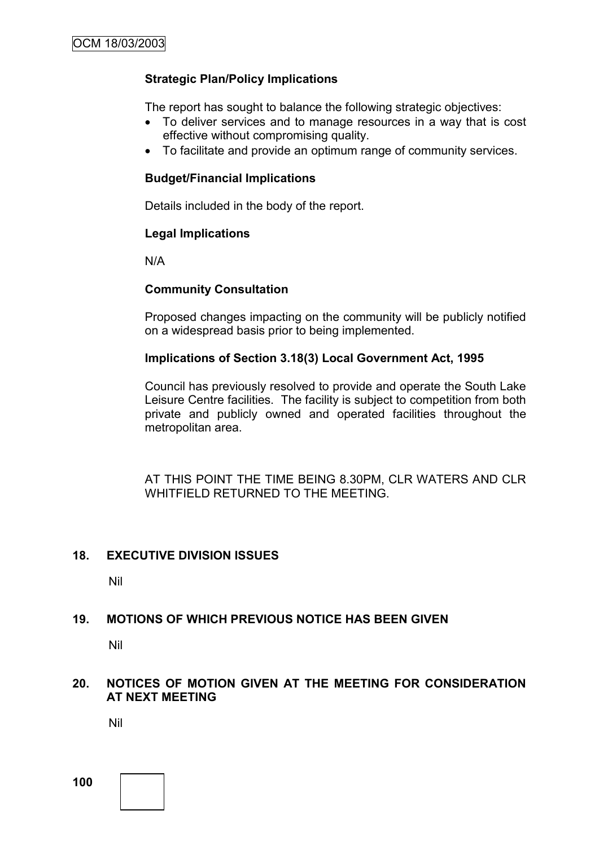## **Strategic Plan/Policy Implications**

The report has sought to balance the following strategic objectives:

- To deliver services and to manage resources in a way that is cost effective without compromising quality.
- To facilitate and provide an optimum range of community services.

#### **Budget/Financial Implications**

Details included in the body of the report.

## **Legal Implications**

N/A

## **Community Consultation**

Proposed changes impacting on the community will be publicly notified on a widespread basis prior to being implemented.

## **Implications of Section 3.18(3) Local Government Act, 1995**

Council has previously resolved to provide and operate the South Lake Leisure Centre facilities. The facility is subject to competition from both private and publicly owned and operated facilities throughout the metropolitan area.

AT THIS POINT THE TIME BEING 8.30PM, CLR WATERS AND CLR WHITFIELD RETURNED TO THE MEETING.

#### **18. EXECUTIVE DIVISION ISSUES**

Nil

## **19. MOTIONS OF WHICH PREVIOUS NOTICE HAS BEEN GIVEN**

Nil

## **20. NOTICES OF MOTION GIVEN AT THE MEETING FOR CONSIDERATION AT NEXT MEETING**

Nil

**100**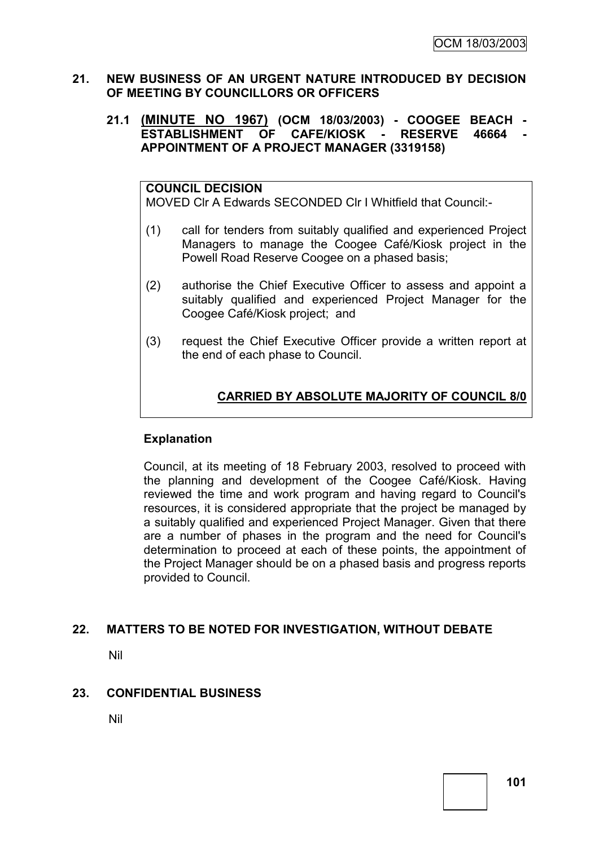#### **21. NEW BUSINESS OF AN URGENT NATURE INTRODUCED BY DECISION OF MEETING BY COUNCILLORS OR OFFICERS**

#### **21.1 (MINUTE NO 1967) (OCM 18/03/2003) - COOGEE BEACH - ESTABLISHMENT OF CAFE/KIOSK - RESERVE 46664 APPOINTMENT OF A PROJECT MANAGER (3319158)**

#### **COUNCIL DECISION**

MOVED Clr A Edwards SECONDED Clr I Whitfield that Council:-

- (1) call for tenders from suitably qualified and experienced Project Managers to manage the Coogee Café/Kiosk project in the Powell Road Reserve Coogee on a phased basis;
- (2) authorise the Chief Executive Officer to assess and appoint a suitably qualified and experienced Project Manager for the Coogee Café/Kiosk project; and
- (3) request the Chief Executive Officer provide a written report at the end of each phase to Council.

# **CARRIED BY ABSOLUTE MAJORITY OF COUNCIL 8/0**

## **Explanation**

Council, at its meeting of 18 February 2003, resolved to proceed with the planning and development of the Coogee Café/Kiosk. Having reviewed the time and work program and having regard to Council's resources, it is considered appropriate that the project be managed by a suitably qualified and experienced Project Manager. Given that there are a number of phases in the program and the need for Council's determination to proceed at each of these points, the appointment of the Project Manager should be on a phased basis and progress reports provided to Council.

## **22. MATTERS TO BE NOTED FOR INVESTIGATION, WITHOUT DEBATE**

Nil

#### **23. CONFIDENTIAL BUSINESS**

Nil